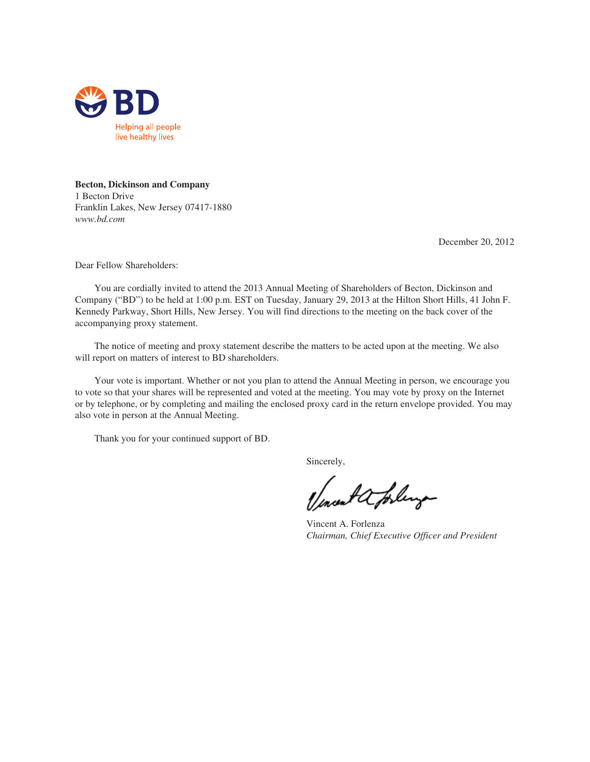

# **Becton, Dickinson and Company**

1 Becton Drive Franklin Lakes, New Jersey 07417-1880 *www.bd.com*

December 20, 2012

Dear Fellow Shareholders:

You are cordially invited to attend the 2013 Annual Meeting of Shareholders of Becton, Dickinson and Company ("BD") to be held at 1:00 p.m. EST on Tuesday, January 29, 2013 at the Hilton Short Hills, 41 John F. Kennedy Parkway, Short Hills, New Jersey. You will find directions to the meeting on the back cover of the accompanying proxy statement.

The notice of meeting and proxy statement describe the matters to be acted upon at the meeting. We also will report on matters of interest to BD shareholders.

Your vote is important. Whether or not you plan to attend the Annual Meeting in person, we encourage you to vote so that your shares will be represented and voted at the meeting. You may vote by proxy on the Internet or by telephone, or by completing and mailing the enclosed proxy card in the return envelope provided. You may also vote in person at the Annual Meeting.

Thank you for your continued support of BD.

Sincerely,

mont a forling

Vincent A. Forlenza *Chairman, Chief Executive Officer and President*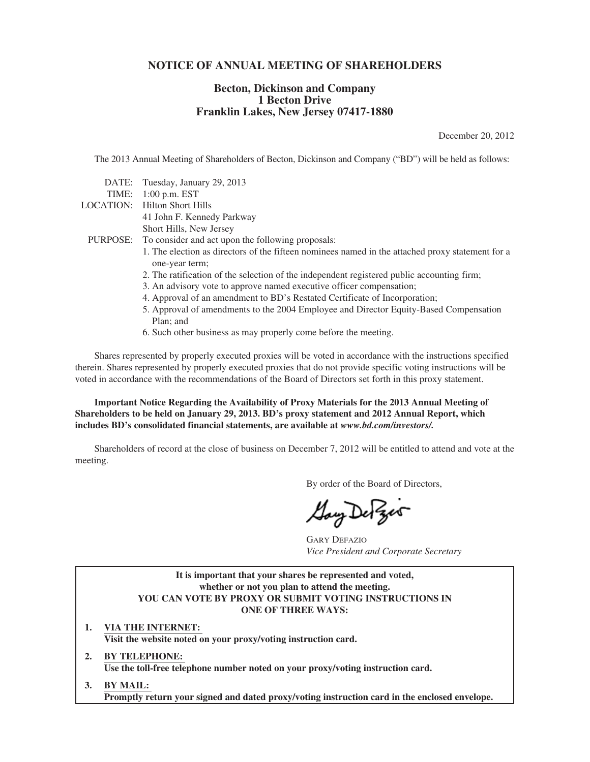# **NOTICE OF ANNUAL MEETING OF SHAREHOLDERS**

# **Becton, Dickinson and Company 1 Becton Drive Franklin Lakes, New Jersey 07417-1880**

December 20, 2012

The 2013 Annual Meeting of Shareholders of Becton, Dickinson and Company ("BD") will be held as follows:

|       | DATE: Tuesday, January 29, 2013                                                                                    |
|-------|--------------------------------------------------------------------------------------------------------------------|
| TIME: | $1:00$ p.m. EST                                                                                                    |
|       | LOCATION: Hilton Short Hills                                                                                       |
|       | 41 John F. Kennedy Parkway                                                                                         |
|       | Short Hills, New Jersey                                                                                            |
|       | PURPOSE: To consider and act upon the following proposals:                                                         |
|       | 1. The election as directors of the fifteen nominees named in the attached proxy statement for a<br>one-year term; |
|       | 2. The ratification of the selection of the independent registered public accounting firm;                         |
|       | 3. An advisory vote to approve named executive officer compensation;                                               |
|       | 4. Approval of an amendment to BD's Restated Certificate of Incorporation;                                         |
|       | 5. Approval of amendments to the 2004 Employee and Director Equity-Based Compensation<br>Plan; and                 |
|       | 6. Such other business as may properly come before the meeting.                                                    |
|       |                                                                                                                    |

Shares represented by properly executed proxies will be voted in accordance with the instructions specified therein. Shares represented by properly executed proxies that do not provide specific voting instructions will be voted in accordance with the recommendations of the Board of Directors set forth in this proxy statement.

**Important Notice Regarding the Availability of Proxy Materials for the 2013 Annual Meeting of Shareholders to be held on January 29, 2013. BD's proxy statement and 2012 Annual Report, which includes BD's consolidated financial statements, are available at** *www.bd.com/investors/.*

Shareholders of record at the close of business on December 7, 2012 will be entitled to attend and vote at the meeting.

By order of the Board of Directors,

GARY DEFAZIO *Vice President and Corporate Secretary*

**It is important that your shares be represented and voted, whether or not you plan to attend the meeting. YOU CAN VOTE BY PROXY OR SUBMIT VOTING INSTRUCTIONS IN ONE OF THREE WAYS:**

**1. VIA THE INTERNET: Visit the website noted on your proxy/voting instruction card.**

**2. BY TELEPHONE: Use the toll-free telephone number noted on your proxy/voting instruction card.**

**3. BY MAIL: Promptly return your signed and dated proxy/voting instruction card in the enclosed envelope.**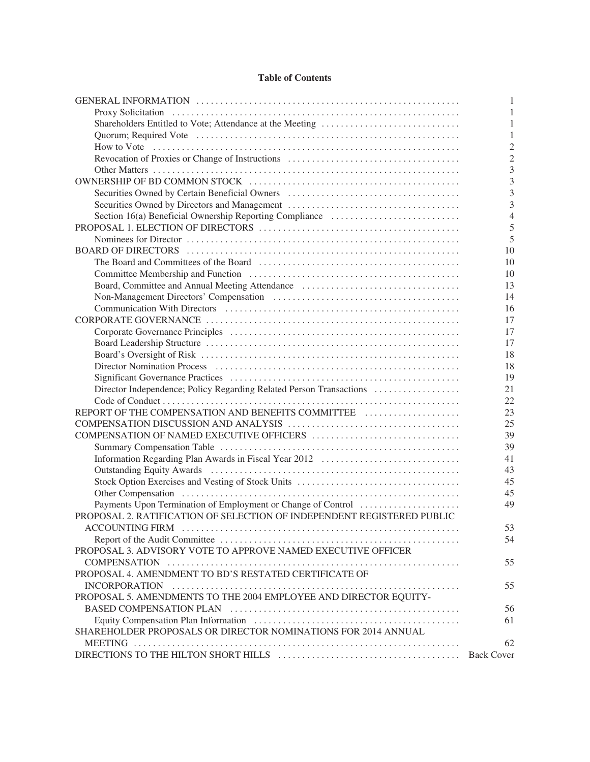# **Table of Contents**

|                                                                                                                                                                                                                                | 1                 |
|--------------------------------------------------------------------------------------------------------------------------------------------------------------------------------------------------------------------------------|-------------------|
| Proxy Solicitation (a) resources and the control of the control of the control of the control of the control of the control of the control of the control of the control of the control of the control of the control of the c | 1                 |
| Shareholders Entitled to Vote; Attendance at the Meeting                                                                                                                                                                       | 1                 |
|                                                                                                                                                                                                                                | 1                 |
|                                                                                                                                                                                                                                | $\overline{2}$    |
|                                                                                                                                                                                                                                | $\overline{2}$    |
|                                                                                                                                                                                                                                | $\overline{3}$    |
|                                                                                                                                                                                                                                | $\overline{3}$    |
| Securities Owned by Certain Beneficial Owners                                                                                                                                                                                  | $\overline{3}$    |
|                                                                                                                                                                                                                                | $\overline{3}$    |
| Section 16(a) Beneficial Ownership Reporting Compliance                                                                                                                                                                        | $\overline{4}$    |
|                                                                                                                                                                                                                                | 5                 |
|                                                                                                                                                                                                                                | 5                 |
|                                                                                                                                                                                                                                | 10                |
|                                                                                                                                                                                                                                | 10                |
|                                                                                                                                                                                                                                | 10                |
| Board, Committee and Annual Meeting Attendance                                                                                                                                                                                 | 13                |
|                                                                                                                                                                                                                                | 14                |
|                                                                                                                                                                                                                                | 16                |
|                                                                                                                                                                                                                                | 17                |
|                                                                                                                                                                                                                                | 17                |
|                                                                                                                                                                                                                                | 17                |
|                                                                                                                                                                                                                                | 18                |
|                                                                                                                                                                                                                                | 18                |
|                                                                                                                                                                                                                                | 19                |
| Director Independence; Policy Regarding Related Person Transactions                                                                                                                                                            | 21                |
|                                                                                                                                                                                                                                | 22                |
| REPORT OF THE COMPENSATION AND BENEFITS COMMITTEE                                                                                                                                                                              | 23                |
|                                                                                                                                                                                                                                | 25                |
| COMPENSATION OF NAMED EXECUTIVE OFFICERS                                                                                                                                                                                       | 39                |
|                                                                                                                                                                                                                                | 39                |
|                                                                                                                                                                                                                                | 41                |
|                                                                                                                                                                                                                                | 43                |
|                                                                                                                                                                                                                                | 45                |
|                                                                                                                                                                                                                                | 45                |
| Other Compensation (a) and the compensation (b) and the compensation (b) and the compensation (b) and the competition of the competition of the competition of the competition of the competition of the competition of the co | 49                |
| Payments Upon Termination of Employment or Change of Control<br>PROPOSAL 2. RATIFICATION OF SELECTION OF INDEPENDENT REGISTERED PUBLIC                                                                                         |                   |
|                                                                                                                                                                                                                                | 53                |
|                                                                                                                                                                                                                                |                   |
| PROPOSAL 3. ADVISORY VOTE TO APPROVE NAMED EXECUTIVE OFFICER                                                                                                                                                                   | 54                |
|                                                                                                                                                                                                                                |                   |
|                                                                                                                                                                                                                                | 55                |
| PROPOSAL 4. AMENDMENT TO BD'S RESTATED CERTIFICATE OF                                                                                                                                                                          |                   |
|                                                                                                                                                                                                                                | 55                |
| PROPOSAL 5. AMENDMENTS TO THE 2004 EMPLOYEE AND DIRECTOR EQUITY-                                                                                                                                                               |                   |
|                                                                                                                                                                                                                                | 56                |
|                                                                                                                                                                                                                                | 61                |
| SHAREHOLDER PROPOSALS OR DIRECTOR NOMINATIONS FOR 2014 ANNUAL                                                                                                                                                                  |                   |
|                                                                                                                                                                                                                                | 62                |
|                                                                                                                                                                                                                                | <b>Back Cover</b> |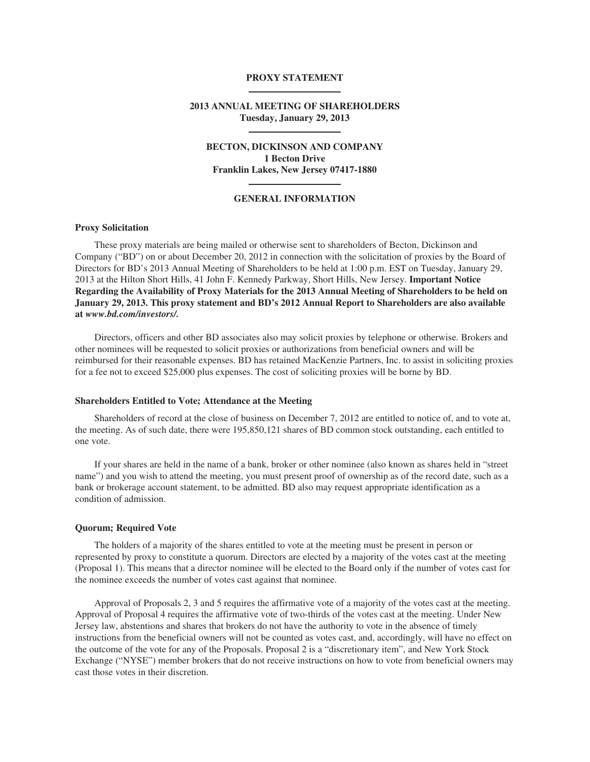# **PROXY STATEMENT**

# **2013 ANNUAL MEETING OF SHAREHOLDERS Tuesday, January 29, 2013**

# **BECTON, DICKINSON AND COMPANY 1 Becton Drive Franklin Lakes, New Jersey 07417-1880**

## **GENERAL INFORMATION**

# **Proxy Solicitation**

These proxy materials are being mailed or otherwise sent to shareholders of Becton, Dickinson and Company ("BD") on or about December 20, 2012 in connection with the solicitation of proxies by the Board of Directors for BD's 2013 Annual Meeting of Shareholders to be held at 1:00 p.m. EST on Tuesday, January 29, 2013 at the Hilton Short Hills, 41 John F. Kennedy Parkway, Short Hills, New Jersey. **Important Notice Regarding the Availability of Proxy Materials for the 2013 Annual Meeting of Shareholders to be held on January 29, 2013. This proxy statement and BD's 2012 Annual Report to Shareholders are also available at** *www.bd.com/investors/.*

Directors, officers and other BD associates also may solicit proxies by telephone or otherwise. Brokers and other nominees will be requested to solicit proxies or authorizations from beneficial owners and will be reimbursed for their reasonable expenses. BD has retained MacKenzie Partners, Inc. to assist in soliciting proxies for a fee not to exceed \$25,000 plus expenses. The cost of soliciting proxies will be borne by BD.

#### **Shareholders Entitled to Vote; Attendance at the Meeting**

Shareholders of record at the close of business on December 7, 2012 are entitled to notice of, and to vote at, the meeting. As of such date, there were 195,850,121 shares of BD common stock outstanding, each entitled to one vote.

If your shares are held in the name of a bank, broker or other nominee (also known as shares held in "street name") and you wish to attend the meeting, you must present proof of ownership as of the record date, such as a bank or brokerage account statement, to be admitted. BD also may request appropriate identification as a condition of admission.

### **Quorum; Required Vote**

The holders of a majority of the shares entitled to vote at the meeting must be present in person or represented by proxy to constitute a quorum. Directors are elected by a majority of the votes cast at the meeting (Proposal 1). This means that a director nominee will be elected to the Board only if the number of votes cast for the nominee exceeds the number of votes cast against that nominee.

Approval of Proposals 2, 3 and 5 requires the affirmative vote of a majority of the votes cast at the meeting. Approval of Proposal 4 requires the affirmative vote of two-thirds of the votes cast at the meeting. Under New Jersey law, abstentions and shares that brokers do not have the authority to vote in the absence of timely instructions from the beneficial owners will not be counted as votes cast, and, accordingly, will have no effect on the outcome of the vote for any of the Proposals. Proposal 2 is a "discretionary item", and New York Stock Exchange ("NYSE") member brokers that do not receive instructions on how to vote from beneficial owners may cast those votes in their discretion.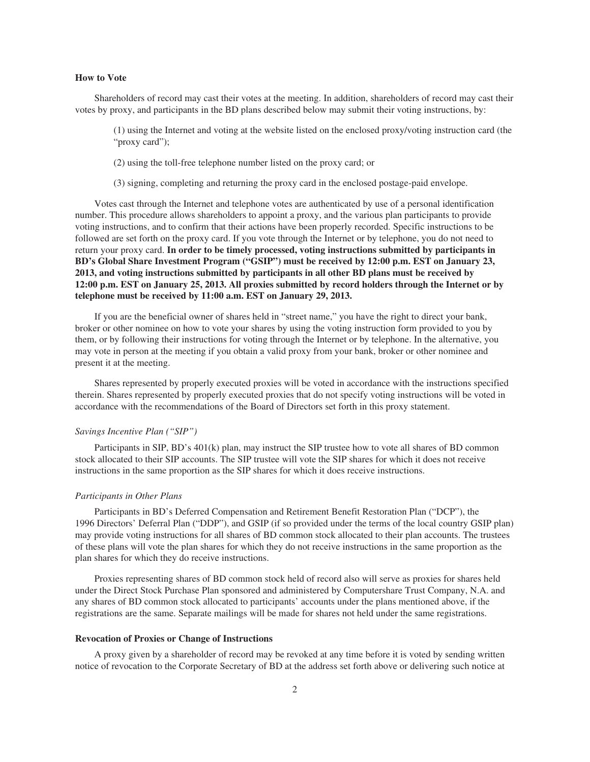## **How to Vote**

Shareholders of record may cast their votes at the meeting. In addition, shareholders of record may cast their votes by proxy, and participants in the BD plans described below may submit their voting instructions, by:

(1) using the Internet and voting at the website listed on the enclosed proxy/voting instruction card (the "proxy card");

(2) using the toll-free telephone number listed on the proxy card; or

(3) signing, completing and returning the proxy card in the enclosed postage-paid envelope.

Votes cast through the Internet and telephone votes are authenticated by use of a personal identification number. This procedure allows shareholders to appoint a proxy, and the various plan participants to provide voting instructions, and to confirm that their actions have been properly recorded. Specific instructions to be followed are set forth on the proxy card. If you vote through the Internet or by telephone, you do not need to return your proxy card. **In order to be timely processed, voting instructions submitted by participants in BD's Global Share Investment Program ("GSIP") must be received by 12:00 p.m. EST on January 23, 2013, and voting instructions submitted by participants in all other BD plans must be received by 12:00 p.m. EST on January 25, 2013. All proxies submitted by record holders through the Internet or by telephone must be received by 11:00 a.m. EST on January 29, 2013.**

If you are the beneficial owner of shares held in "street name," you have the right to direct your bank, broker or other nominee on how to vote your shares by using the voting instruction form provided to you by them, or by following their instructions for voting through the Internet or by telephone. In the alternative, you may vote in person at the meeting if you obtain a valid proxy from your bank, broker or other nominee and present it at the meeting.

Shares represented by properly executed proxies will be voted in accordance with the instructions specified therein. Shares represented by properly executed proxies that do not specify voting instructions will be voted in accordance with the recommendations of the Board of Directors set forth in this proxy statement.

# *Savings Incentive Plan ("SIP")*

Participants in SIP, BD's 401(k) plan, may instruct the SIP trustee how to vote all shares of BD common stock allocated to their SIP accounts. The SIP trustee will vote the SIP shares for which it does not receive instructions in the same proportion as the SIP shares for which it does receive instructions.

#### *Participants in Other Plans*

Participants in BD's Deferred Compensation and Retirement Benefit Restoration Plan ("DCP"), the 1996 Directors' Deferral Plan ("DDP"), and GSIP (if so provided under the terms of the local country GSIP plan) may provide voting instructions for all shares of BD common stock allocated to their plan accounts. The trustees of these plans will vote the plan shares for which they do not receive instructions in the same proportion as the plan shares for which they do receive instructions.

Proxies representing shares of BD common stock held of record also will serve as proxies for shares held under the Direct Stock Purchase Plan sponsored and administered by Computershare Trust Company, N.A. and any shares of BD common stock allocated to participants' accounts under the plans mentioned above, if the registrations are the same. Separate mailings will be made for shares not held under the same registrations.

## **Revocation of Proxies or Change of Instructions**

A proxy given by a shareholder of record may be revoked at any time before it is voted by sending written notice of revocation to the Corporate Secretary of BD at the address set forth above or delivering such notice at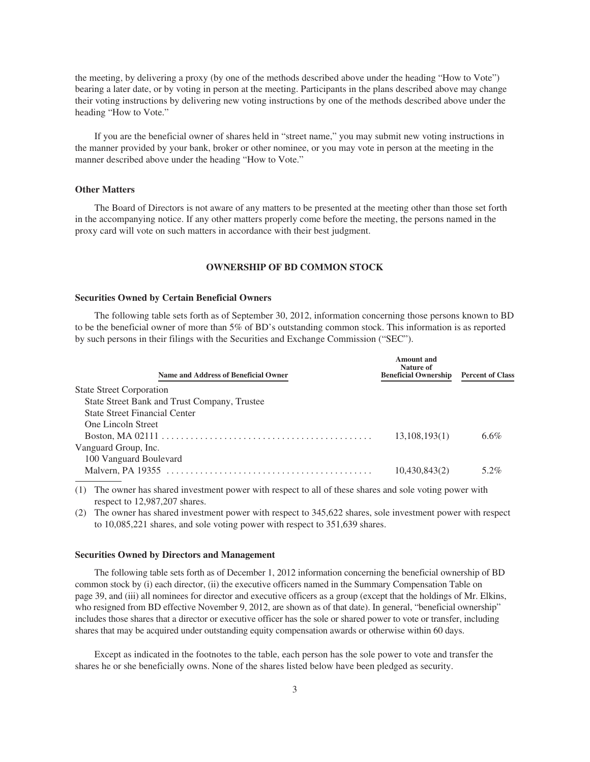the meeting, by delivering a proxy (by one of the methods described above under the heading "How to Vote") bearing a later date, or by voting in person at the meeting. Participants in the plans described above may change their voting instructions by delivering new voting instructions by one of the methods described above under the heading "How to Vote."

If you are the beneficial owner of shares held in "street name," you may submit new voting instructions in the manner provided by your bank, broker or other nominee, or you may vote in person at the meeting in the manner described above under the heading "How to Vote."

### **Other Matters**

The Board of Directors is not aware of any matters to be presented at the meeting other than those set forth in the accompanying notice. If any other matters properly come before the meeting, the persons named in the proxy card will vote on such matters in accordance with their best judgment.

# **OWNERSHIP OF BD COMMON STOCK**

## **Securities Owned by Certain Beneficial Owners**

The following table sets forth as of September 30, 2012, information concerning those persons known to BD to be the beneficial owner of more than 5% of BD's outstanding common stock. This information is as reported by such persons in their filings with the Securities and Exchange Commission ("SEC").

|                                              |                 | <b>Percent of Class</b> |
|----------------------------------------------|-----------------|-------------------------|
| <b>State Street Corporation</b>              |                 |                         |
| State Street Bank and Trust Company, Trustee |                 |                         |
| <b>State Street Financial Center</b>         |                 |                         |
| <b>One Lincoln Street</b>                    |                 |                         |
|                                              | 13, 108, 193(1) | $6.6\%$                 |
| Vanguard Group, Inc.                         |                 |                         |
| 100 Vanguard Boulevard                       |                 |                         |
|                                              | 10,430,843(2)   | 5.2%                    |

(1) The owner has shared investment power with respect to all of these shares and sole voting power with respect to 12,987,207 shares.

(2) The owner has shared investment power with respect to 345,622 shares, sole investment power with respect to 10,085,221 shares, and sole voting power with respect to 351,639 shares.

#### **Securities Owned by Directors and Management**

The following table sets forth as of December 1, 2012 information concerning the beneficial ownership of BD common stock by (i) each director, (ii) the executive officers named in the Summary Compensation Table on page 39, and (iii) all nominees for director and executive officers as a group (except that the holdings of Mr. Elkins, who resigned from BD effective November 9, 2012, are shown as of that date). In general, "beneficial ownership" includes those shares that a director or executive officer has the sole or shared power to vote or transfer, including shares that may be acquired under outstanding equity compensation awards or otherwise within 60 days.

Except as indicated in the footnotes to the table, each person has the sole power to vote and transfer the shares he or she beneficially owns. None of the shares listed below have been pledged as security.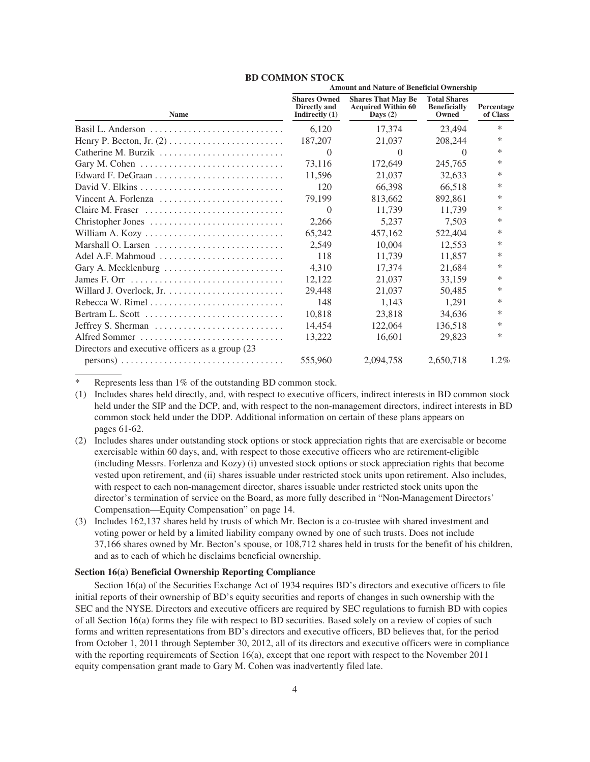|                                                                      | <b>Amount and Nature of Beneficial Ownership</b>        |                                                                      |                                                     |                        |  |
|----------------------------------------------------------------------|---------------------------------------------------------|----------------------------------------------------------------------|-----------------------------------------------------|------------------------|--|
| <b>Name</b>                                                          | <b>Shares Owned</b><br>Directly and<br>Indirectly $(1)$ | <b>Shares That May Be</b><br><b>Acquired Within 60</b><br>Days $(2)$ | <b>Total Shares</b><br><b>Beneficially</b><br>Owned | Percentage<br>of Class |  |
|                                                                      | 6,120                                                   | 17.374                                                               | 23,494                                              | *                      |  |
|                                                                      | 187,207                                                 | 21,037                                                               | 208,244                                             | *                      |  |
|                                                                      | $\Omega$                                                | $\Omega$                                                             | $\theta$                                            | *                      |  |
|                                                                      | 73,116                                                  | 172,649                                                              | 245,765                                             | *                      |  |
|                                                                      | 11,596                                                  | 21,037                                                               | 32,633                                              | *                      |  |
|                                                                      | 120                                                     | 66,398                                                               | 66,518                                              | *                      |  |
| Vincent A. Forlenza $\ldots, \ldots, \ldots, \ldots, \ldots, \ldots$ | 79,199                                                  | 813,662                                                              | 892,861                                             | *                      |  |
| Claire M. Fraser                                                     | $\Omega$                                                | 11,739                                                               | 11,739                                              | *                      |  |
| Christopher Jones                                                    | 2,266                                                   | 5,237                                                                | 7,503                                               | *                      |  |
|                                                                      | 65,242                                                  | 457,162                                                              | 522,404                                             | *                      |  |
|                                                                      | 2,549                                                   | 10,004                                                               | 12,553                                              | *                      |  |
| Adel A.F. Mahmoud                                                    | 118                                                     | 11,739                                                               | 11,857                                              | *                      |  |
| Gary A. Mecklenburg                                                  | 4,310                                                   | 17,374                                                               | 21,684                                              | *                      |  |
|                                                                      | 12,122                                                  | 21,037                                                               | 33,159                                              | *                      |  |
|                                                                      | 29,448                                                  | 21,037                                                               | 50,485                                              | *                      |  |
|                                                                      | 148                                                     | 1,143                                                                | 1,291                                               | *                      |  |
|                                                                      | 10,818                                                  | 23,818                                                               | 34,636                                              | *                      |  |
| Jeffrey S. Sherman                                                   | 14,454                                                  | 122,064                                                              | 136,518                                             | *                      |  |
| Alfred Sommer                                                        | 13,222                                                  | 16,601                                                               | 29,823                                              | *                      |  |
| Directors and executive officers as a group (23)                     |                                                         |                                                                      |                                                     |                        |  |
|                                                                      | 555,960                                                 | 2.094.758                                                            | 2,650,718                                           | $1.2\%$                |  |

#### **BD COMMON STOCK**

Represents less than 1% of the outstanding BD common stock.

- (1) Includes shares held directly, and, with respect to executive officers, indirect interests in BD common stock held under the SIP and the DCP, and, with respect to the non-management directors, indirect interests in BD common stock held under the DDP. Additional information on certain of these plans appears on pages 61-62.
- (2) Includes shares under outstanding stock options or stock appreciation rights that are exercisable or become exercisable within 60 days, and, with respect to those executive officers who are retirement-eligible (including Messrs. Forlenza and Kozy) (i) unvested stock options or stock appreciation rights that become vested upon retirement, and (ii) shares issuable under restricted stock units upon retirement. Also includes, with respect to each non-management director, shares issuable under restricted stock units upon the director's termination of service on the Board, as more fully described in "Non-Management Directors' Compensation—Equity Compensation" on page 14.
- (3) Includes 162,137 shares held by trusts of which Mr. Becton is a co-trustee with shared investment and voting power or held by a limited liability company owned by one of such trusts. Does not include 37,166 shares owned by Mr. Becton's spouse, or 108,712 shares held in trusts for the benefit of his children, and as to each of which he disclaims beneficial ownership.

# **Section 16(a) Beneficial Ownership Reporting Compliance**

Section 16(a) of the Securities Exchange Act of 1934 requires BD's directors and executive officers to file initial reports of their ownership of BD's equity securities and reports of changes in such ownership with the SEC and the NYSE. Directors and executive officers are required by SEC regulations to furnish BD with copies of all Section 16(a) forms they file with respect to BD securities. Based solely on a review of copies of such forms and written representations from BD's directors and executive officers, BD believes that, for the period from October 1, 2011 through September 30, 2012, all of its directors and executive officers were in compliance with the reporting requirements of Section 16(a), except that one report with respect to the November 2011 equity compensation grant made to Gary M. Cohen was inadvertently filed late.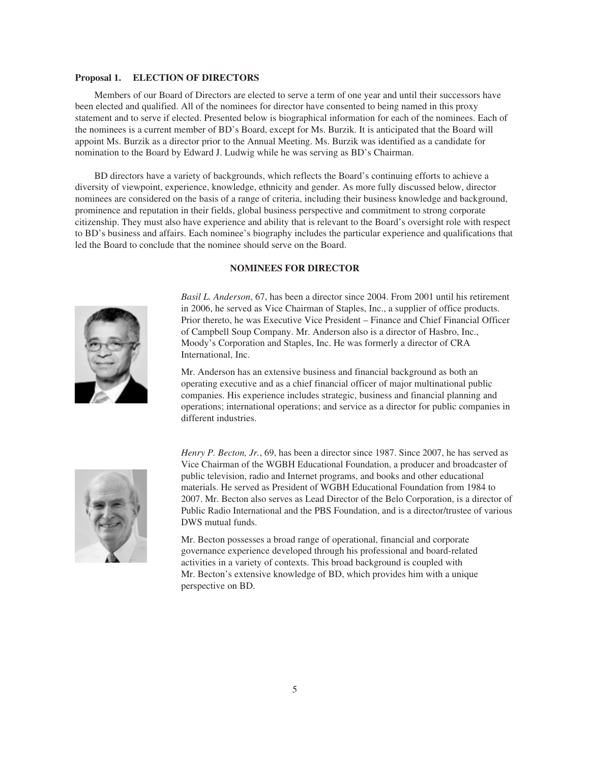## **Proposal 1. ELECTION OF DIRECTORS**

Members of our Board of Directors are elected to serve a term of one year and until their successors have been elected and qualified. All of the nominees for director have consented to being named in this proxy statement and to serve if elected. Presented below is biographical information for each of the nominees. Each of the nominees is a current member of BD's Board, except for Ms. Burzik. It is anticipated that the Board will appoint Ms. Burzik as a director prior to the Annual Meeting. Ms. Burzik was identified as a candidate for nomination to the Board by Edward J. Ludwig while he was serving as BD's Chairman.

BD directors have a variety of backgrounds, which reflects the Board's continuing efforts to achieve a diversity of viewpoint, experience, knowledge, ethnicity and gender. As more fully discussed below, director nominees are considered on the basis of a range of criteria, including their business knowledge and background, prominence and reputation in their fields, global business perspective and commitment to strong corporate citizenship. They must also have experience and ability that is relevant to the Board's oversight role with respect to BD's business and affairs. Each nominee's biography includes the particular experience and qualifications that led the Board to conclude that the nominee should serve on the Board.

# **NOMINEES FOR DIRECTOR**



*Basil L. Anderson*, 67, has been a director since 2004. From 2001 until his retirement in 2006, he served as Vice Chairman of Staples, Inc., a supplier of office products. Prior thereto, he was Executive Vice President – Finance and Chief Financial Officer of Campbell Soup Company. Mr. Anderson also is a director of Hasbro, Inc., Moody's Corporation and Staples, Inc. He was formerly a director of CRA International, Inc.

Mr. Anderson has an extensive business and financial background as both an operating executive and as a chief financial officer of major multinational public companies. His experience includes strategic, business and financial planning and operations; international operations; and service as a director for public companies in different industries.



*Henry P. Becton, Jr.,* 69, has been a director since 1987. Since 2007, he has served as Vice Chairman of the WGBH Educational Foundation, a producer and broadcaster of public television, radio and Internet programs, and books and other educational materials. He served as President of WGBH Educational Foundation from 1984 to 2007. Mr. Becton also serves as Lead Director of the Belo Corporation, is a director of Public Radio International and the PBS Foundation, and is a director/trustee of various DWS mutual funds.

Mr. Becton possesses a broad range of operational, financial and corporate governance experience developed through his professional and board-related activities in a variety of contexts. This broad background is coupled with Mr. Becton's extensive knowledge of BD, which provides him with a unique perspective on BD.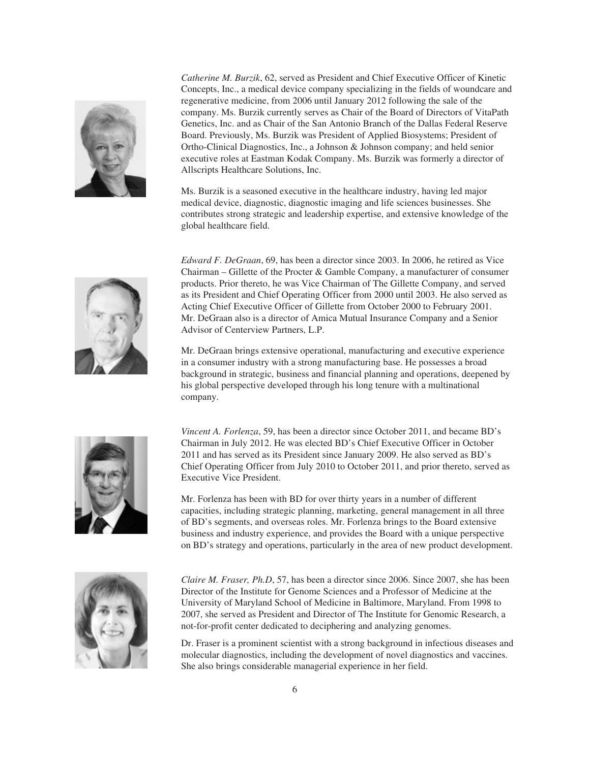

*Catherine M. Burzik*, 62, served as President and Chief Executive Officer of Kinetic Concepts, Inc., a medical device company specializing in the fields of woundcare and regenerative medicine, from 2006 until January 2012 following the sale of the company. Ms. Burzik currently serves as Chair of the Board of Directors of VitaPath Genetics, Inc. and as Chair of the San Antonio Branch of the Dallas Federal Reserve Board. Previously, Ms. Burzik was President of Applied Biosystems; President of Ortho-Clinical Diagnostics, Inc., a Johnson & Johnson company; and held senior executive roles at Eastman Kodak Company. Ms. Burzik was formerly a director of Allscripts Healthcare Solutions, Inc.

Ms. Burzik is a seasoned executive in the healthcare industry, having led major medical device, diagnostic, diagnostic imaging and life sciences businesses. She contributes strong strategic and leadership expertise, and extensive knowledge of the global healthcare field.



*Edward F. DeGraan*, 69, has been a director since 2003. In 2006, he retired as Vice Chairman – Gillette of the Procter & Gamble Company, a manufacturer of consumer products. Prior thereto, he was Vice Chairman of The Gillette Company, and served as its President and Chief Operating Officer from 2000 until 2003. He also served as Acting Chief Executive Officer of Gillette from October 2000 to February 2001. Mr. DeGraan also is a director of Amica Mutual Insurance Company and a Senior Advisor of Centerview Partners, L.P.

Mr. DeGraan brings extensive operational, manufacturing and executive experience in a consumer industry with a strong manufacturing base. He possesses a broad background in strategic, business and financial planning and operations, deepened by his global perspective developed through his long tenure with a multinational company.



*Vincent A. Forlenza*, 59, has been a director since October 2011, and became BD's Chairman in July 2012. He was elected BD's Chief Executive Officer in October 2011 and has served as its President since January 2009. He also served as BD's Chief Operating Officer from July 2010 to October 2011, and prior thereto, served as Executive Vice President.

Mr. Forlenza has been with BD for over thirty years in a number of different capacities, including strategic planning, marketing, general management in all three of BD's segments, and overseas roles. Mr. Forlenza brings to the Board extensive business and industry experience, and provides the Board with a unique perspective on BD's strategy and operations, particularly in the area of new product development.



*Claire M. Fraser, Ph.D*, 57, has been a director since 2006. Since 2007, she has been Director of the Institute for Genome Sciences and a Professor of Medicine at the University of Maryland School of Medicine in Baltimore, Maryland. From 1998 to 2007, she served as President and Director of The Institute for Genomic Research, a not-for-profit center dedicated to deciphering and analyzing genomes.

Dr. Fraser is a prominent scientist with a strong background in infectious diseases and molecular diagnostics, including the development of novel diagnostics and vaccines. She also brings considerable managerial experience in her field.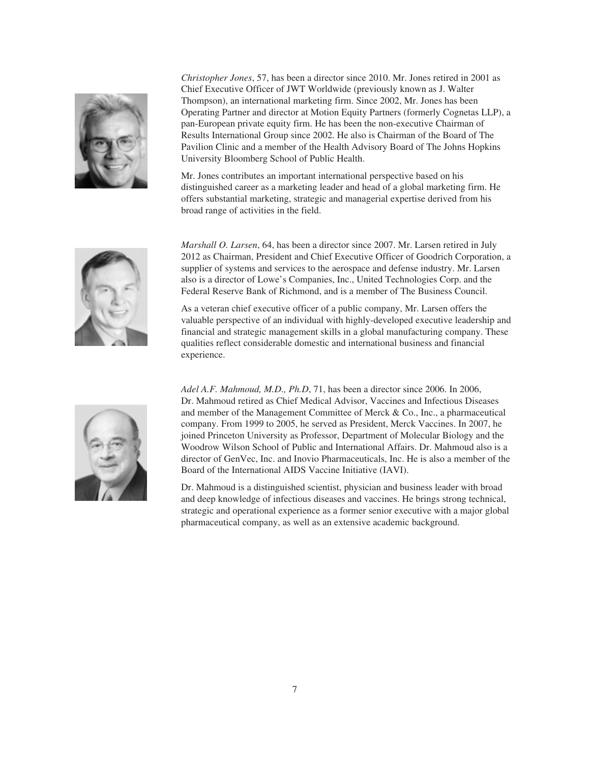

*Christopher Jones*, 57, has been a director since 2010. Mr. Jones retired in 2001 as Chief Executive Officer of JWT Worldwide (previously known as J. Walter Thompson), an international marketing firm. Since 2002, Mr. Jones has been Operating Partner and director at Motion Equity Partners (formerly Cognetas LLP), a pan-European private equity firm. He has been the non-executive Chairman of Results International Group since 2002. He also is Chairman of the Board of The Pavilion Clinic and a member of the Health Advisory Board of The Johns Hopkins University Bloomberg School of Public Health.

Mr. Jones contributes an important international perspective based on his distinguished career as a marketing leader and head of a global marketing firm. He offers substantial marketing, strategic and managerial expertise derived from his broad range of activities in the field.



*Marshall O. Larsen*, 64, has been a director since 2007. Mr. Larsen retired in July 2012 as Chairman, President and Chief Executive Officer of Goodrich Corporation, a supplier of systems and services to the aerospace and defense industry. Mr. Larsen also is a director of Lowe's Companies, Inc., United Technologies Corp. and the Federal Reserve Bank of Richmond, and is a member of The Business Council.

As a veteran chief executive officer of a public company, Mr. Larsen offers the valuable perspective of an individual with highly-developed executive leadership and financial and strategic management skills in a global manufacturing company. These qualities reflect considerable domestic and international business and financial experience.

*Adel A.F. Mahmoud, M.D., Ph.D*, 71, has been a director since 2006. In 2006, Dr. Mahmoud retired as Chief Medical Advisor, Vaccines and Infectious Diseases and member of the Management Committee of Merck & Co., Inc., a pharmaceutical company. From 1999 to 2005, he served as President, Merck Vaccines. In 2007, he joined Princeton University as Professor, Department of Molecular Biology and the Woodrow Wilson School of Public and International Affairs. Dr. Mahmoud also is a director of GenVec, Inc. and Inovio Pharmaceuticals, Inc. He is also a member of the Board of the International AIDS Vaccine Initiative (IAVI).

Dr. Mahmoud is a distinguished scientist, physician and business leader with broad and deep knowledge of infectious diseases and vaccines. He brings strong technical, strategic and operational experience as a former senior executive with a major global pharmaceutical company, as well as an extensive academic background.

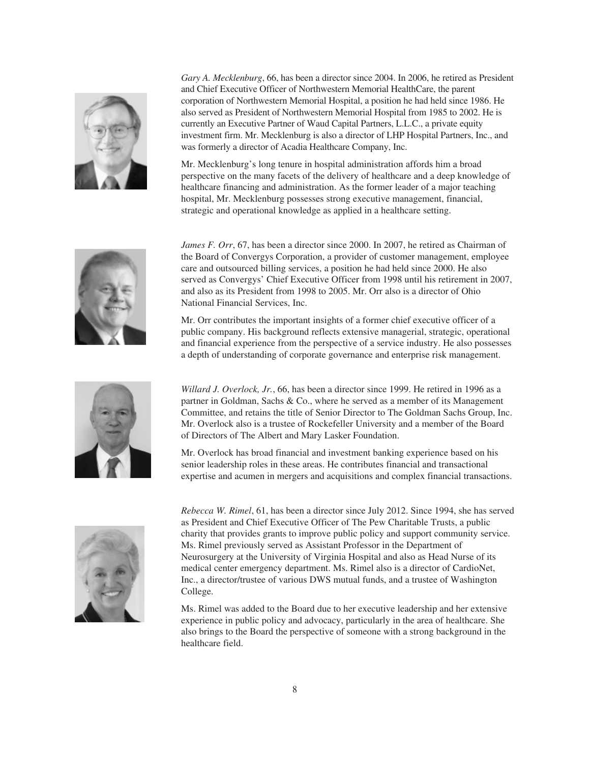

*Gary A. Mecklenburg*, 66, has been a director since 2004. In 2006, he retired as President and Chief Executive Officer of Northwestern Memorial HealthCare, the parent corporation of Northwestern Memorial Hospital, a position he had held since 1986. He also served as President of Northwestern Memorial Hospital from 1985 to 2002. He is currently an Executive Partner of Waud Capital Partners, L.L.C., a private equity investment firm. Mr. Mecklenburg is also a director of LHP Hospital Partners, Inc., and was formerly a director of Acadia Healthcare Company, Inc.

Mr. Mecklenburg's long tenure in hospital administration affords him a broad perspective on the many facets of the delivery of healthcare and a deep knowledge of healthcare financing and administration. As the former leader of a major teaching hospital, Mr. Mecklenburg possesses strong executive management, financial, strategic and operational knowledge as applied in a healthcare setting.



*James F. Orr*, 67, has been a director since 2000. In 2007, he retired as Chairman of the Board of Convergys Corporation, a provider of customer management, employee care and outsourced billing services, a position he had held since 2000. He also served as Convergys' Chief Executive Officer from 1998 until his retirement in 2007, and also as its President from 1998 to 2005. Mr. Orr also is a director of Ohio National Financial Services, Inc.

Mr. Orr contributes the important insights of a former chief executive officer of a public company. His background reflects extensive managerial, strategic, operational and financial experience from the perspective of a service industry. He also possesses a depth of understanding of corporate governance and enterprise risk management.



*Willard J. Overlock, Jr.*, 66, has been a director since 1999. He retired in 1996 as a partner in Goldman, Sachs & Co., where he served as a member of its Management Committee, and retains the title of Senior Director to The Goldman Sachs Group, Inc. Mr. Overlock also is a trustee of Rockefeller University and a member of the Board of Directors of The Albert and Mary Lasker Foundation.

Mr. Overlock has broad financial and investment banking experience based on his senior leadership roles in these areas. He contributes financial and transactional expertise and acumen in mergers and acquisitions and complex financial transactions.



*Rebecca W. Rimel*, 61, has been a director since July 2012. Since 1994, she has served as President and Chief Executive Officer of The Pew Charitable Trusts, a public charity that provides grants to improve public policy and support community service. Ms. Rimel previously served as Assistant Professor in the Department of Neurosurgery at the University of Virginia Hospital and also as Head Nurse of its medical center emergency department. Ms. Rimel also is a director of CardioNet, Inc., a director/trustee of various DWS mutual funds, and a trustee of Washington College.

Ms. Rimel was added to the Board due to her executive leadership and her extensive experience in public policy and advocacy, particularly in the area of healthcare. She also brings to the Board the perspective of someone with a strong background in the healthcare field.

8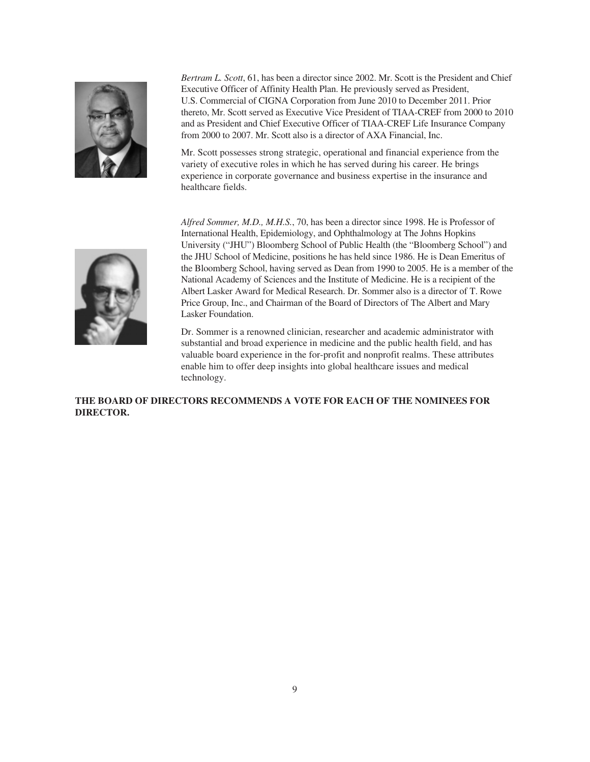

*Bertram L. Scott*, 61, has been a director since 2002. Mr. Scott is the President and Chief Executive Officer of Affinity Health Plan. He previously served as President, U.S. Commercial of CIGNA Corporation from June 2010 to December 2011. Prior thereto, Mr. Scott served as Executive Vice President of TIAA-CREF from 2000 to 2010 and as President and Chief Executive Officer of TIAA-CREF Life Insurance Company from 2000 to 2007. Mr. Scott also is a director of AXA Financial, Inc.

Mr. Scott possesses strong strategic, operational and financial experience from the variety of executive roles in which he has served during his career. He brings experience in corporate governance and business expertise in the insurance and healthcare fields.



*Alfred Sommer, M.D., M.H.S.*, 70, has been a director since 1998. He is Professor of International Health, Epidemiology, and Ophthalmology at The Johns Hopkins University ("JHU") Bloomberg School of Public Health (the "Bloomberg School") and the JHU School of Medicine, positions he has held since 1986. He is Dean Emeritus of the Bloomberg School, having served as Dean from 1990 to 2005. He is a member of the National Academy of Sciences and the Institute of Medicine. He is a recipient of the Albert Lasker Award for Medical Research. Dr. Sommer also is a director of T. Rowe Price Group, Inc., and Chairman of the Board of Directors of The Albert and Mary Lasker Foundation.

Dr. Sommer is a renowned clinician, researcher and academic administrator with substantial and broad experience in medicine and the public health field, and has valuable board experience in the for-profit and nonprofit realms. These attributes enable him to offer deep insights into global healthcare issues and medical technology.

**THE BOARD OF DIRECTORS RECOMMENDS A VOTE FOR EACH OF THE NOMINEES FOR DIRECTOR.**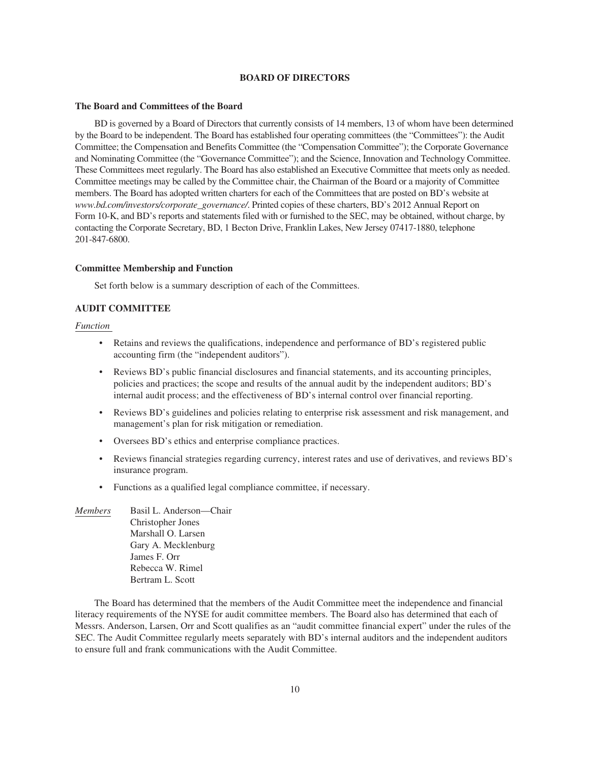### **BOARD OF DIRECTORS**

#### **The Board and Committees of the Board**

BD is governed by a Board of Directors that currently consists of 14 members, 13 of whom have been determined by the Board to be independent. The Board has established four operating committees (the "Committees"): the Audit Committee; the Compensation and Benefits Committee (the "Compensation Committee"); the Corporate Governance and Nominating Committee (the "Governance Committee"); and the Science, Innovation and Technology Committee. These Committees meet regularly. The Board has also established an Executive Committee that meets only as needed. Committee meetings may be called by the Committee chair, the Chairman of the Board or a majority of Committee members. The Board has adopted written charters for each of the Committees that are posted on BD's website at *www.bd.com/investors/corporate\_governance/*. Printed copies of these charters, BD's 2012 Annual Report on Form 10-K, and BD's reports and statements filed with or furnished to the SEC, may be obtained, without charge, by contacting the Corporate Secretary, BD, 1 Becton Drive, Franklin Lakes, New Jersey 07417-1880, telephone 201-847-6800.

#### **Committee Membership and Function**

Set forth below is a summary description of each of the Committees.

# **AUDIT COMMITTEE**

# *Function*

- Retains and reviews the qualifications, independence and performance of BD's registered public accounting firm (the "independent auditors").
- Reviews BD's public financial disclosures and financial statements, and its accounting principles, policies and practices; the scope and results of the annual audit by the independent auditors; BD's internal audit process; and the effectiveness of BD's internal control over financial reporting.
- Reviews BD's guidelines and policies relating to enterprise risk assessment and risk management, and management's plan for risk mitigation or remediation.
- Oversees BD's ethics and enterprise compliance practices.
- Reviews financial strategies regarding currency, interest rates and use of derivatives, and reviews BD's insurance program.
- Functions as a qualified legal compliance committee, if necessary.
- *Members* Basil L. Anderson—Chair Christopher Jones Marshall O. Larsen Gary A. Mecklenburg James F. Orr Rebecca W. Rimel Bertram L. Scott

The Board has determined that the members of the Audit Committee meet the independence and financial literacy requirements of the NYSE for audit committee members. The Board also has determined that each of Messrs. Anderson, Larsen, Orr and Scott qualifies as an "audit committee financial expert" under the rules of the SEC. The Audit Committee regularly meets separately with BD's internal auditors and the independent auditors to ensure full and frank communications with the Audit Committee.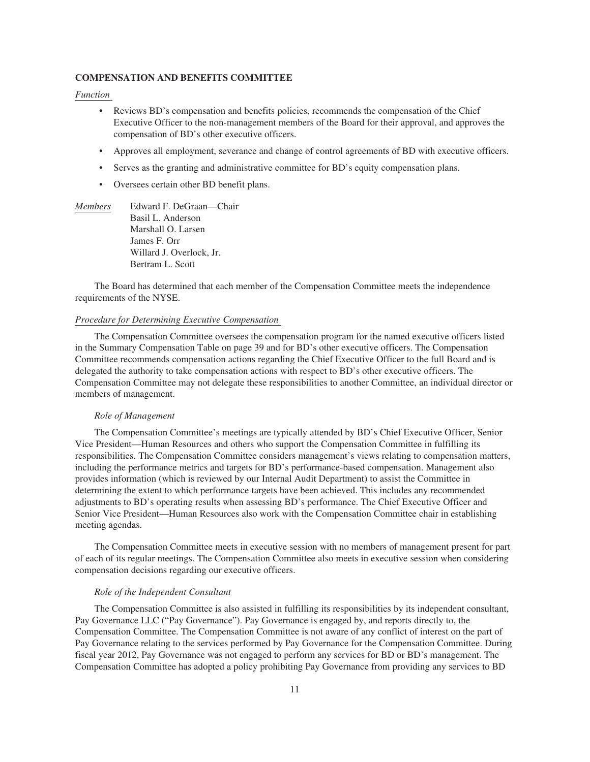## **COMPENSATION AND BENEFITS COMMITTEE**

*Function*

- Reviews BD's compensation and benefits policies, recommends the compensation of the Chief Executive Officer to the non-management members of the Board for their approval, and approves the compensation of BD's other executive officers.
- Approves all employment, severance and change of control agreements of BD with executive officers.
- Serves as the granting and administrative committee for BD's equity compensation plans.
- Oversees certain other BD benefit plans.
- *Members* Edward F. DeGraan—Chair Basil L. Anderson Marshall O. Larsen James F. Orr Willard J. Overlock, Jr. Bertram L. Scott

The Board has determined that each member of the Compensation Committee meets the independence requirements of the NYSE.

#### *Procedure for Determining Executive Compensation*

The Compensation Committee oversees the compensation program for the named executive officers listed in the Summary Compensation Table on page 39 and for BD's other executive officers. The Compensation Committee recommends compensation actions regarding the Chief Executive Officer to the full Board and is delegated the authority to take compensation actions with respect to BD's other executive officers. The Compensation Committee may not delegate these responsibilities to another Committee, an individual director or members of management.

#### *Role of Management*

The Compensation Committee's meetings are typically attended by BD's Chief Executive Officer, Senior Vice President—Human Resources and others who support the Compensation Committee in fulfilling its responsibilities. The Compensation Committee considers management's views relating to compensation matters, including the performance metrics and targets for BD's performance-based compensation. Management also provides information (which is reviewed by our Internal Audit Department) to assist the Committee in determining the extent to which performance targets have been achieved. This includes any recommended adjustments to BD's operating results when assessing BD's performance. The Chief Executive Officer and Senior Vice President—Human Resources also work with the Compensation Committee chair in establishing meeting agendas.

The Compensation Committee meets in executive session with no members of management present for part of each of its regular meetings. The Compensation Committee also meets in executive session when considering compensation decisions regarding our executive officers.

## *Role of the Independent Consultant*

The Compensation Committee is also assisted in fulfilling its responsibilities by its independent consultant, Pay Governance LLC ("Pay Governance"). Pay Governance is engaged by, and reports directly to, the Compensation Committee. The Compensation Committee is not aware of any conflict of interest on the part of Pay Governance relating to the services performed by Pay Governance for the Compensation Committee. During fiscal year 2012, Pay Governance was not engaged to perform any services for BD or BD's management. The Compensation Committee has adopted a policy prohibiting Pay Governance from providing any services to BD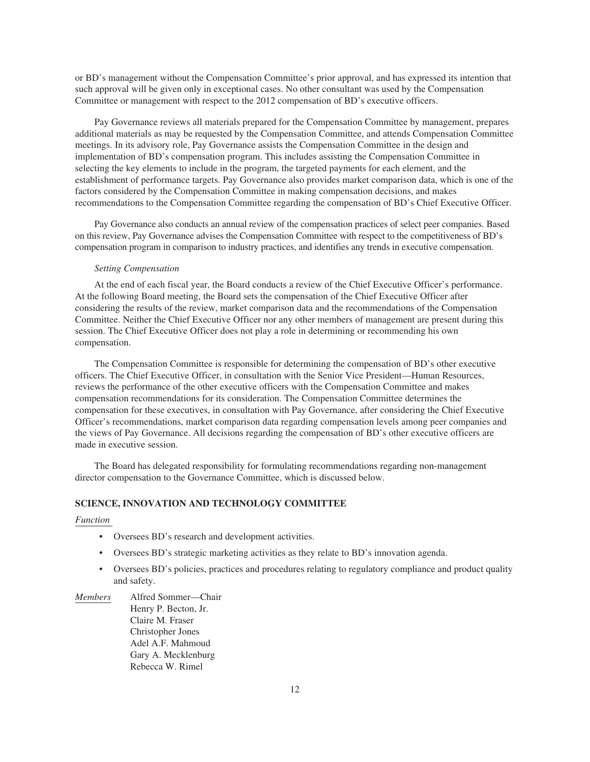or BD's management without the Compensation Committee's prior approval, and has expressed its intention that such approval will be given only in exceptional cases. No other consultant was used by the Compensation Committee or management with respect to the 2012 compensation of BD's executive officers.

Pay Governance reviews all materials prepared for the Compensation Committee by management, prepares additional materials as may be requested by the Compensation Committee, and attends Compensation Committee meetings. In its advisory role, Pay Governance assists the Compensation Committee in the design and implementation of BD's compensation program. This includes assisting the Compensation Committee in selecting the key elements to include in the program, the targeted payments for each element, and the establishment of performance targets. Pay Governance also provides market comparison data, which is one of the factors considered by the Compensation Committee in making compensation decisions, and makes recommendations to the Compensation Committee regarding the compensation of BD's Chief Executive Officer.

Pay Governance also conducts an annual review of the compensation practices of select peer companies. Based on this review, Pay Governance advises the Compensation Committee with respect to the competitiveness of BD's compensation program in comparison to industry practices, and identifies any trends in executive compensation.

## *Setting Compensation*

At the end of each fiscal year, the Board conducts a review of the Chief Executive Officer's performance. At the following Board meeting, the Board sets the compensation of the Chief Executive Officer after considering the results of the review, market comparison data and the recommendations of the Compensation Committee. Neither the Chief Executive Officer nor any other members of management are present during this session. The Chief Executive Officer does not play a role in determining or recommending his own compensation.

The Compensation Committee is responsible for determining the compensation of BD's other executive officers. The Chief Executive Officer, in consultation with the Senior Vice President—Human Resources, reviews the performance of the other executive officers with the Compensation Committee and makes compensation recommendations for its consideration. The Compensation Committee determines the compensation for these executives, in consultation with Pay Governance, after considering the Chief Executive Officer's recommendations, market comparison data regarding compensation levels among peer companies and the views of Pay Governance. All decisions regarding the compensation of BD's other executive officers are made in executive session.

The Board has delegated responsibility for formulating recommendations regarding non-management director compensation to the Governance Committee, which is discussed below.

# **SCIENCE, INNOVATION AND TECHNOLOGY COMMITTEE**

#### *Function*

- Oversees BD's research and development activities.
- Oversees BD's strategic marketing activities as they relate to BD's innovation agenda.
- Oversees BD's policies, practices and procedures relating to regulatory compliance and product quality and safety.
- *Members* Alfred Sommer—Chair Henry P. Becton, Jr. Claire M. Fraser Christopher Jones Adel A.F. Mahmoud Gary A. Mecklenburg Rebecca W. Rimel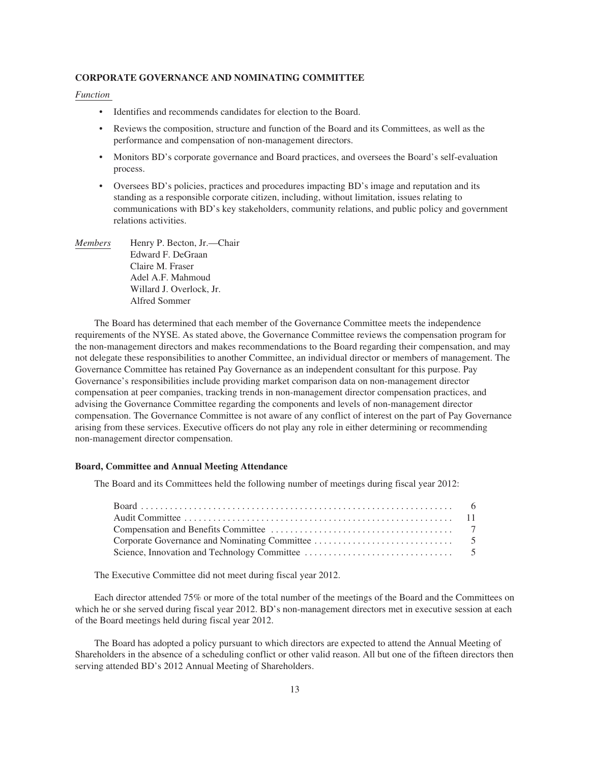# **CORPORATE GOVERNANCE AND NOMINATING COMMITTEE**

# *Function*

- Identifies and recommends candidates for election to the Board.
- Reviews the composition, structure and function of the Board and its Committees, as well as the performance and compensation of non-management directors.
- Monitors BD's corporate governance and Board practices, and oversees the Board's self-evaluation process.
- Oversees BD's policies, practices and procedures impacting BD's image and reputation and its standing as a responsible corporate citizen, including, without limitation, issues relating to communications with BD's key stakeholders, community relations, and public policy and government relations activities.
- *Members* Henry P. Becton, Jr.—Chair Edward F. DeGraan Claire M. Fraser Adel A.F. Mahmoud Willard J. Overlock, Jr. Alfred Sommer

The Board has determined that each member of the Governance Committee meets the independence requirements of the NYSE. As stated above, the Governance Committee reviews the compensation program for the non-management directors and makes recommendations to the Board regarding their compensation, and may not delegate these responsibilities to another Committee, an individual director or members of management. The Governance Committee has retained Pay Governance as an independent consultant for this purpose. Pay Governance's responsibilities include providing market comparison data on non-management director compensation at peer companies, tracking trends in non-management director compensation practices, and advising the Governance Committee regarding the components and levels of non-management director compensation. The Governance Committee is not aware of any conflict of interest on the part of Pay Governance arising from these services. Executive officers do not play any role in either determining or recommending non-management director compensation.

# **Board, Committee and Annual Meeting Attendance**

The Board and its Committees held the following number of meetings during fiscal year 2012:

The Executive Committee did not meet during fiscal year 2012.

Each director attended 75% or more of the total number of the meetings of the Board and the Committees on which he or she served during fiscal year 2012. BD's non-management directors met in executive session at each of the Board meetings held during fiscal year 2012.

The Board has adopted a policy pursuant to which directors are expected to attend the Annual Meeting of Shareholders in the absence of a scheduling conflict or other valid reason. All but one of the fifteen directors then serving attended BD's 2012 Annual Meeting of Shareholders.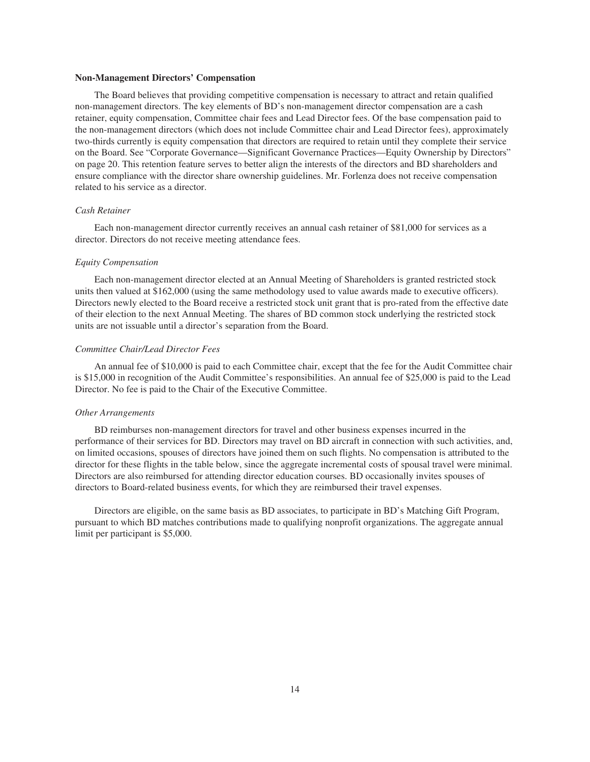#### **Non-Management Directors' Compensation**

The Board believes that providing competitive compensation is necessary to attract and retain qualified non-management directors. The key elements of BD's non-management director compensation are a cash retainer, equity compensation, Committee chair fees and Lead Director fees. Of the base compensation paid to the non-management directors (which does not include Committee chair and Lead Director fees), approximately two-thirds currently is equity compensation that directors are required to retain until they complete their service on the Board. See "Corporate Governance—Significant Governance Practices—Equity Ownership by Directors" on page 20. This retention feature serves to better align the interests of the directors and BD shareholders and ensure compliance with the director share ownership guidelines. Mr. Forlenza does not receive compensation related to his service as a director.

## *Cash Retainer*

Each non-management director currently receives an annual cash retainer of \$81,000 for services as a director. Directors do not receive meeting attendance fees.

#### *Equity Compensation*

Each non-management director elected at an Annual Meeting of Shareholders is granted restricted stock units then valued at \$162,000 (using the same methodology used to value awards made to executive officers). Directors newly elected to the Board receive a restricted stock unit grant that is pro-rated from the effective date of their election to the next Annual Meeting. The shares of BD common stock underlying the restricted stock units are not issuable until a director's separation from the Board.

# *Committee Chair/Lead Director Fees*

An annual fee of \$10,000 is paid to each Committee chair, except that the fee for the Audit Committee chair is \$15,000 in recognition of the Audit Committee's responsibilities. An annual fee of \$25,000 is paid to the Lead Director. No fee is paid to the Chair of the Executive Committee.

# *Other Arrangements*

BD reimburses non-management directors for travel and other business expenses incurred in the performance of their services for BD. Directors may travel on BD aircraft in connection with such activities, and, on limited occasions, spouses of directors have joined them on such flights. No compensation is attributed to the director for these flights in the table below, since the aggregate incremental costs of spousal travel were minimal. Directors are also reimbursed for attending director education courses. BD occasionally invites spouses of directors to Board-related business events, for which they are reimbursed their travel expenses.

Directors are eligible, on the same basis as BD associates, to participate in BD's Matching Gift Program, pursuant to which BD matches contributions made to qualifying nonprofit organizations. The aggregate annual limit per participant is \$5,000.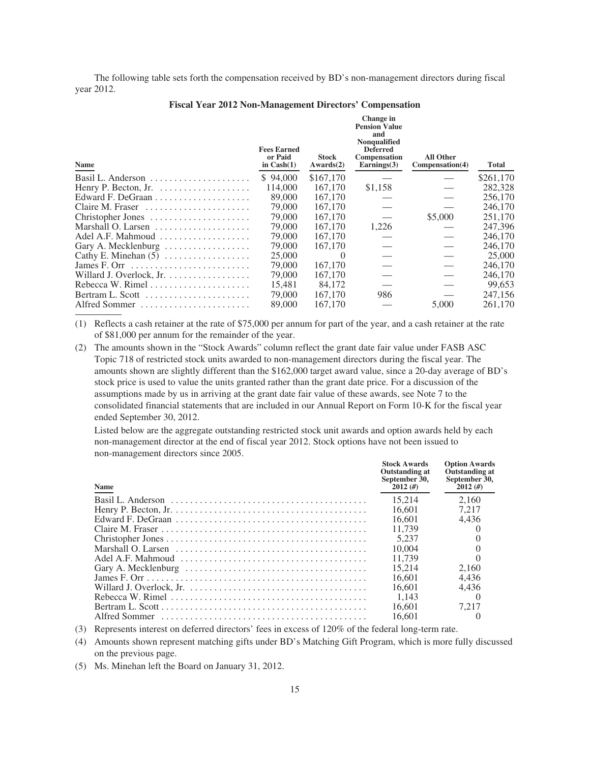The following table sets forth the compensation received by BD's non-management directors during fiscal year 2012.

**Change in**

| Name                                                    | <b>Fees Earned</b><br>or Paid<br>in $Cash(1)$ | <b>Stock</b><br>Awards(2) | <b>Pension Value</b><br>and<br>Nonqualified<br><b>Deferred</b><br><b>Compensation</b><br>$\text{Earnings}(3)$ | <b>All Other</b><br>Compensation(4) | Total     |
|---------------------------------------------------------|-----------------------------------------------|---------------------------|---------------------------------------------------------------------------------------------------------------|-------------------------------------|-----------|
| Basil L. Anderson $\dots\dots\dots\dots\dots\dots\dots$ | \$94,000                                      | \$167,170                 |                                                                                                               |                                     | \$261,170 |
|                                                         | 114,000                                       | 167,170                   | \$1,158                                                                                                       |                                     | 282,328   |
|                                                         | 89,000                                        | 167,170                   |                                                                                                               |                                     | 256,170   |
| Claire M. Fraser                                        | 79,000                                        | 167,170                   |                                                                                                               |                                     | 246,170   |
| Christopher Jones                                       | 79,000                                        | 167,170                   |                                                                                                               | \$5,000                             | 251,170   |
|                                                         | 79,000                                        | 167,170                   | 1,226                                                                                                         |                                     | 247.396   |
| Adel A.F. Mahmoud                                       | 79,000                                        | 167,170                   |                                                                                                               |                                     | 246,170   |
| Gary A. Mecklenburg                                     | 79,000                                        | 167,170                   |                                                                                                               |                                     | 246,170   |
| Cathy E. Minehan $(5)$                                  | 25,000                                        | $\theta$                  |                                                                                                               |                                     | 25,000    |
|                                                         | 79,000                                        | 167,170                   |                                                                                                               |                                     | 246,170   |
| Willard J. Overlock, Jr.                                | 79,000                                        | 167,170                   |                                                                                                               |                                     | 246,170   |
| Rebecca W. Rimel                                        | 15.481                                        | 84,172                    |                                                                                                               |                                     | 99.653    |
|                                                         | 79,000                                        | 167,170                   | 986                                                                                                           |                                     | 247,156   |
| Alfred Sommer                                           | 89,000                                        | 167,170                   |                                                                                                               | 5,000                               | 261,170   |
|                                                         |                                               |                           |                                                                                                               |                                     |           |

(1) Reflects a cash retainer at the rate of \$75,000 per annum for part of the year, and a cash retainer at the rate of \$81,000 per annum for the remainder of the year.

(2) The amounts shown in the "Stock Awards" column reflect the grant date fair value under FASB ASC Topic 718 of restricted stock units awarded to non-management directors during the fiscal year. The amounts shown are slightly different than the \$162,000 target award value, since a 20-day average of BD's stock price is used to value the units granted rather than the grant date price. For a discussion of the assumptions made by us in arriving at the grant date fair value of these awards, see Note 7 to the consolidated financial statements that are included in our Annual Report on Form 10-K for the fiscal year ended September 30, 2012.

Listed below are the aggregate outstanding restricted stock unit awards and option awards held by each non-management director at the end of fiscal year 2012. Stock options have not been issued to non-management directors since 2005.

| <b>Name</b>                                                                                                | <b>Stock Awards</b><br><b>Outstanding at</b><br>September 30,<br>2012(f) | <b>Option Awards</b><br><b>Outstanding at</b><br>September 30,<br>2012(f) |
|------------------------------------------------------------------------------------------------------------|--------------------------------------------------------------------------|---------------------------------------------------------------------------|
|                                                                                                            | 15.214                                                                   | 2.160                                                                     |
| Henry P. Becton, Jr. $\dots \dots \dots \dots \dots \dots \dots \dots \dots \dots \dots \dots \dots \dots$ | 16.601                                                                   | 7.217                                                                     |
|                                                                                                            | 16.601                                                                   | 4.436                                                                     |
|                                                                                                            | 11.739                                                                   |                                                                           |
|                                                                                                            | 5.237                                                                    |                                                                           |
|                                                                                                            | 10,004                                                                   |                                                                           |
|                                                                                                            | 11.739                                                                   |                                                                           |
|                                                                                                            | 15.214                                                                   | 2.160                                                                     |
|                                                                                                            | 16.601                                                                   | 4.436                                                                     |
|                                                                                                            | 16.601                                                                   | 4.436                                                                     |
|                                                                                                            | 1.143                                                                    |                                                                           |
|                                                                                                            | 16.601                                                                   | 7.217                                                                     |
|                                                                                                            | 16.601                                                                   |                                                                           |

(3) Represents interest on deferred directors' fees in excess of 120% of the federal long-term rate.

(4) Amounts shown represent matching gifts under BD's Matching Gift Program, which is more fully discussed on the previous page.

(5) Ms. Minehan left the Board on January 31, 2012.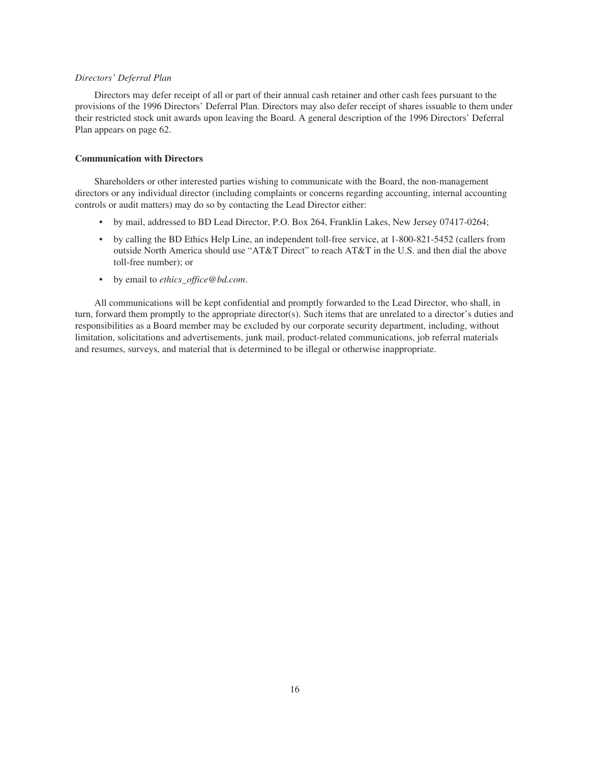# *Directors' Deferral Plan*

Directors may defer receipt of all or part of their annual cash retainer and other cash fees pursuant to the provisions of the 1996 Directors' Deferral Plan. Directors may also defer receipt of shares issuable to them under their restricted stock unit awards upon leaving the Board. A general description of the 1996 Directors' Deferral Plan appears on page 62.

# **Communication with Directors**

Shareholders or other interested parties wishing to communicate with the Board, the non-management directors or any individual director (including complaints or concerns regarding accounting, internal accounting controls or audit matters) may do so by contacting the Lead Director either:

- by mail, addressed to BD Lead Director, P.O. Box 264, Franklin Lakes, New Jersey 07417-0264;
- by calling the BD Ethics Help Line, an independent toll-free service, at 1-800-821-5452 (callers from outside North America should use "AT&T Direct" to reach AT&T in the U.S. and then dial the above toll-free number); or
- by email to *ethics\_office@bd.com*.

All communications will be kept confidential and promptly forwarded to the Lead Director, who shall, in turn, forward them promptly to the appropriate director(s). Such items that are unrelated to a director's duties and responsibilities as a Board member may be excluded by our corporate security department, including, without limitation, solicitations and advertisements, junk mail, product-related communications, job referral materials and resumes, surveys, and material that is determined to be illegal or otherwise inappropriate.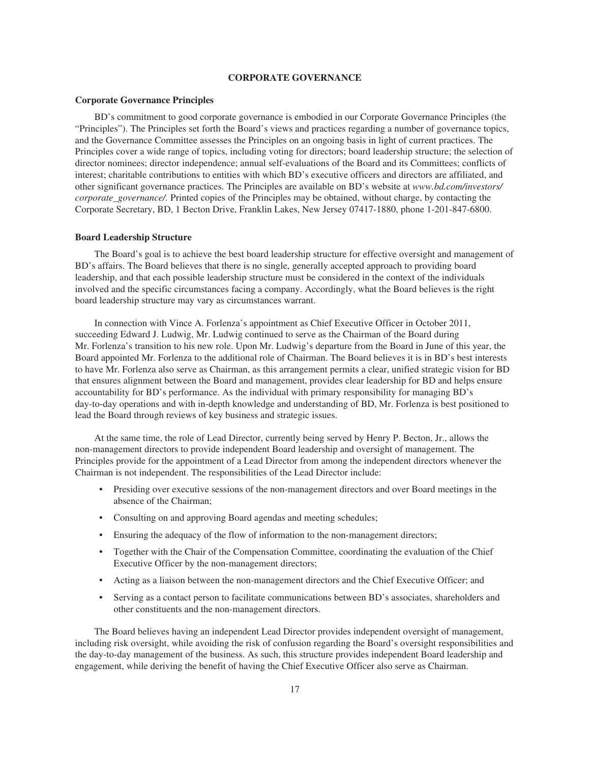# **CORPORATE GOVERNANCE**

### **Corporate Governance Principles**

BD's commitment to good corporate governance is embodied in our Corporate Governance Principles (the "Principles"). The Principles set forth the Board's views and practices regarding a number of governance topics, and the Governance Committee assesses the Principles on an ongoing basis in light of current practices. The Principles cover a wide range of topics, including voting for directors; board leadership structure; the selection of director nominees; director independence; annual self-evaluations of the Board and its Committees; conflicts of interest; charitable contributions to entities with which BD's executive officers and directors are affiliated, and other significant governance practices. The Principles are available on BD's website at *www.bd.com/investors/ corporate\_governance/.* Printed copies of the Principles may be obtained, without charge, by contacting the Corporate Secretary, BD, 1 Becton Drive, Franklin Lakes, New Jersey 07417-1880, phone 1-201-847-6800.

# **Board Leadership Structure**

The Board's goal is to achieve the best board leadership structure for effective oversight and management of BD's affairs. The Board believes that there is no single, generally accepted approach to providing board leadership, and that each possible leadership structure must be considered in the context of the individuals involved and the specific circumstances facing a company. Accordingly, what the Board believes is the right board leadership structure may vary as circumstances warrant.

In connection with Vince A. Forlenza's appointment as Chief Executive Officer in October 2011, succeeding Edward J. Ludwig, Mr. Ludwig continued to serve as the Chairman of the Board during Mr. Forlenza's transition to his new role. Upon Mr. Ludwig's departure from the Board in June of this year, the Board appointed Mr. Forlenza to the additional role of Chairman. The Board believes it is in BD's best interests to have Mr. Forlenza also serve as Chairman, as this arrangement permits a clear, unified strategic vision for BD that ensures alignment between the Board and management, provides clear leadership for BD and helps ensure accountability for BD's performance. As the individual with primary responsibility for managing BD's day-to-day operations and with in-depth knowledge and understanding of BD, Mr. Forlenza is best positioned to lead the Board through reviews of key business and strategic issues.

At the same time, the role of Lead Director, currently being served by Henry P. Becton, Jr., allows the non-management directors to provide independent Board leadership and oversight of management. The Principles provide for the appointment of a Lead Director from among the independent directors whenever the Chairman is not independent. The responsibilities of the Lead Director include:

- Presiding over executive sessions of the non-management directors and over Board meetings in the absence of the Chairman;
- Consulting on and approving Board agendas and meeting schedules;
- Ensuring the adequacy of the flow of information to the non-management directors;
- Together with the Chair of the Compensation Committee, coordinating the evaluation of the Chief Executive Officer by the non-management directors;
- Acting as a liaison between the non-management directors and the Chief Executive Officer; and
- Serving as a contact person to facilitate communications between BD's associates, shareholders and other constituents and the non-management directors.

The Board believes having an independent Lead Director provides independent oversight of management, including risk oversight, while avoiding the risk of confusion regarding the Board's oversight responsibilities and the day-to-day management of the business. As such, this structure provides independent Board leadership and engagement, while deriving the benefit of having the Chief Executive Officer also serve as Chairman.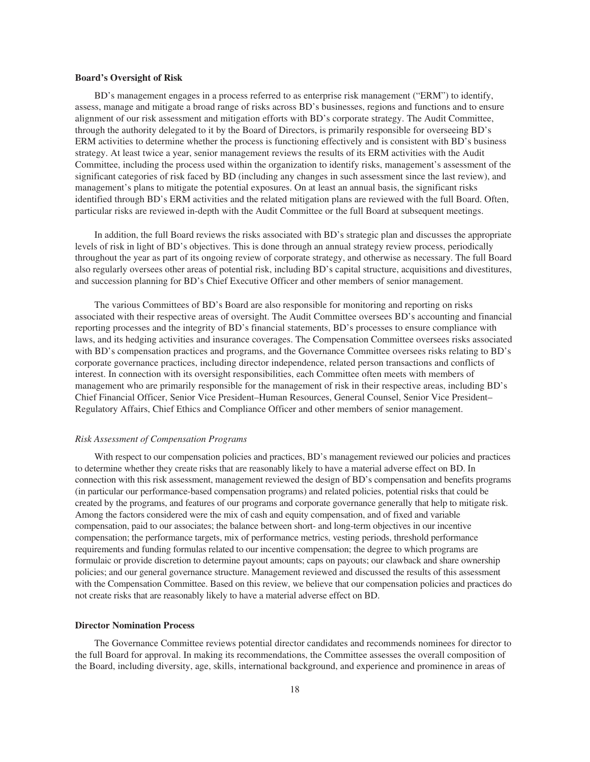### **Board's Oversight of Risk**

BD's management engages in a process referred to as enterprise risk management ("ERM") to identify, assess, manage and mitigate a broad range of risks across BD's businesses, regions and functions and to ensure alignment of our risk assessment and mitigation efforts with BD's corporate strategy. The Audit Committee, through the authority delegated to it by the Board of Directors, is primarily responsible for overseeing BD's ERM activities to determine whether the process is functioning effectively and is consistent with BD's business strategy. At least twice a year, senior management reviews the results of its ERM activities with the Audit Committee, including the process used within the organization to identify risks, management's assessment of the significant categories of risk faced by BD (including any changes in such assessment since the last review), and management's plans to mitigate the potential exposures. On at least an annual basis, the significant risks identified through BD's ERM activities and the related mitigation plans are reviewed with the full Board. Often, particular risks are reviewed in-depth with the Audit Committee or the full Board at subsequent meetings.

In addition, the full Board reviews the risks associated with BD's strategic plan and discusses the appropriate levels of risk in light of BD's objectives. This is done through an annual strategy review process, periodically throughout the year as part of its ongoing review of corporate strategy, and otherwise as necessary. The full Board also regularly oversees other areas of potential risk, including BD's capital structure, acquisitions and divestitures, and succession planning for BD's Chief Executive Officer and other members of senior management.

The various Committees of BD's Board are also responsible for monitoring and reporting on risks associated with their respective areas of oversight. The Audit Committee oversees BD's accounting and financial reporting processes and the integrity of BD's financial statements, BD's processes to ensure compliance with laws, and its hedging activities and insurance coverages. The Compensation Committee oversees risks associated with BD's compensation practices and programs, and the Governance Committee oversees risks relating to BD's corporate governance practices, including director independence, related person transactions and conflicts of interest. In connection with its oversight responsibilities, each Committee often meets with members of management who are primarily responsible for the management of risk in their respective areas, including BD's Chief Financial Officer, Senior Vice President–Human Resources, General Counsel, Senior Vice President– Regulatory Affairs, Chief Ethics and Compliance Officer and other members of senior management.

# *Risk Assessment of Compensation Programs*

With respect to our compensation policies and practices, BD's management reviewed our policies and practices to determine whether they create risks that are reasonably likely to have a material adverse effect on BD. In connection with this risk assessment, management reviewed the design of BD's compensation and benefits programs (in particular our performance-based compensation programs) and related policies, potential risks that could be created by the programs, and features of our programs and corporate governance generally that help to mitigate risk. Among the factors considered were the mix of cash and equity compensation, and of fixed and variable compensation, paid to our associates; the balance between short- and long-term objectives in our incentive compensation; the performance targets, mix of performance metrics, vesting periods, threshold performance requirements and funding formulas related to our incentive compensation; the degree to which programs are formulaic or provide discretion to determine payout amounts; caps on payouts; our clawback and share ownership policies; and our general governance structure. Management reviewed and discussed the results of this assessment with the Compensation Committee. Based on this review, we believe that our compensation policies and practices do not create risks that are reasonably likely to have a material adverse effect on BD.

#### **Director Nomination Process**

The Governance Committee reviews potential director candidates and recommends nominees for director to the full Board for approval. In making its recommendations, the Committee assesses the overall composition of the Board, including diversity, age, skills, international background, and experience and prominence in areas of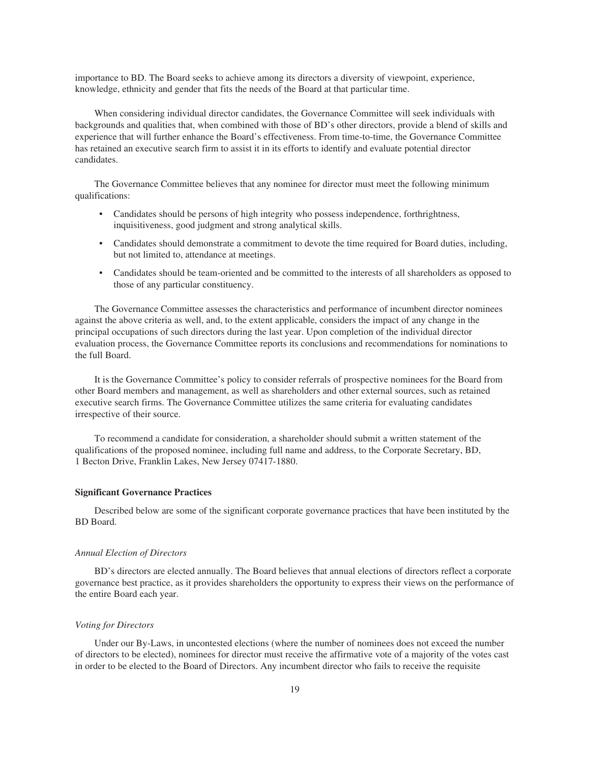importance to BD. The Board seeks to achieve among its directors a diversity of viewpoint, experience, knowledge, ethnicity and gender that fits the needs of the Board at that particular time.

When considering individual director candidates, the Governance Committee will seek individuals with backgrounds and qualities that, when combined with those of BD's other directors, provide a blend of skills and experience that will further enhance the Board's effectiveness. From time-to-time, the Governance Committee has retained an executive search firm to assist it in its efforts to identify and evaluate potential director candidates.

The Governance Committee believes that any nominee for director must meet the following minimum qualifications:

- Candidates should be persons of high integrity who possess independence, forthrightness, inquisitiveness, good judgment and strong analytical skills.
- Candidates should demonstrate a commitment to devote the time required for Board duties, including, but not limited to, attendance at meetings.
- Candidates should be team-oriented and be committed to the interests of all shareholders as opposed to those of any particular constituency.

The Governance Committee assesses the characteristics and performance of incumbent director nominees against the above criteria as well, and, to the extent applicable, considers the impact of any change in the principal occupations of such directors during the last year. Upon completion of the individual director evaluation process, the Governance Committee reports its conclusions and recommendations for nominations to the full Board.

It is the Governance Committee's policy to consider referrals of prospective nominees for the Board from other Board members and management, as well as shareholders and other external sources, such as retained executive search firms. The Governance Committee utilizes the same criteria for evaluating candidates irrespective of their source.

To recommend a candidate for consideration, a shareholder should submit a written statement of the qualifications of the proposed nominee, including full name and address, to the Corporate Secretary, BD, 1 Becton Drive, Franklin Lakes, New Jersey 07417-1880.

# **Significant Governance Practices**

Described below are some of the significant corporate governance practices that have been instituted by the BD Board.

#### *Annual Election of Directors*

BD's directors are elected annually. The Board believes that annual elections of directors reflect a corporate governance best practice, as it provides shareholders the opportunity to express their views on the performance of the entire Board each year.

#### *Voting for Directors*

Under our By-Laws, in uncontested elections (where the number of nominees does not exceed the number of directors to be elected), nominees for director must receive the affirmative vote of a majority of the votes cast in order to be elected to the Board of Directors. Any incumbent director who fails to receive the requisite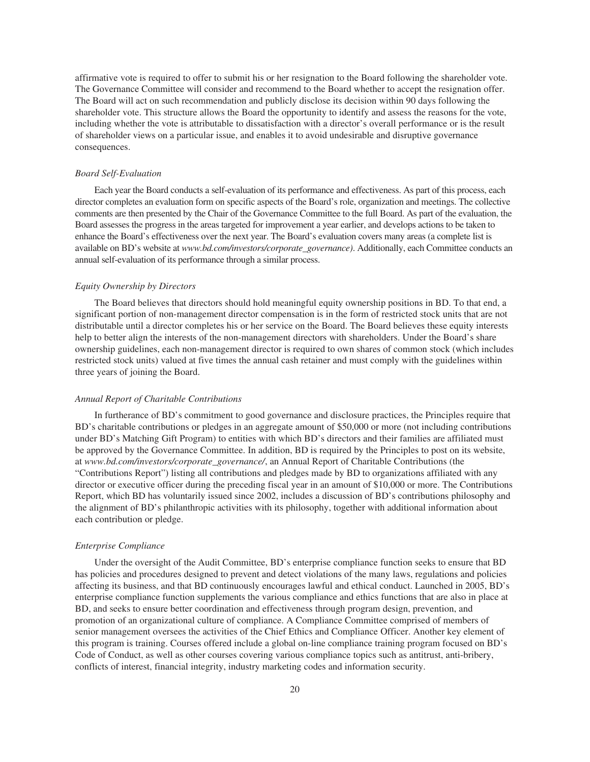affirmative vote is required to offer to submit his or her resignation to the Board following the shareholder vote. The Governance Committee will consider and recommend to the Board whether to accept the resignation offer. The Board will act on such recommendation and publicly disclose its decision within 90 days following the shareholder vote. This structure allows the Board the opportunity to identify and assess the reasons for the vote, including whether the vote is attributable to dissatisfaction with a director's overall performance or is the result of shareholder views on a particular issue, and enables it to avoid undesirable and disruptive governance consequences.

## *Board Self-Evaluation*

Each year the Board conducts a self-evaluation of its performance and effectiveness. As part of this process, each director completes an evaluation form on specific aspects of the Board's role, organization and meetings. The collective comments are then presented by the Chair of the Governance Committee to the full Board. As part of the evaluation, the Board assesses the progress in the areas targeted for improvement a year earlier, and develops actions to be taken to enhance the Board's effectiveness over the next year. The Board's evaluation covers many areas (a complete list is available on BD's website at *www.bd.com/investors/corporate\_governance)*. Additionally, each Committee conducts an annual self-evaluation of its performance through a similar process.

# *Equity Ownership by Directors*

The Board believes that directors should hold meaningful equity ownership positions in BD. To that end, a significant portion of non-management director compensation is in the form of restricted stock units that are not distributable until a director completes his or her service on the Board. The Board believes these equity interests help to better align the interests of the non-management directors with shareholders. Under the Board's share ownership guidelines, each non-management director is required to own shares of common stock (which includes restricted stock units) valued at five times the annual cash retainer and must comply with the guidelines within three years of joining the Board.

### *Annual Report of Charitable Contributions*

In furtherance of BD's commitment to good governance and disclosure practices, the Principles require that BD's charitable contributions or pledges in an aggregate amount of \$50,000 or more (not including contributions under BD's Matching Gift Program) to entities with which BD's directors and their families are affiliated must be approved by the Governance Committee. In addition, BD is required by the Principles to post on its website, at *www.bd.com/investors/corporate\_governance/*, an Annual Report of Charitable Contributions (the "Contributions Report") listing all contributions and pledges made by BD to organizations affiliated with any director or executive officer during the preceding fiscal year in an amount of \$10,000 or more. The Contributions Report, which BD has voluntarily issued since 2002, includes a discussion of BD's contributions philosophy and the alignment of BD's philanthropic activities with its philosophy, together with additional information about each contribution or pledge.

#### *Enterprise Compliance*

Under the oversight of the Audit Committee, BD's enterprise compliance function seeks to ensure that BD has policies and procedures designed to prevent and detect violations of the many laws, regulations and policies affecting its business, and that BD continuously encourages lawful and ethical conduct. Launched in 2005, BD's enterprise compliance function supplements the various compliance and ethics functions that are also in place at BD, and seeks to ensure better coordination and effectiveness through program design, prevention, and promotion of an organizational culture of compliance. A Compliance Committee comprised of members of senior management oversees the activities of the Chief Ethics and Compliance Officer. Another key element of this program is training. Courses offered include a global on-line compliance training program focused on BD's Code of Conduct, as well as other courses covering various compliance topics such as antitrust, anti-bribery, conflicts of interest, financial integrity, industry marketing codes and information security.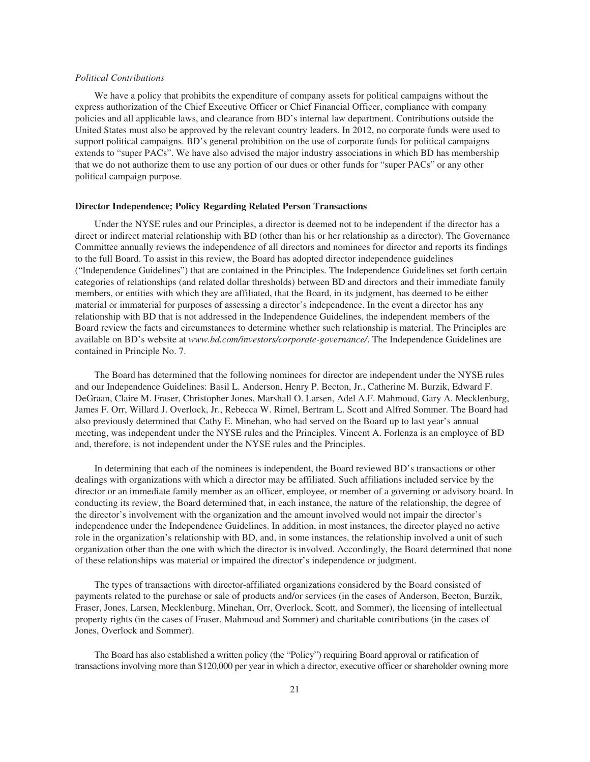## *Political Contributions*

We have a policy that prohibits the expenditure of company assets for political campaigns without the express authorization of the Chief Executive Officer or Chief Financial Officer, compliance with company policies and all applicable laws, and clearance from BD's internal law department. Contributions outside the United States must also be approved by the relevant country leaders. In 2012, no corporate funds were used to support political campaigns. BD's general prohibition on the use of corporate funds for political campaigns extends to "super PACs". We have also advised the major industry associations in which BD has membership that we do not authorize them to use any portion of our dues or other funds for "super PACs" or any other political campaign purpose.

#### **Director Independence; Policy Regarding Related Person Transactions**

Under the NYSE rules and our Principles, a director is deemed not to be independent if the director has a direct or indirect material relationship with BD (other than his or her relationship as a director). The Governance Committee annually reviews the independence of all directors and nominees for director and reports its findings to the full Board. To assist in this review, the Board has adopted director independence guidelines ("Independence Guidelines") that are contained in the Principles. The Independence Guidelines set forth certain categories of relationships (and related dollar thresholds) between BD and directors and their immediate family members, or entities with which they are affiliated, that the Board, in its judgment, has deemed to be either material or immaterial for purposes of assessing a director's independence. In the event a director has any relationship with BD that is not addressed in the Independence Guidelines, the independent members of the Board review the facts and circumstances to determine whether such relationship is material. The Principles are available on BD's website at *www.bd.com/investors/corporate-governance/*. The Independence Guidelines are contained in Principle No. 7.

The Board has determined that the following nominees for director are independent under the NYSE rules and our Independence Guidelines: Basil L. Anderson, Henry P. Becton, Jr., Catherine M. Burzik, Edward F. DeGraan, Claire M. Fraser, Christopher Jones, Marshall O. Larsen, Adel A.F. Mahmoud, Gary A. Mecklenburg, James F. Orr, Willard J. Overlock, Jr., Rebecca W. Rimel, Bertram L. Scott and Alfred Sommer. The Board had also previously determined that Cathy E. Minehan, who had served on the Board up to last year's annual meeting, was independent under the NYSE rules and the Principles. Vincent A. Forlenza is an employee of BD and, therefore, is not independent under the NYSE rules and the Principles.

In determining that each of the nominees is independent, the Board reviewed BD's transactions or other dealings with organizations with which a director may be affiliated. Such affiliations included service by the director or an immediate family member as an officer, employee, or member of a governing or advisory board. In conducting its review, the Board determined that, in each instance, the nature of the relationship, the degree of the director's involvement with the organization and the amount involved would not impair the director's independence under the Independence Guidelines. In addition, in most instances, the director played no active role in the organization's relationship with BD, and, in some instances, the relationship involved a unit of such organization other than the one with which the director is involved. Accordingly, the Board determined that none of these relationships was material or impaired the director's independence or judgment.

The types of transactions with director-affiliated organizations considered by the Board consisted of payments related to the purchase or sale of products and/or services (in the cases of Anderson, Becton, Burzik, Fraser, Jones, Larsen, Mecklenburg, Minehan, Orr, Overlock, Scott, and Sommer), the licensing of intellectual property rights (in the cases of Fraser, Mahmoud and Sommer) and charitable contributions (in the cases of Jones, Overlock and Sommer).

The Board has also established a written policy (the "Policy") requiring Board approval or ratification of transactions involving more than \$120,000 per year in which a director, executive officer or shareholder owning more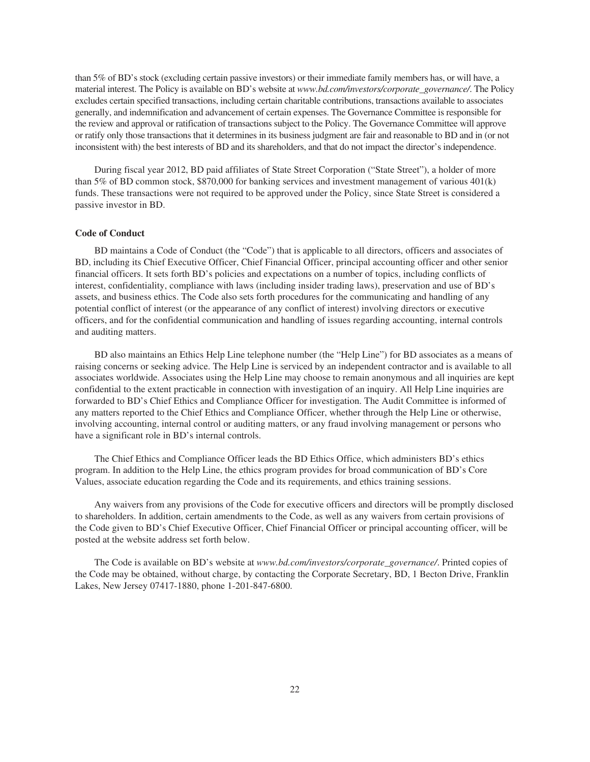than 5% of BD's stock (excluding certain passive investors) or their immediate family members has, or will have, a material interest. The Policy is available on BD's website at *www.bd.com/investors/corporate\_governance/*. The Policy excludes certain specified transactions, including certain charitable contributions, transactions available to associates generally, and indemnification and advancement of certain expenses. The Governance Committee is responsible for the review and approval or ratification of transactions subject to the Policy. The Governance Committee will approve or ratify only those transactions that it determines in its business judgment are fair and reasonable to BD and in (or not inconsistent with) the best interests of BD and its shareholders, and that do not impact the director's independence.

During fiscal year 2012, BD paid affiliates of State Street Corporation ("State Street"), a holder of more than 5% of BD common stock, \$870,000 for banking services and investment management of various 401(k) funds. These transactions were not required to be approved under the Policy, since State Street is considered a passive investor in BD.

## **Code of Conduct**

BD maintains a Code of Conduct (the "Code") that is applicable to all directors, officers and associates of BD, including its Chief Executive Officer, Chief Financial Officer, principal accounting officer and other senior financial officers. It sets forth BD's policies and expectations on a number of topics, including conflicts of interest, confidentiality, compliance with laws (including insider trading laws), preservation and use of BD's assets, and business ethics. The Code also sets forth procedures for the communicating and handling of any potential conflict of interest (or the appearance of any conflict of interest) involving directors or executive officers, and for the confidential communication and handling of issues regarding accounting, internal controls and auditing matters.

BD also maintains an Ethics Help Line telephone number (the "Help Line") for BD associates as a means of raising concerns or seeking advice. The Help Line is serviced by an independent contractor and is available to all associates worldwide. Associates using the Help Line may choose to remain anonymous and all inquiries are kept confidential to the extent practicable in connection with investigation of an inquiry. All Help Line inquiries are forwarded to BD's Chief Ethics and Compliance Officer for investigation. The Audit Committee is informed of any matters reported to the Chief Ethics and Compliance Officer, whether through the Help Line or otherwise, involving accounting, internal control or auditing matters, or any fraud involving management or persons who have a significant role in BD's internal controls.

The Chief Ethics and Compliance Officer leads the BD Ethics Office, which administers BD's ethics program. In addition to the Help Line, the ethics program provides for broad communication of BD's Core Values, associate education regarding the Code and its requirements, and ethics training sessions.

Any waivers from any provisions of the Code for executive officers and directors will be promptly disclosed to shareholders. In addition, certain amendments to the Code, as well as any waivers from certain provisions of the Code given to BD's Chief Executive Officer, Chief Financial Officer or principal accounting officer, will be posted at the website address set forth below.

The Code is available on BD's website at *www.bd.com/investors/corporate\_governance/*. Printed copies of the Code may be obtained, without charge, by contacting the Corporate Secretary, BD, 1 Becton Drive, Franklin Lakes, New Jersey 07417-1880, phone 1-201-847-6800.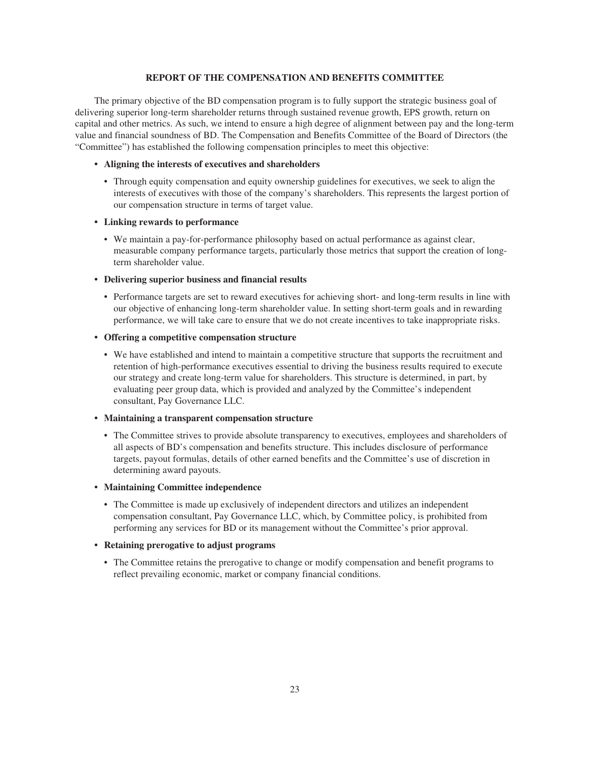# **REPORT OF THE COMPENSATION AND BENEFITS COMMITTEE**

The primary objective of the BD compensation program is to fully support the strategic business goal of delivering superior long-term shareholder returns through sustained revenue growth, EPS growth, return on capital and other metrics. As such, we intend to ensure a high degree of alignment between pay and the long-term value and financial soundness of BD. The Compensation and Benefits Committee of the Board of Directors (the "Committee") has established the following compensation principles to meet this objective:

# **• Aligning the interests of executives and shareholders**

• Through equity compensation and equity ownership guidelines for executives, we seek to align the interests of executives with those of the company's shareholders. This represents the largest portion of our compensation structure in terms of target value.

# **• Linking rewards to performance**

• We maintain a pay-for-performance philosophy based on actual performance as against clear, measurable company performance targets, particularly those metrics that support the creation of longterm shareholder value.

# **• Delivering superior business and financial results**

• Performance targets are set to reward executives for achieving short- and long-term results in line with our objective of enhancing long-term shareholder value. In setting short-term goals and in rewarding performance, we will take care to ensure that we do not create incentives to take inappropriate risks.

# **• Offering a competitive compensation structure**

• We have established and intend to maintain a competitive structure that supports the recruitment and retention of high-performance executives essential to driving the business results required to execute our strategy and create long-term value for shareholders. This structure is determined, in part, by evaluating peer group data, which is provided and analyzed by the Committee's independent consultant, Pay Governance LLC.

# **• Maintaining a transparent compensation structure**

• The Committee strives to provide absolute transparency to executives, employees and shareholders of all aspects of BD's compensation and benefits structure. This includes disclosure of performance targets, payout formulas, details of other earned benefits and the Committee's use of discretion in determining award payouts.

# **• Maintaining Committee independence**

• The Committee is made up exclusively of independent directors and utilizes an independent compensation consultant, Pay Governance LLC, which, by Committee policy, is prohibited from performing any services for BD or its management without the Committee's prior approval.

# **• Retaining prerogative to adjust programs**

• The Committee retains the prerogative to change or modify compensation and benefit programs to reflect prevailing economic, market or company financial conditions.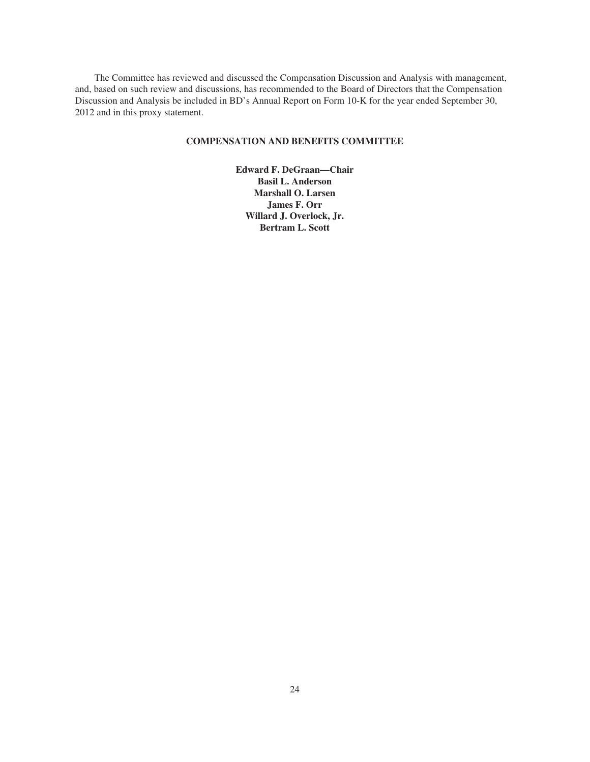The Committee has reviewed and discussed the Compensation Discussion and Analysis with management, and, based on such review and discussions, has recommended to the Board of Directors that the Compensation Discussion and Analysis be included in BD's Annual Report on Form 10-K for the year ended September 30, 2012 and in this proxy statement.

# **COMPENSATION AND BENEFITS COMMITTEE**

**Edward F. DeGraan—Chair Basil L. Anderson Marshall O. Larsen James F. Orr Willard J. Overlock, Jr. Bertram L. Scott**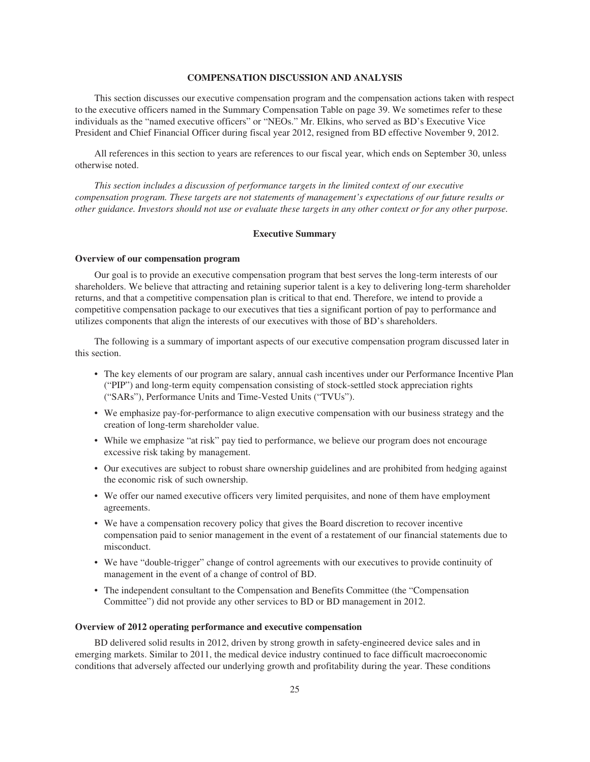# **COMPENSATION DISCUSSION AND ANALYSIS**

This section discusses our executive compensation program and the compensation actions taken with respect to the executive officers named in the Summary Compensation Table on page 39. We sometimes refer to these individuals as the "named executive officers" or "NEOs." Mr. Elkins, who served as BD's Executive Vice President and Chief Financial Officer during fiscal year 2012, resigned from BD effective November 9, 2012.

All references in this section to years are references to our fiscal year, which ends on September 30, unless otherwise noted.

*This section includes a discussion of performance targets in the limited context of our executive compensation program. These targets are not statements of management's expectations of our future results or other guidance. Investors should not use or evaluate these targets in any other context or for any other purpose.*

## **Executive Summary**

# **Overview of our compensation program**

Our goal is to provide an executive compensation program that best serves the long-term interests of our shareholders. We believe that attracting and retaining superior talent is a key to delivering long-term shareholder returns, and that a competitive compensation plan is critical to that end. Therefore, we intend to provide a competitive compensation package to our executives that ties a significant portion of pay to performance and utilizes components that align the interests of our executives with those of BD's shareholders.

The following is a summary of important aspects of our executive compensation program discussed later in this section.

- The key elements of our program are salary, annual cash incentives under our Performance Incentive Plan ("PIP") and long-term equity compensation consisting of stock-settled stock appreciation rights ("SARs"), Performance Units and Time-Vested Units ("TVUs").
- We emphasize pay-for-performance to align executive compensation with our business strategy and the creation of long-term shareholder value.
- While we emphasize "at risk" pay tied to performance, we believe our program does not encourage excessive risk taking by management.
- Our executives are subject to robust share ownership guidelines and are prohibited from hedging against the economic risk of such ownership.
- We offer our named executive officers very limited perquisites, and none of them have employment agreements.
- We have a compensation recovery policy that gives the Board discretion to recover incentive compensation paid to senior management in the event of a restatement of our financial statements due to misconduct.
- We have "double-trigger" change of control agreements with our executives to provide continuity of management in the event of a change of control of BD.
- The independent consultant to the Compensation and Benefits Committee (the "Compensation Committee") did not provide any other services to BD or BD management in 2012.

#### **Overview of 2012 operating performance and executive compensation**

BD delivered solid results in 2012, driven by strong growth in safety-engineered device sales and in emerging markets. Similar to 2011, the medical device industry continued to face difficult macroeconomic conditions that adversely affected our underlying growth and profitability during the year. These conditions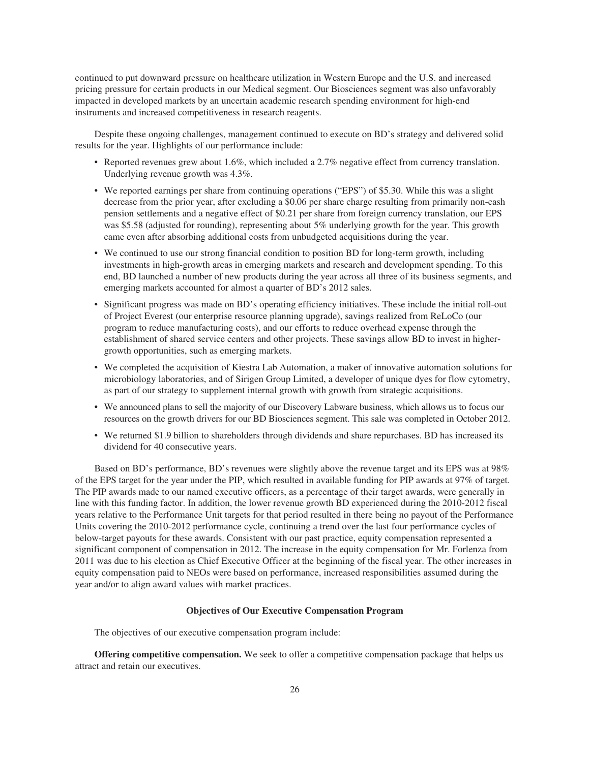continued to put downward pressure on healthcare utilization in Western Europe and the U.S. and increased pricing pressure for certain products in our Medical segment. Our Biosciences segment was also unfavorably impacted in developed markets by an uncertain academic research spending environment for high-end instruments and increased competitiveness in research reagents.

Despite these ongoing challenges, management continued to execute on BD's strategy and delivered solid results for the year. Highlights of our performance include:

- Reported revenues grew about 1.6%, which included a 2.7% negative effect from currency translation. Underlying revenue growth was 4.3%.
- We reported earnings per share from continuing operations ("EPS") of \$5.30. While this was a slight decrease from the prior year, after excluding a \$0.06 per share charge resulting from primarily non-cash pension settlements and a negative effect of \$0.21 per share from foreign currency translation, our EPS was \$5.58 (adjusted for rounding), representing about 5% underlying growth for the year. This growth came even after absorbing additional costs from unbudgeted acquisitions during the year.
- We continued to use our strong financial condition to position BD for long-term growth, including investments in high-growth areas in emerging markets and research and development spending. To this end, BD launched a number of new products during the year across all three of its business segments, and emerging markets accounted for almost a quarter of BD's 2012 sales.
- Significant progress was made on BD's operating efficiency initiatives. These include the initial roll-out of Project Everest (our enterprise resource planning upgrade), savings realized from ReLoCo (our program to reduce manufacturing costs), and our efforts to reduce overhead expense through the establishment of shared service centers and other projects. These savings allow BD to invest in highergrowth opportunities, such as emerging markets.
- We completed the acquisition of Kiestra Lab Automation, a maker of innovative automation solutions for microbiology laboratories, and of Sirigen Group Limited, a developer of unique dyes for flow cytometry, as part of our strategy to supplement internal growth with growth from strategic acquisitions.
- We announced plans to sell the majority of our Discovery Labware business, which allows us to focus our resources on the growth drivers for our BD Biosciences segment. This sale was completed in October 2012.
- We returned \$1.9 billion to shareholders through dividends and share repurchases. BD has increased its dividend for 40 consecutive years.

Based on BD's performance, BD's revenues were slightly above the revenue target and its EPS was at 98% of the EPS target for the year under the PIP, which resulted in available funding for PIP awards at 97% of target. The PIP awards made to our named executive officers, as a percentage of their target awards, were generally in line with this funding factor. In addition, the lower revenue growth BD experienced during the 2010-2012 fiscal years relative to the Performance Unit targets for that period resulted in there being no payout of the Performance Units covering the 2010-2012 performance cycle, continuing a trend over the last four performance cycles of below-target payouts for these awards. Consistent with our past practice, equity compensation represented a significant component of compensation in 2012. The increase in the equity compensation for Mr. Forlenza from 2011 was due to his election as Chief Executive Officer at the beginning of the fiscal year. The other increases in equity compensation paid to NEOs were based on performance, increased responsibilities assumed during the year and/or to align award values with market practices.

# **Objectives of Our Executive Compensation Program**

The objectives of our executive compensation program include:

**Offering competitive compensation.** We seek to offer a competitive compensation package that helps us attract and retain our executives.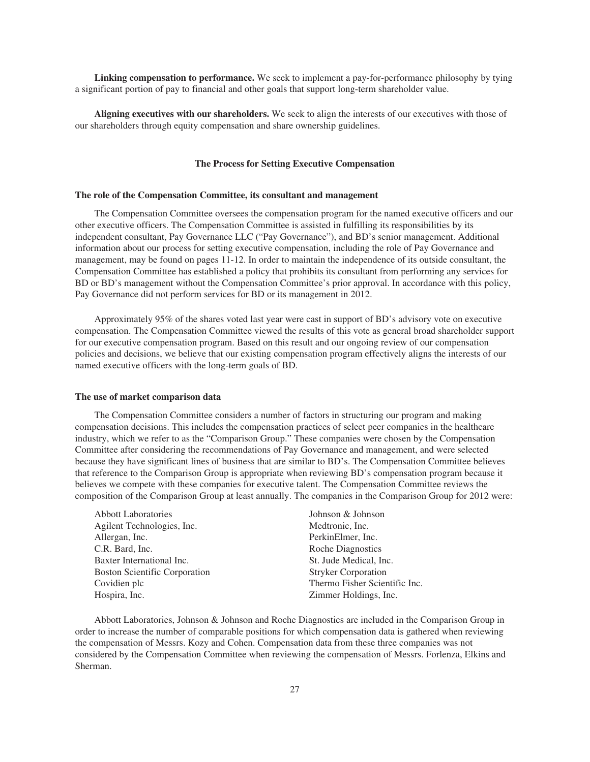**Linking compensation to performance.** We seek to implement a pay-for-performance philosophy by tying a significant portion of pay to financial and other goals that support long-term shareholder value.

**Aligning executives with our shareholders.** We seek to align the interests of our executives with those of our shareholders through equity compensation and share ownership guidelines.

# **The Process for Setting Executive Compensation**

#### **The role of the Compensation Committee, its consultant and management**

The Compensation Committee oversees the compensation program for the named executive officers and our other executive officers. The Compensation Committee is assisted in fulfilling its responsibilities by its independent consultant, Pay Governance LLC ("Pay Governance"), and BD's senior management. Additional information about our process for setting executive compensation, including the role of Pay Governance and management, may be found on pages 11-12. In order to maintain the independence of its outside consultant, the Compensation Committee has established a policy that prohibits its consultant from performing any services for BD or BD's management without the Compensation Committee's prior approval. In accordance with this policy, Pay Governance did not perform services for BD or its management in 2012.

Approximately 95% of the shares voted last year were cast in support of BD's advisory vote on executive compensation. The Compensation Committee viewed the results of this vote as general broad shareholder support for our executive compensation program. Based on this result and our ongoing review of our compensation policies and decisions, we believe that our existing compensation program effectively aligns the interests of our named executive officers with the long-term goals of BD.

#### **The use of market comparison data**

The Compensation Committee considers a number of factors in structuring our program and making compensation decisions. This includes the compensation practices of select peer companies in the healthcare industry, which we refer to as the "Comparison Group." These companies were chosen by the Compensation Committee after considering the recommendations of Pay Governance and management, and were selected because they have significant lines of business that are similar to BD's. The Compensation Committee believes that reference to the Comparison Group is appropriate when reviewing BD's compensation program because it believes we compete with these companies for executive talent. The Compensation Committee reviews the composition of the Comparison Group at least annually. The companies in the Comparison Group for 2012 were:

| <b>Abbott Laboratories</b>           |
|--------------------------------------|
| Agilent Technologies, Inc.           |
| Allergan, Inc.                       |
| C.R. Bard, Inc.                      |
| Baxter International Inc.            |
| <b>Boston Scientific Corporation</b> |
| Covidien plc                         |
| Hospira, Inc.                        |

Johnson & Johnson Medtronic, Inc. PerkinElmer, Inc. Roche Diagnostics St. Jude Medical, Inc. Stryker Corporation Thermo Fisher Scientific Inc. Zimmer Holdings, Inc.

Abbott Laboratories, Johnson & Johnson and Roche Diagnostics are included in the Comparison Group in order to increase the number of comparable positions for which compensation data is gathered when reviewing the compensation of Messrs. Kozy and Cohen. Compensation data from these three companies was not considered by the Compensation Committee when reviewing the compensation of Messrs. Forlenza, Elkins and Sherman.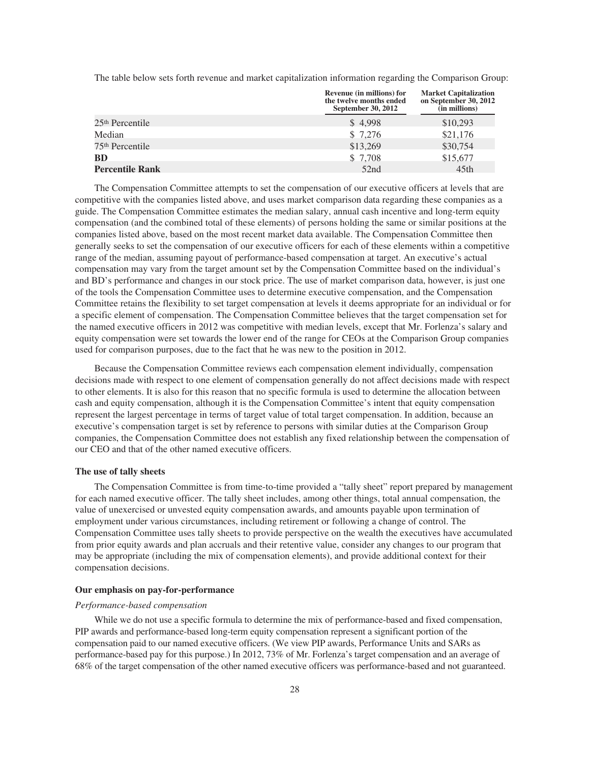The table below sets forth revenue and market capitalization information regarding the Comparison Group:

|                             | Revenue (in millions) for<br>the twelve months ended<br>September 30, 2012 | <b>Market Capitalization</b><br>on September 30, 2012<br>(in millions) |  |  |
|-----------------------------|----------------------------------------------------------------------------|------------------------------------------------------------------------|--|--|
| 25 <sup>th</sup> Percentile | \$4,998                                                                    | \$10,293                                                               |  |  |
| Median                      | \$7,276                                                                    | \$21,176                                                               |  |  |
| 75 <sup>th</sup> Percentile | \$13,269                                                                   | \$30,754                                                               |  |  |
| BD                          | \$7,708                                                                    | \$15,677                                                               |  |  |
| <b>Percentile Rank</b>      | 52nd                                                                       | 45th                                                                   |  |  |
|                             |                                                                            |                                                                        |  |  |

The Compensation Committee attempts to set the compensation of our executive officers at levels that are competitive with the companies listed above, and uses market comparison data regarding these companies as a guide. The Compensation Committee estimates the median salary, annual cash incentive and long-term equity compensation (and the combined total of these elements) of persons holding the same or similar positions at the companies listed above, based on the most recent market data available. The Compensation Committee then generally seeks to set the compensation of our executive officers for each of these elements within a competitive range of the median, assuming payout of performance-based compensation at target. An executive's actual compensation may vary from the target amount set by the Compensation Committee based on the individual's and BD's performance and changes in our stock price. The use of market comparison data, however, is just one of the tools the Compensation Committee uses to determine executive compensation, and the Compensation Committee retains the flexibility to set target compensation at levels it deems appropriate for an individual or for a specific element of compensation. The Compensation Committee believes that the target compensation set for the named executive officers in 2012 was competitive with median levels, except that Mr. Forlenza's salary and equity compensation were set towards the lower end of the range for CEOs at the Comparison Group companies used for comparison purposes, due to the fact that he was new to the position in 2012.

Because the Compensation Committee reviews each compensation element individually, compensation decisions made with respect to one element of compensation generally do not affect decisions made with respect to other elements. It is also for this reason that no specific formula is used to determine the allocation between cash and equity compensation, although it is the Compensation Committee's intent that equity compensation represent the largest percentage in terms of target value of total target compensation. In addition, because an executive's compensation target is set by reference to persons with similar duties at the Comparison Group companies, the Compensation Committee does not establish any fixed relationship between the compensation of our CEO and that of the other named executive officers.

#### **The use of tally sheets**

The Compensation Committee is from time-to-time provided a "tally sheet" report prepared by management for each named executive officer. The tally sheet includes, among other things, total annual compensation, the value of unexercised or unvested equity compensation awards, and amounts payable upon termination of employment under various circumstances, including retirement or following a change of control. The Compensation Committee uses tally sheets to provide perspective on the wealth the executives have accumulated from prior equity awards and plan accruals and their retentive value, consider any changes to our program that may be appropriate (including the mix of compensation elements), and provide additional context for their compensation decisions.

# **Our emphasis on pay-for-performance**

# *Performance-based compensation*

While we do not use a specific formula to determine the mix of performance-based and fixed compensation, PIP awards and performance-based long-term equity compensation represent a significant portion of the compensation paid to our named executive officers. (We view PIP awards, Performance Units and SARs as performance-based pay for this purpose.) In 2012, 73% of Mr. Forlenza's target compensation and an average of 68% of the target compensation of the other named executive officers was performance-based and not guaranteed.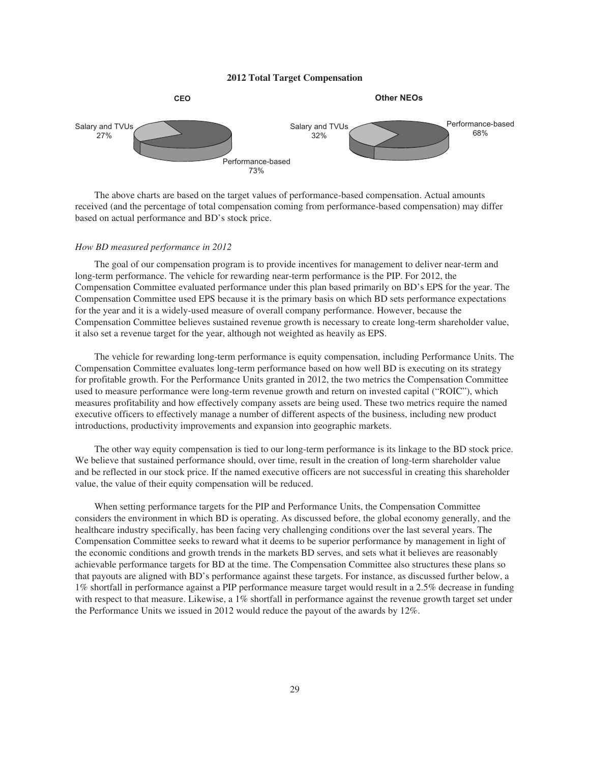# **2012 Total Target Compensation**



The above charts are based on the target values of performance-based compensation. Actual amounts received (and the percentage of total compensation coming from performance-based compensation) may differ based on actual performance and BD's stock price.

# *How BD measured performance in 2012*

The goal of our compensation program is to provide incentives for management to deliver near-term and long-term performance. The vehicle for rewarding near-term performance is the PIP. For 2012, the Compensation Committee evaluated performance under this plan based primarily on BD's EPS for the year. The Compensation Committee used EPS because it is the primary basis on which BD sets performance expectations for the year and it is a widely-used measure of overall company performance. However, because the Compensation Committee believes sustained revenue growth is necessary to create long-term shareholder value, it also set a revenue target for the year, although not weighted as heavily as EPS.

The vehicle for rewarding long-term performance is equity compensation, including Performance Units. The Compensation Committee evaluates long-term performance based on how well BD is executing on its strategy for profitable growth. For the Performance Units granted in 2012, the two metrics the Compensation Committee used to measure performance were long-term revenue growth and return on invested capital ("ROIC"), which measures profitability and how effectively company assets are being used. These two metrics require the named executive officers to effectively manage a number of different aspects of the business, including new product introductions, productivity improvements and expansion into geographic markets.

The other way equity compensation is tied to our long-term performance is its linkage to the BD stock price. We believe that sustained performance should, over time, result in the creation of long-term shareholder value and be reflected in our stock price. If the named executive officers are not successful in creating this shareholder value, the value of their equity compensation will be reduced.

When setting performance targets for the PIP and Performance Units, the Compensation Committee considers the environment in which BD is operating. As discussed before, the global economy generally, and the healthcare industry specifically, has been facing very challenging conditions over the last several years. The Compensation Committee seeks to reward what it deems to be superior performance by management in light of the economic conditions and growth trends in the markets BD serves, and sets what it believes are reasonably achievable performance targets for BD at the time. The Compensation Committee also structures these plans so that payouts are aligned with BD's performance against these targets. For instance, as discussed further below, a 1% shortfall in performance against a PIP performance measure target would result in a 2.5% decrease in funding with respect to that measure. Likewise, a 1% shortfall in performance against the revenue growth target set under the Performance Units we issued in 2012 would reduce the payout of the awards by 12%.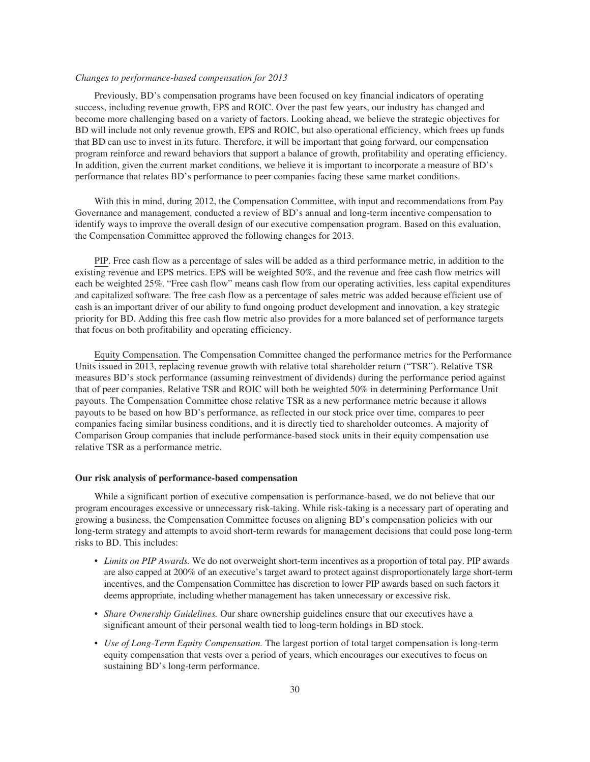# *Changes to performance-based compensation for 2013*

Previously, BD's compensation programs have been focused on key financial indicators of operating success, including revenue growth, EPS and ROIC. Over the past few years, our industry has changed and become more challenging based on a variety of factors. Looking ahead, we believe the strategic objectives for BD will include not only revenue growth, EPS and ROIC, but also operational efficiency, which frees up funds that BD can use to invest in its future. Therefore, it will be important that going forward, our compensation program reinforce and reward behaviors that support a balance of growth, profitability and operating efficiency. In addition, given the current market conditions, we believe it is important to incorporate a measure of BD's performance that relates BD's performance to peer companies facing these same market conditions.

With this in mind, during 2012, the Compensation Committee, with input and recommendations from Pay Governance and management, conducted a review of BD's annual and long-term incentive compensation to identify ways to improve the overall design of our executive compensation program. Based on this evaluation, the Compensation Committee approved the following changes for 2013.

PIP. Free cash flow as a percentage of sales will be added as a third performance metric, in addition to the existing revenue and EPS metrics. EPS will be weighted 50%, and the revenue and free cash flow metrics will each be weighted 25%. "Free cash flow" means cash flow from our operating activities, less capital expenditures and capitalized software. The free cash flow as a percentage of sales metric was added because efficient use of cash is an important driver of our ability to fund ongoing product development and innovation, a key strategic priority for BD. Adding this free cash flow metric also provides for a more balanced set of performance targets that focus on both profitability and operating efficiency.

Equity Compensation. The Compensation Committee changed the performance metrics for the Performance Units issued in 2013, replacing revenue growth with relative total shareholder return ("TSR"). Relative TSR measures BD's stock performance (assuming reinvestment of dividends) during the performance period against that of peer companies. Relative TSR and ROIC will both be weighted 50% in determining Performance Unit payouts. The Compensation Committee chose relative TSR as a new performance metric because it allows payouts to be based on how BD's performance, as reflected in our stock price over time, compares to peer companies facing similar business conditions, and it is directly tied to shareholder outcomes. A majority of Comparison Group companies that include performance-based stock units in their equity compensation use relative TSR as a performance metric.

# **Our risk analysis of performance-based compensation**

While a significant portion of executive compensation is performance-based, we do not believe that our program encourages excessive or unnecessary risk-taking. While risk-taking is a necessary part of operating and growing a business, the Compensation Committee focuses on aligning BD's compensation policies with our long-term strategy and attempts to avoid short-term rewards for management decisions that could pose long-term risks to BD. This includes:

- *Limits on PIP Awards.* We do not overweight short-term incentives as a proportion of total pay. PIP awards are also capped at 200% of an executive's target award to protect against disproportionately large short-term incentives, and the Compensation Committee has discretion to lower PIP awards based on such factors it deems appropriate, including whether management has taken unnecessary or excessive risk.
- *Share Ownership Guidelines.* Our share ownership guidelines ensure that our executives have a significant amount of their personal wealth tied to long-term holdings in BD stock.
- *Use of Long-Term Equity Compensation.* The largest portion of total target compensation is long-term equity compensation that vests over a period of years, which encourages our executives to focus on sustaining BD's long-term performance.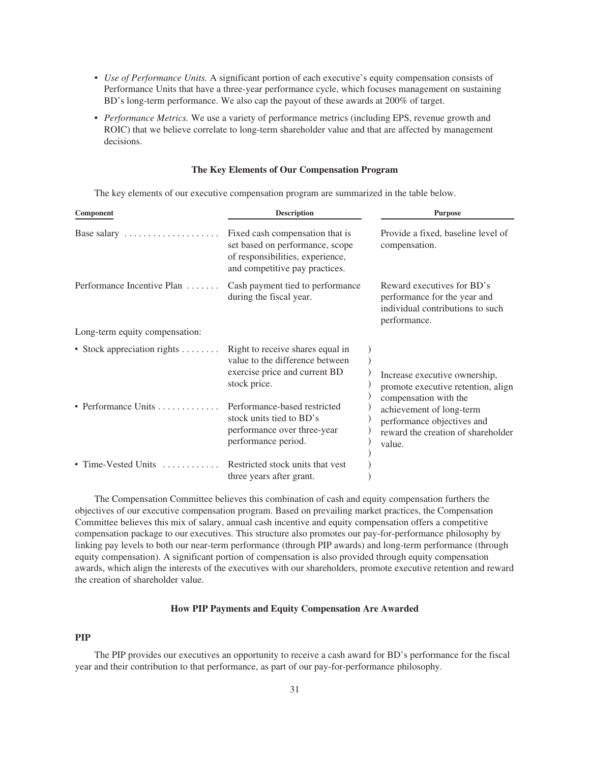- *Use of Performance Units.* A significant portion of each executive's equity compensation consists of Performance Units that have a three-year performance cycle, which focuses management on sustaining BD's long-term performance. We also cap the payout of these awards at 200% of target.
- *Performance Metrics.* We use a variety of performance metrics (including EPS, revenue growth and ROIC) that we believe correlate to long-term shareholder value and that are affected by management decisions.

# **The Key Elements of Our Compensation Program**

The key elements of our executive compensation program are summarized in the table below.

| Component                                 | <b>Description</b>                                                                                                                       | <b>Purpose</b>                                                                                                                  |  |  |
|-------------------------------------------|------------------------------------------------------------------------------------------------------------------------------------------|---------------------------------------------------------------------------------------------------------------------------------|--|--|
| Base salary                               | Fixed cash compensation that is<br>set based on performance, scope<br>of responsibilities, experience,<br>and competitive pay practices. | Provide a fixed, baseline level of<br>compensation.                                                                             |  |  |
| Performance Incentive Plan                | Cash payment tied to performance<br>during the fiscal year.                                                                              | Reward executives for BD's<br>performance for the year and<br>individual contributions to such<br>performance.                  |  |  |
| Long-term equity compensation:            |                                                                                                                                          |                                                                                                                                 |  |  |
| • Stock appreciation rights $\dots \dots$ | Right to receive shares equal in<br>value to the difference between<br>exercise price and current BD<br>stock price.                     | Increase executive ownership,<br>promote executive retention, align                                                             |  |  |
| • Performance Units                       | Performance-based restricted<br>stock units tied to BD's<br>performance over three-year<br>performance period.                           | compensation with the<br>achievement of long-term<br>performance objectives and<br>reward the creation of shareholder<br>value. |  |  |
| • Time-Vested Units                       | Restricted stock units that yest<br>three years after grant.                                                                             |                                                                                                                                 |  |  |

The Compensation Committee believes this combination of cash and equity compensation furthers the objectives of our executive compensation program. Based on prevailing market practices, the Compensation Committee believes this mix of salary, annual cash incentive and equity compensation offers a competitive compensation package to our executives. This structure also promotes our pay-for-performance philosophy by linking pay levels to both our near-term performance (through PIP awards) and long-term performance (through equity compensation). A significant portion of compensation is also provided through equity compensation awards, which align the interests of the executives with our shareholders, promote executive retention and reward the creation of shareholder value.

# **How PIP Payments and Equity Compensation Are Awarded**

# **PIP**

The PIP provides our executives an opportunity to receive a cash award for BD's performance for the fiscal year and their contribution to that performance, as part of our pay-for-performance philosophy.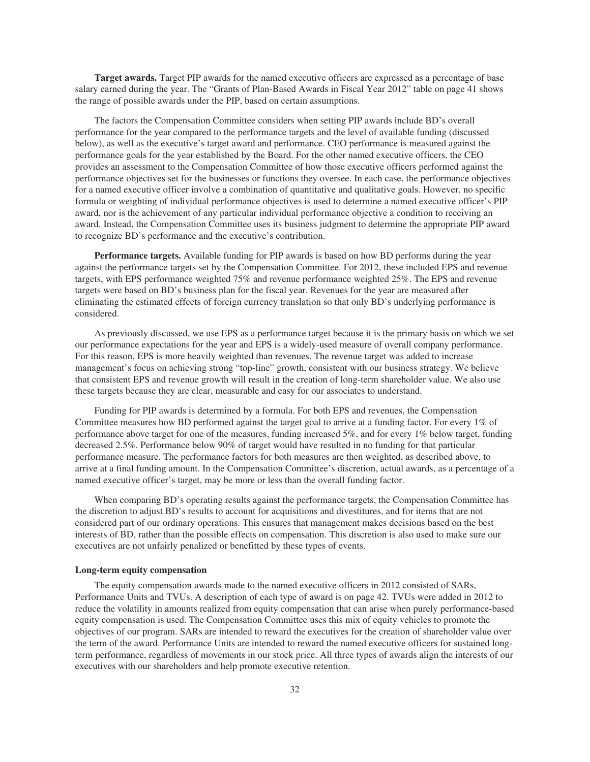**Target awards.** Target PIP awards for the named executive officers are expressed as a percentage of base salary earned during the year. The "Grants of Plan-Based Awards in Fiscal Year 2012" table on page 41 shows the range of possible awards under the PIP, based on certain assumptions.

The factors the Compensation Committee considers when setting PIP awards include BD's overall performance for the year compared to the performance targets and the level of available funding (discussed below), as well as the executive's target award and performance. CEO performance is measured against the performance goals for the year established by the Board. For the other named executive officers, the CEO provides an assessment to the Compensation Committee of how those executive officers performed against the performance objectives set for the businesses or functions they oversee. In each case, the performance objectives for a named executive officer involve a combination of quantitative and qualitative goals. However, no specific formula or weighting of individual performance objectives is used to determine a named executive officer's PIP award, nor is the achievement of any particular individual performance objective a condition to receiving an award. Instead, the Compensation Committee uses its business judgment to determine the appropriate PIP award to recognize BD's performance and the executive's contribution.

**Performance targets.** Available funding for PIP awards is based on how BD performs during the year against the performance targets set by the Compensation Committee. For 2012, these included EPS and revenue targets, with EPS performance weighted 75% and revenue performance weighted 25%. The EPS and revenue targets were based on BD's business plan for the fiscal year. Revenues for the year are measured after eliminating the estimated effects of foreign currency translation so that only BD's underlying performance is considered.

As previously discussed, we use EPS as a performance target because it is the primary basis on which we set our performance expectations for the year and EPS is a widely-used measure of overall company performance. For this reason, EPS is more heavily weighted than revenues. The revenue target was added to increase management's focus on achieving strong "top-line" growth, consistent with our business strategy. We believe that consistent EPS and revenue growth will result in the creation of long-term shareholder value. We also use these targets because they are clear, measurable and easy for our associates to understand.

Funding for PIP awards is determined by a formula. For both EPS and revenues, the Compensation Committee measures how BD performed against the target goal to arrive at a funding factor. For every 1% of performance above target for one of the measures, funding increased 5%, and for every 1% below target, funding decreased 2.5%. Performance below 90% of target would have resulted in no funding for that particular performance measure. The performance factors for both measures are then weighted, as described above, to arrive at a final funding amount. In the Compensation Committee's discretion, actual awards, as a percentage of a named executive officer's target, may be more or less than the overall funding factor.

When comparing BD's operating results against the performance targets, the Compensation Committee has the discretion to adjust BD's results to account for acquisitions and divestitures, and for items that are not considered part of our ordinary operations. This ensures that management makes decisions based on the best interests of BD, rather than the possible effects on compensation. This discretion is also used to make sure our executives are not unfairly penalized or benefitted by these types of events.

# **Long-term equity compensation**

The equity compensation awards made to the named executive officers in 2012 consisted of SARs, Performance Units and TVUs. A description of each type of award is on page 42. TVUs were added in 2012 to reduce the volatility in amounts realized from equity compensation that can arise when purely performance-based equity compensation is used. The Compensation Committee uses this mix of equity vehicles to promote the objectives of our program. SARs are intended to reward the executives for the creation of shareholder value over the term of the award. Performance Units are intended to reward the named executive officers for sustained longterm performance, regardless of movements in our stock price. All three types of awards align the interests of our executives with our shareholders and help promote executive retention.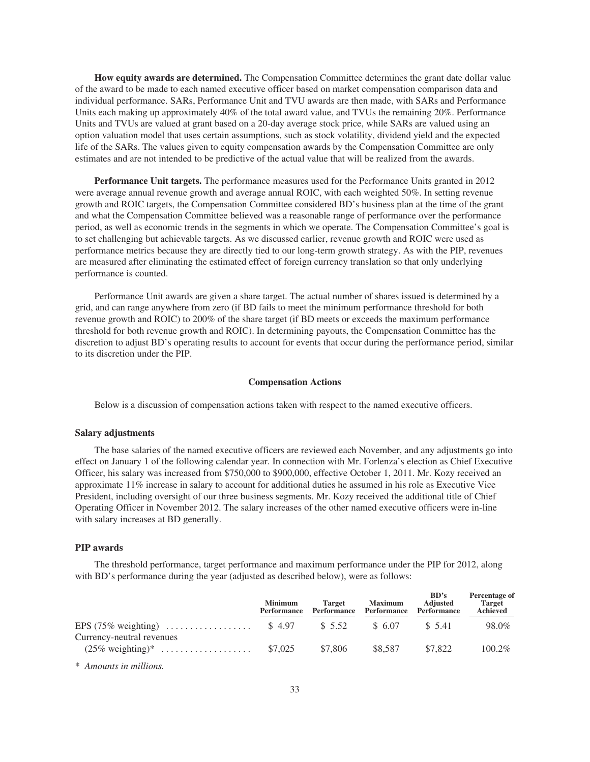**How equity awards are determined.** The Compensation Committee determines the grant date dollar value of the award to be made to each named executive officer based on market compensation comparison data and individual performance. SARs, Performance Unit and TVU awards are then made, with SARs and Performance Units each making up approximately 40% of the total award value, and TVUs the remaining 20%. Performance Units and TVUs are valued at grant based on a 20-day average stock price, while SARs are valued using an option valuation model that uses certain assumptions, such as stock volatility, dividend yield and the expected life of the SARs. The values given to equity compensation awards by the Compensation Committee are only estimates and are not intended to be predictive of the actual value that will be realized from the awards.

**Performance Unit targets.** The performance measures used for the Performance Units granted in 2012 were average annual revenue growth and average annual ROIC, with each weighted 50%. In setting revenue growth and ROIC targets, the Compensation Committee considered BD's business plan at the time of the grant and what the Compensation Committee believed was a reasonable range of performance over the performance period, as well as economic trends in the segments in which we operate. The Compensation Committee's goal is to set challenging but achievable targets. As we discussed earlier, revenue growth and ROIC were used as performance metrics because they are directly tied to our long-term growth strategy. As with the PIP, revenues are measured after eliminating the estimated effect of foreign currency translation so that only underlying performance is counted.

Performance Unit awards are given a share target. The actual number of shares issued is determined by a grid, and can range anywhere from zero (if BD fails to meet the minimum performance threshold for both revenue growth and ROIC) to 200% of the share target (if BD meets or exceeds the maximum performance threshold for both revenue growth and ROIC). In determining payouts, the Compensation Committee has the discretion to adjust BD's operating results to account for events that occur during the performance period, similar to its discretion under the PIP.

# **Compensation Actions**

Below is a discussion of compensation actions taken with respect to the named executive officers.

### **Salary adjustments**

The base salaries of the named executive officers are reviewed each November, and any adjustments go into effect on January 1 of the following calendar year. In connection with Mr. Forlenza's election as Chief Executive Officer, his salary was increased from \$750,000 to \$900,000, effective October 1, 2011. Mr. Kozy received an approximate 11% increase in salary to account for additional duties he assumed in his role as Executive Vice President, including oversight of our three business segments. Mr. Kozy received the additional title of Chief Operating Officer in November 2012. The salary increases of the other named executive officers were in-line with salary increases at BD generally.

#### **PIP awards**

The threshold performance, target performance and maximum performance under the PIP for 2012, along with BD's performance during the year (adjusted as described below), were as follows:

|                           | <b>Minimum</b><br>Performance | <b>Target</b><br>Performance | <b>Maximum</b><br>Performance | BD's<br><b>Adjusted</b><br>Performance | Percentage of<br><b>Target</b><br>Achieved |
|---------------------------|-------------------------------|------------------------------|-------------------------------|----------------------------------------|--------------------------------------------|
| Currency-neutral revenues |                               |                              | \$ 6.07                       | \$ 5.41                                | 98.0%                                      |
|                           |                               | \$7.806                      | \$8,587                       | \$7.822                                | $100.2\%$                                  |

\* *Amounts in millions.*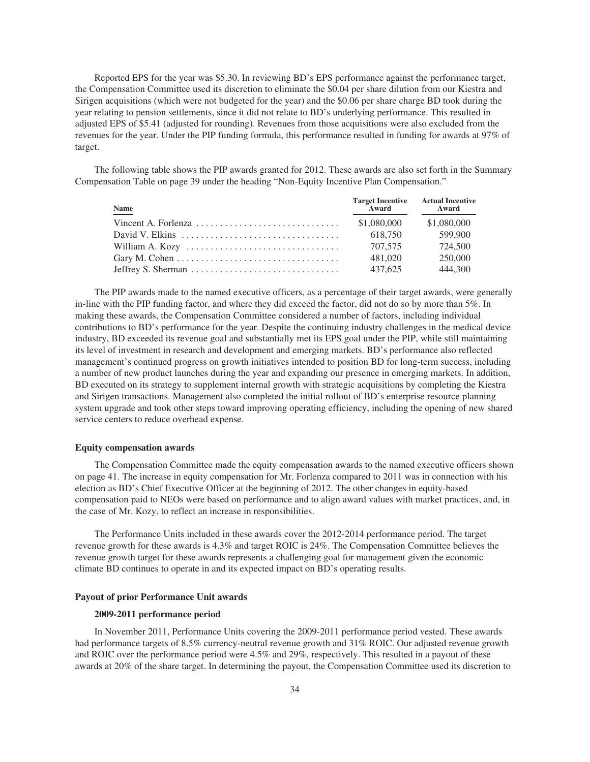Reported EPS for the year was \$5.30. In reviewing BD's EPS performance against the performance target, the Compensation Committee used its discretion to eliminate the \$0.04 per share dilution from our Kiestra and Sirigen acquisitions (which were not budgeted for the year) and the \$0.06 per share charge BD took during the year relating to pension settlements, since it did not relate to BD's underlying performance. This resulted in adjusted EPS of \$5.41 (adjusted for rounding). Revenues from those acquisitions were also excluded from the revenues for the year. Under the PIP funding formula, this performance resulted in funding for awards at 97% of target.

The following table shows the PIP awards granted for 2012. These awards are also set forth in the Summary Compensation Table on page 39 under the heading "Non-Equity Incentive Plan Compensation."

| <b>Name</b>                                                                              | <b>Target Incentive Actual Incentive<br/>Award Award</b> | Award       |
|------------------------------------------------------------------------------------------|----------------------------------------------------------|-------------|
|                                                                                          | \$1,080,000                                              | \$1,080,000 |
| David V. Elkins $\ldots, \ldots, \ldots, \ldots, \ldots, \ldots, \ldots, \ldots, \ldots$ | 618.750                                                  | 599,900     |
|                                                                                          | 707,575                                                  | 724,500     |
| Gary M. Cohen $\dots \dots \dots \dots \dots \dots \dots \dots \dots \dots \dots$        | 481,020                                                  | 250,000     |
| Jeffrey S. Sherman $\dots \dots \dots \dots \dots \dots \dots \dots \dots \dots$         | 437,625                                                  | 444.300     |

The PIP awards made to the named executive officers, as a percentage of their target awards, were generally in-line with the PIP funding factor, and where they did exceed the factor, did not do so by more than 5%. In making these awards, the Compensation Committee considered a number of factors, including individual contributions to BD's performance for the year. Despite the continuing industry challenges in the medical device industry, BD exceeded its revenue goal and substantially met its EPS goal under the PIP, while still maintaining its level of investment in research and development and emerging markets. BD's performance also reflected management's continued progress on growth initiatives intended to position BD for long-term success, including a number of new product launches during the year and expanding our presence in emerging markets. In addition, BD executed on its strategy to supplement internal growth with strategic acquisitions by completing the Kiestra and Sirigen transactions. Management also completed the initial rollout of BD's enterprise resource planning system upgrade and took other steps toward improving operating efficiency, including the opening of new shared service centers to reduce overhead expense.

## **Equity compensation awards**

The Compensation Committee made the equity compensation awards to the named executive officers shown on page 41. The increase in equity compensation for Mr. Forlenza compared to 2011 was in connection with his election as BD's Chief Executive Officer at the beginning of 2012. The other changes in equity-based compensation paid to NEOs were based on performance and to align award values with market practices, and, in the case of Mr. Kozy, to reflect an increase in responsibilities.

The Performance Units included in these awards cover the 2012-2014 performance period. The target revenue growth for these awards is 4.3% and target ROIC is 24%. The Compensation Committee believes the revenue growth target for these awards represents a challenging goal for management given the economic climate BD continues to operate in and its expected impact on BD's operating results.

## **Payout of prior Performance Unit awards**

## **2009-2011 performance period**

In November 2011, Performance Units covering the 2009-2011 performance period vested. These awards had performance targets of 8.5% currency-neutral revenue growth and 31% ROIC. Our adjusted revenue growth and ROIC over the performance period were 4.5% and 29%, respectively. This resulted in a payout of these awards at 20% of the share target. In determining the payout, the Compensation Committee used its discretion to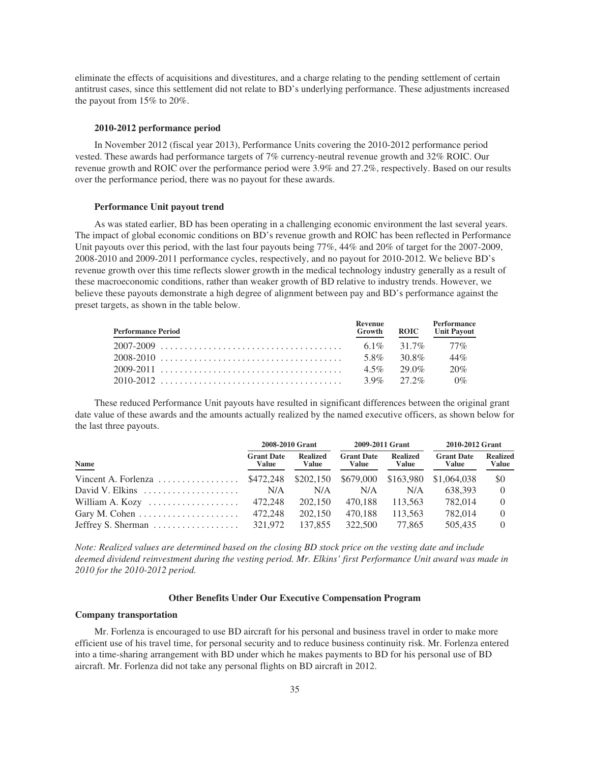eliminate the effects of acquisitions and divestitures, and a charge relating to the pending settlement of certain antitrust cases, since this settlement did not relate to BD's underlying performance. These adjustments increased the payout from 15% to 20%.

### **2010-2012 performance period**

In November 2012 (fiscal year 2013), Performance Units covering the 2010-2012 performance period vested. These awards had performance targets of 7% currency-neutral revenue growth and 32% ROIC. Our revenue growth and ROIC over the performance period were 3.9% and 27.2%, respectively. Based on our results over the performance period, there was no payout for these awards.

### **Performance Unit payout trend**

As was stated earlier, BD has been operating in a challenging economic environment the last several years. The impact of global economic conditions on BD's revenue growth and ROIC has been reflected in Performance Unit payouts over this period, with the last four payouts being 77%, 44% and 20% of target for the 2007-2009, 2008-2010 and 2009-2011 performance cycles, respectively, and no payout for 2010-2012. We believe BD's revenue growth over this time reflects slower growth in the medical technology industry generally as a result of these macroeconomic conditions, rather than weaker growth of BD relative to industry trends. However, we believe these payouts demonstrate a high degree of alignment between pay and BD's performance against the preset targets, as shown in the table below.

| <b>Performance Period</b> | <b>Revenue</b><br>Growth | <b>ROIC</b>   | Performance<br><b>Unit Payout</b> |
|---------------------------|--------------------------|---------------|-----------------------------------|
|                           |                          |               | $6.1\%$ $31.7\%$ $77\%$           |
| 2008-2010                 |                          | 5.8% 30.8%    | 44%                               |
|                           |                          | $4.5\%$ 29.0% | 20%                               |
|                           |                          |               |                                   |

These reduced Performance Unit payouts have resulted in significant differences between the original grant date value of these awards and the amounts actually realized by the named executive officers, as shown below for the last three payouts.

|                                                                         |                            | 2008-2010 Grant          |                            | 2009-2011 Grant          | 2010-2012 Grant            |                          |  |
|-------------------------------------------------------------------------|----------------------------|--------------------------|----------------------------|--------------------------|----------------------------|--------------------------|--|
| Name                                                                    | <b>Grant Date</b><br>Value | <b>Realized</b><br>Value | <b>Grant Date</b><br>Value | <b>Realized</b><br>Value | <b>Grant Date</b><br>Value | <b>Realized</b><br>Value |  |
| Vincent A. Forlenza \$472,248 \$202,150 \$679,000 \$163,980 \$1,064,038 |                            |                          |                            |                          |                            | \$0                      |  |
| David V. Elkins $\ldots, \ldots, \ldots, \ldots, \ldots$                | N/A                        | N/A                      | N/A                        | N/A                      | 638.393                    | $\Omega$                 |  |
| William A. Kozy $\dots \dots \dots \dots \dots \dots$ 472,248           |                            | 202,150                  | 470.188                    | 113.563                  | 782,014                    | $\Omega$                 |  |
| Gary M. Cohen $\dots \dots \dots \dots \dots \dots \dots$               | 472.248                    | 202,150                  | 470.188                    | 113.563                  | 782,014                    | $\left( \right)$         |  |
| Jeffrey S. Sherman $\dots \dots \dots \dots \dots$ 321,972              |                            | 137.855                  | 322,500                    | 77.865                   | 505,435                    | $\left( \right)$         |  |

*Note: Realized values are determined based on the closing BD stock price on the vesting date and include deemed dividend reinvestment during the vesting period. Mr. Elkins' first Performance Unit award was made in 2010 for the 2010-2012 period.*

## **Other Benefits Under Our Executive Compensation Program**

### **Company transportation**

Mr. Forlenza is encouraged to use BD aircraft for his personal and business travel in order to make more efficient use of his travel time, for personal security and to reduce business continuity risk. Mr. Forlenza entered into a time-sharing arrangement with BD under which he makes payments to BD for his personal use of BD aircraft. Mr. Forlenza did not take any personal flights on BD aircraft in 2012.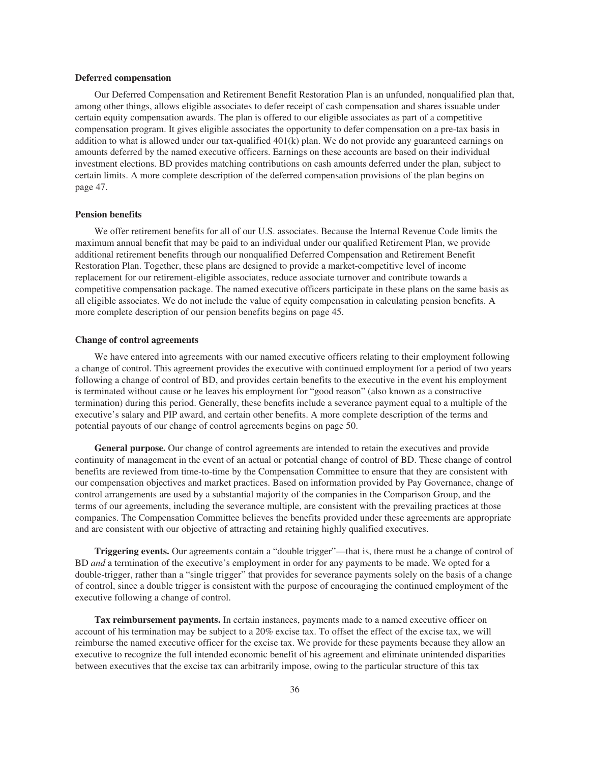## **Deferred compensation**

Our Deferred Compensation and Retirement Benefit Restoration Plan is an unfunded, nonqualified plan that, among other things, allows eligible associates to defer receipt of cash compensation and shares issuable under certain equity compensation awards. The plan is offered to our eligible associates as part of a competitive compensation program. It gives eligible associates the opportunity to defer compensation on a pre-tax basis in addition to what is allowed under our tax-qualified  $401(k)$  plan. We do not provide any guaranteed earnings on amounts deferred by the named executive officers. Earnings on these accounts are based on their individual investment elections. BD provides matching contributions on cash amounts deferred under the plan, subject to certain limits. A more complete description of the deferred compensation provisions of the plan begins on page 47.

## **Pension benefits**

We offer retirement benefits for all of our U.S. associates. Because the Internal Revenue Code limits the maximum annual benefit that may be paid to an individual under our qualified Retirement Plan, we provide additional retirement benefits through our nonqualified Deferred Compensation and Retirement Benefit Restoration Plan. Together, these plans are designed to provide a market-competitive level of income replacement for our retirement-eligible associates, reduce associate turnover and contribute towards a competitive compensation package. The named executive officers participate in these plans on the same basis as all eligible associates. We do not include the value of equity compensation in calculating pension benefits. A more complete description of our pension benefits begins on page 45.

#### **Change of control agreements**

We have entered into agreements with our named executive officers relating to their employment following a change of control. This agreement provides the executive with continued employment for a period of two years following a change of control of BD, and provides certain benefits to the executive in the event his employment is terminated without cause or he leaves his employment for "good reason" (also known as a constructive termination) during this period. Generally, these benefits include a severance payment equal to a multiple of the executive's salary and PIP award, and certain other benefits. A more complete description of the terms and potential payouts of our change of control agreements begins on page 50.

**General purpose.** Our change of control agreements are intended to retain the executives and provide continuity of management in the event of an actual or potential change of control of BD. These change of control benefits are reviewed from time-to-time by the Compensation Committee to ensure that they are consistent with our compensation objectives and market practices. Based on information provided by Pay Governance, change of control arrangements are used by a substantial majority of the companies in the Comparison Group, and the terms of our agreements, including the severance multiple, are consistent with the prevailing practices at those companies. The Compensation Committee believes the benefits provided under these agreements are appropriate and are consistent with our objective of attracting and retaining highly qualified executives.

**Triggering events.** Our agreements contain a "double trigger"—that is, there must be a change of control of BD *and* a termination of the executive's employment in order for any payments to be made. We opted for a double-trigger, rather than a "single trigger" that provides for severance payments solely on the basis of a change of control, since a double trigger is consistent with the purpose of encouraging the continued employment of the executive following a change of control.

**Tax reimbursement payments.** In certain instances, payments made to a named executive officer on account of his termination may be subject to a 20% excise tax. To offset the effect of the excise tax, we will reimburse the named executive officer for the excise tax. We provide for these payments because they allow an executive to recognize the full intended economic benefit of his agreement and eliminate unintended disparities between executives that the excise tax can arbitrarily impose, owing to the particular structure of this tax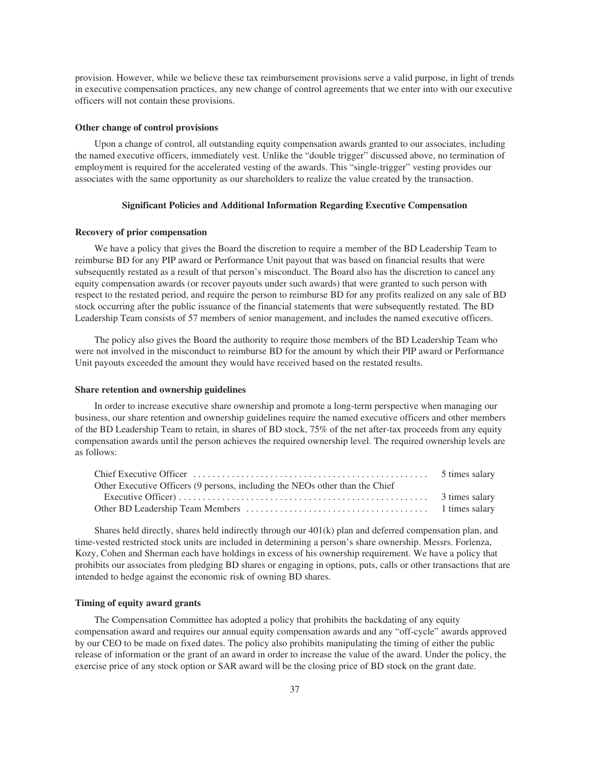provision. However, while we believe these tax reimbursement provisions serve a valid purpose, in light of trends in executive compensation practices, any new change of control agreements that we enter into with our executive officers will not contain these provisions.

## **Other change of control provisions**

Upon a change of control, all outstanding equity compensation awards granted to our associates, including the named executive officers, immediately vest. Unlike the "double trigger" discussed above, no termination of employment is required for the accelerated vesting of the awards. This "single-trigger" vesting provides our associates with the same opportunity as our shareholders to realize the value created by the transaction.

## **Significant Policies and Additional Information Regarding Executive Compensation**

## **Recovery of prior compensation**

We have a policy that gives the Board the discretion to require a member of the BD Leadership Team to reimburse BD for any PIP award or Performance Unit payout that was based on financial results that were subsequently restated as a result of that person's misconduct. The Board also has the discretion to cancel any equity compensation awards (or recover payouts under such awards) that were granted to such person with respect to the restated period, and require the person to reimburse BD for any profits realized on any sale of BD stock occurring after the public issuance of the financial statements that were subsequently restated. The BD Leadership Team consists of 57 members of senior management, and includes the named executive officers.

The policy also gives the Board the authority to require those members of the BD Leadership Team who were not involved in the misconduct to reimburse BD for the amount by which their PIP award or Performance Unit payouts exceeded the amount they would have received based on the restated results.

#### **Share retention and ownership guidelines**

In order to increase executive share ownership and promote a long-term perspective when managing our business, our share retention and ownership guidelines require the named executive officers and other members of the BD Leadership Team to retain, in shares of BD stock, 75% of the net after-tax proceeds from any equity compensation awards until the person achieves the required ownership level. The required ownership levels are as follows:

| Other Executive Officers (9 persons, including the NEOs other than the Chief |  |
|------------------------------------------------------------------------------|--|
|                                                                              |  |
|                                                                              |  |

Shares held directly, shares held indirectly through our 401(k) plan and deferred compensation plan, and time-vested restricted stock units are included in determining a person's share ownership. Messrs. Forlenza, Kozy, Cohen and Sherman each have holdings in excess of his ownership requirement. We have a policy that prohibits our associates from pledging BD shares or engaging in options, puts, calls or other transactions that are intended to hedge against the economic risk of owning BD shares.

## **Timing of equity award grants**

The Compensation Committee has adopted a policy that prohibits the backdating of any equity compensation award and requires our annual equity compensation awards and any "off-cycle" awards approved by our CEO to be made on fixed dates. The policy also prohibits manipulating the timing of either the public release of information or the grant of an award in order to increase the value of the award. Under the policy, the exercise price of any stock option or SAR award will be the closing price of BD stock on the grant date.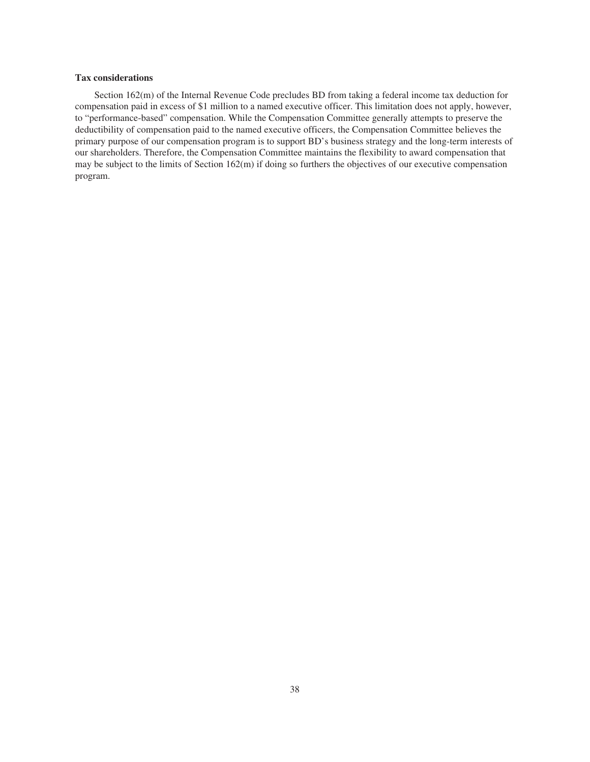# **Tax considerations**

Section 162(m) of the Internal Revenue Code precludes BD from taking a federal income tax deduction for compensation paid in excess of \$1 million to a named executive officer. This limitation does not apply, however, to "performance-based" compensation. While the Compensation Committee generally attempts to preserve the deductibility of compensation paid to the named executive officers, the Compensation Committee believes the primary purpose of our compensation program is to support BD's business strategy and the long-term interests of our shareholders. Therefore, the Compensation Committee maintains the flexibility to award compensation that may be subject to the limits of Section 162(m) if doing so furthers the objectives of our executive compensation program.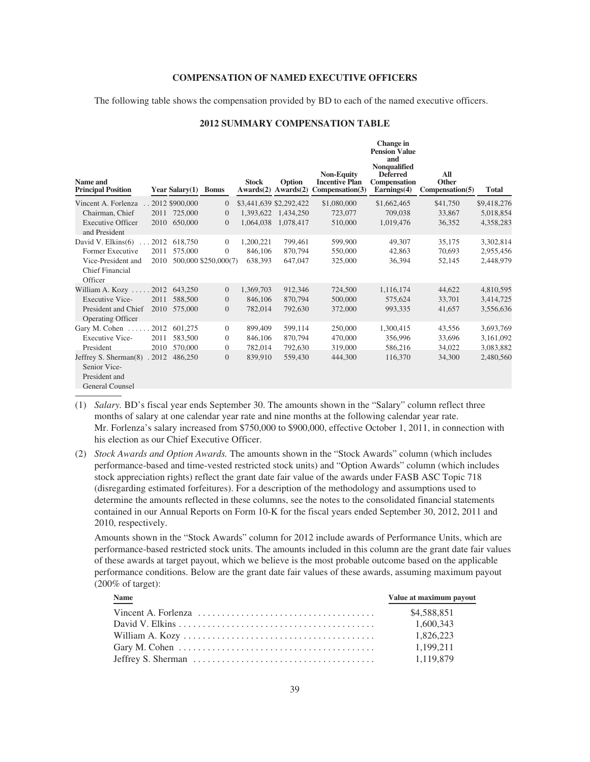## **COMPENSATION OF NAMED EXECUTIVE OFFICERS**

The following table shows the compensation provided by BD to each of the named executive officers.

## **2012 SUMMARY COMPENSATION TABLE**

**Change in**

| Name and<br><b>Principal Position</b>                                            |       | Year Salary(1) Bonus |                      | <b>Stock</b> | Option<br>$Awards(2)$ $Awards(2)$ | <b>Non-Equity</b><br><b>Incentive Plan</b><br>Compensation (3) | <b>Pension Value</b><br>and<br><b>Nonqualified</b><br><b>Deferred</b><br>Compensation<br>Earnings(4) | All<br>Other<br>Comparison(5) | <b>Total</b> |
|----------------------------------------------------------------------------------|-------|----------------------|----------------------|--------------|-----------------------------------|----------------------------------------------------------------|------------------------------------------------------------------------------------------------------|-------------------------------|--------------|
| Vincent A. Forlenza                                                              |       | 2012 \$900,000       | $\Omega$             |              | \$3,441,639 \$2,292,422           | \$1,080,000                                                    | \$1,662,465                                                                                          | \$41,750                      | \$9,418,276  |
| Chairman, Chief                                                                  | 2011  | 725,000              | $\overline{0}$       | 1,393,622    | 1,434,250                         | 723,077                                                        | 709,038                                                                                              | 33,867                        | 5,018,854    |
| <b>Executive Officer</b><br>and President                                        | 2010  | 650,000              | $\overline{0}$       | 1,064,038    | 1,078,417                         | 510,000                                                        | 1,019,476                                                                                            | 36,352                        | 4,358,283    |
| David V. Elkins(6)                                                               | 2012  | 618,750              | $\Omega$             | 1,200,221    | 799,461                           | 599,900                                                        | 49,307                                                                                               | 35,175                        | 3,302,814    |
| Former Executive                                                                 | 2011  | 575,000              | $\overline{0}$       | 846,106      | 870,794                           | 550,000                                                        | 42,863                                                                                               | 70,693                        | 2,955,456    |
| Vice-President and<br><b>Chief Financial</b><br>Officer                          | 2010  |                      | 500,000 \$250,000(7) | 638,393      | 647,047                           | 325,000                                                        | 36,394                                                                                               | 52,145                        | 2,448,979    |
| William A. Kozy $\ldots$ . 2012                                                  |       | 643,250              | $\overline{0}$       | 1,369,703    | 912,346                           | 724,500                                                        | 1,116,174                                                                                            | 44,622                        | 4,810,595    |
| <b>Executive Vice-</b>                                                           | 2011  | 588,500              | $\overline{0}$       | 846,106      | 870,794                           | 500,000                                                        | 575,624                                                                                              | 33,701                        | 3,414,725    |
| President and Chief<br><b>Operating Officer</b>                                  | 2010  | 575,000              | $\overline{0}$       | 782,014      | 792,630                           | 372,000                                                        | 993,335                                                                                              | 41,657                        | 3,556,636    |
| Gary M. Cohen                                                                    | 2012  | 601,275              | $\overline{0}$       | 899,409      | 599,114                           | 250,000                                                        | 1,300,415                                                                                            | 43,556                        | 3,693,769    |
| <b>Executive Vice-</b>                                                           | 2011  | 583,500              | $\Omega$             | 846,106      | 870,794                           | 470,000                                                        | 356,996                                                                                              | 33,696                        | 3,161,092    |
| President                                                                        | 2010  | 570,000              | $\overline{0}$       | 782,014      | 792,630                           | 319,000                                                        | 586,216                                                                                              | 34,022                        | 3,083,882    |
| Jeffrey S. Sherman(8)<br>Senior Vice-<br>President and<br><b>General Counsel</b> | .2012 | 486,250              | $\overline{0}$       | 839,910      | 559,430                           | 444,300                                                        | 116,370                                                                                              | 34,300                        | 2,480,560    |

- (1) *Salary.* BD's fiscal year ends September 30. The amounts shown in the "Salary" column reflect three months of salary at one calendar year rate and nine months at the following calendar year rate. Mr. Forlenza's salary increased from \$750,000 to \$900,000, effective October 1, 2011, in connection with his election as our Chief Executive Officer.
- (2) *Stock Awards and Option Awards.* The amounts shown in the "Stock Awards" column (which includes performance-based and time-vested restricted stock units) and "Option Awards" column (which includes stock appreciation rights) reflect the grant date fair value of the awards under FASB ASC Topic 718 (disregarding estimated forfeitures). For a description of the methodology and assumptions used to determine the amounts reflected in these columns, see the notes to the consolidated financial statements contained in our Annual Reports on Form 10-K for the fiscal years ended September 30, 2012, 2011 and 2010, respectively.

Amounts shown in the "Stock Awards" column for 2012 include awards of Performance Units, which are performance-based restricted stock units. The amounts included in this column are the grant date fair values of these awards at target payout, which we believe is the most probable outcome based on the applicable performance conditions. Below are the grant date fair values of these awards, assuming maximum payout (200% of target):

| <b>Name</b>                                                                                   | Value at maximum payout |
|-----------------------------------------------------------------------------------------------|-------------------------|
|                                                                                               | \$4.588.851             |
|                                                                                               | 1,600,343               |
|                                                                                               | 1.826.223               |
| Gary M. Cohen $\dots \dots \dots \dots \dots \dots \dots \dots \dots \dots \dots \dots \dots$ | 1.199.211               |
|                                                                                               | 1,119,879               |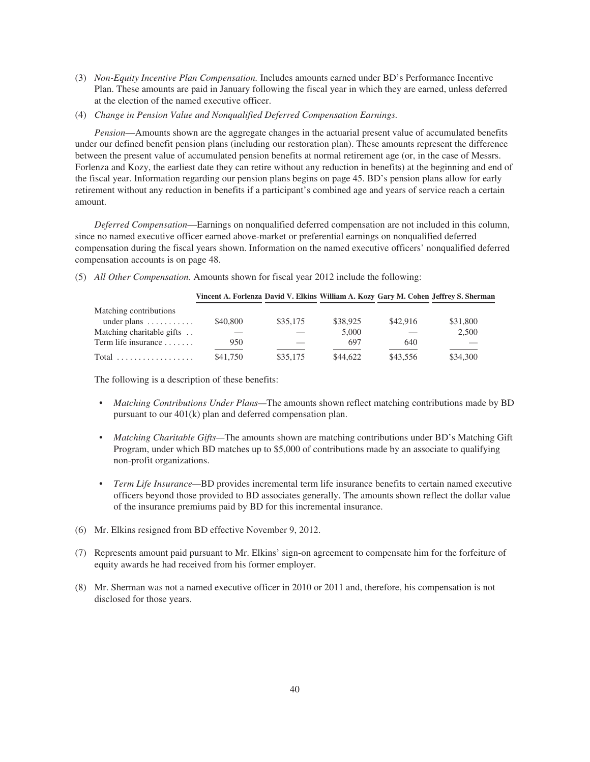- (3) *Non-Equity Incentive Plan Compensation.* Includes amounts earned under BD's Performance Incentive Plan. These amounts are paid in January following the fiscal year in which they are earned, unless deferred at the election of the named executive officer.
- (4) *Change in Pension Value and Nonqualified Deferred Compensation Earnings.*

*Pension*—Amounts shown are the aggregate changes in the actuarial present value of accumulated benefits under our defined benefit pension plans (including our restoration plan). These amounts represent the difference between the present value of accumulated pension benefits at normal retirement age (or, in the case of Messrs. Forlenza and Kozy, the earliest date they can retire without any reduction in benefits) at the beginning and end of the fiscal year. Information regarding our pension plans begins on page 45. BD's pension plans allow for early retirement without any reduction in benefits if a participant's combined age and years of service reach a certain amount.

*Deferred Compensation*—Earnings on nonqualified deferred compensation are not included in this column, since no named executive officer earned above-market or preferential earnings on nonqualified deferred compensation during the fiscal years shown. Information on the named executive officers' nonqualified deferred compensation accounts is on page 48.

(5) *All Other Compensation.* Amounts shown for fiscal year 2012 include the following:

|                                 | Vincent A. Forlenza David V. Elkins William A. Kozy Gary M. Cohen Jeffrey S. Sherman |          |          |          |          |
|---------------------------------|--------------------------------------------------------------------------------------|----------|----------|----------|----------|
| Matching contributions          |                                                                                      |          |          |          |          |
| under plans $\dots \dots \dots$ | \$40,800                                                                             | \$35,175 | \$38,925 | \$42,916 | \$31,800 |
| Matching charitable gifts       |                                                                                      |          | 5,000    |          | 2.500    |
| Term life insurance $\ldots$    | 950                                                                                  |          | 697      | 640      |          |
| $Total$                         | \$41,750                                                                             | \$35,175 | \$44,622 | \$43,556 | \$34,300 |

The following is a description of these benefits:

- *Matching Contributions Under Plans—*The amounts shown reflect matching contributions made by BD pursuant to our 401(k) plan and deferred compensation plan.
- *Matching Charitable Gifts—*The amounts shown are matching contributions under BD's Matching Gift Program, under which BD matches up to \$5,000 of contributions made by an associate to qualifying non-profit organizations.
- *Term Life Insurance—*BD provides incremental term life insurance benefits to certain named executive officers beyond those provided to BD associates generally. The amounts shown reflect the dollar value of the insurance premiums paid by BD for this incremental insurance.
- (6) Mr. Elkins resigned from BD effective November 9, 2012.
- (7) Represents amount paid pursuant to Mr. Elkins' sign-on agreement to compensate him for the forfeiture of equity awards he had received from his former employer.
- (8) Mr. Sherman was not a named executive officer in 2010 or 2011 and, therefore, his compensation is not disclosed for those years.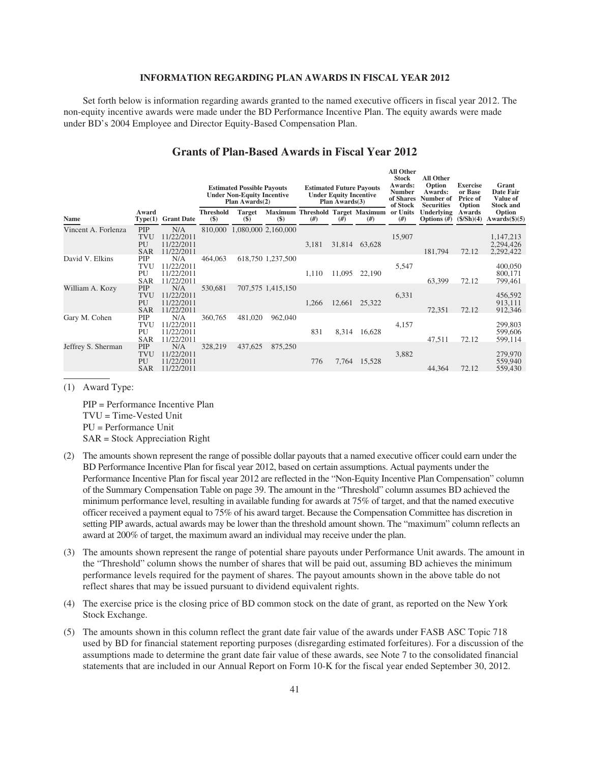## **INFORMATION REGARDING PLAN AWARDS IN FISCAL YEAR 2012**

Set forth below is information regarding awards granted to the named executive officers in fiscal year 2012. The non-equity incentive awards were made under the BD Performance Incentive Plan. The equity awards were made under BD's 2004 Employee and Director Equity-Based Compensation Plan.

|                     |                                              |                                               | <b>Estimated Possible Payouts</b><br><b>Under Non-Equity Incentive</b><br>Plan $Awards(2)$ |                             | <b>Estimated Future Payouts</b><br><b>Under Equity Incentive</b><br>Plan Awards(3) |       |        | All Other<br><b>All Other</b><br>Stock<br>Option<br>Awards:<br><b>Number</b><br>Awards:<br>of Shares<br>Number of<br>of Stock<br><b>Securities</b> |                | <b>Exercise</b><br>or Base<br><b>Price of</b><br>Option | Grant<br>Date Fair<br>Value of<br><b>Stock and</b> |                                     |
|---------------------|----------------------------------------------|-----------------------------------------------|--------------------------------------------------------------------------------------------|-----------------------------|------------------------------------------------------------------------------------|-------|--------|----------------------------------------------------------------------------------------------------------------------------------------------------|----------------|---------------------------------------------------------|----------------------------------------------------|-------------------------------------|
| <b>Name</b>         | Award<br>Type(1)                             | <b>Grant Date</b>                             | <b>Threshold</b><br>$(\$)$                                                                 | <b>Target</b><br>$(\$)$     | $(\$)$                                                                             | #)    | #)     | Maximum Threshold Target Maximum<br>#)                                                                                                             | or Units<br>#) | Underlying<br>Options $(\#)$                            | Awards<br>(\$/Sh)(4)                               | Option<br>$Awards(\text{$}5)(5)$    |
| Vincent A. Forlenza | PIP<br><b>TVU</b><br>PU<br><b>SAR</b>        | N/A<br>11/22/2011<br>11/22/2011<br>11/22/2011 |                                                                                            | 810,000 1,080,000 2,160,000 |                                                                                    | 3,181 | 31,814 | 63,628                                                                                                                                             | 15,907         | 181,794                                                 | 72.12                                              | 1,147,213<br>2,294,426<br>2,292,422 |
| David V. Elkins     | PIP<br>TVU<br>PU<br><b>SAR</b>               | N/A<br>11/22/2011<br>11/22/2011<br>11/22/2011 | 464,063                                                                                    |                             | 618,750 1,237,500                                                                  | 1,110 | 11,095 | 22,190                                                                                                                                             | 5,547          | 63,399                                                  | 72.12                                              | 400,050<br>800,171<br>799,461       |
| William A. Kozy     | <b>PIP</b><br><b>TVU</b><br>PU<br><b>SAR</b> | N/A<br>11/22/2011<br>11/22/2011<br>11/22/2011 | 530,681                                                                                    |                             | 707,575 1,415,150                                                                  | 1,266 | 12,661 | 25,322                                                                                                                                             | 6,331          | 72,351                                                  | 72.12                                              | 456,592<br>913,111<br>912,346       |
| Gary M. Cohen       | PIP<br>TVU<br>PU<br><b>SAR</b>               | N/A<br>11/22/2011<br>11/22/2011<br>11/22/2011 | 360,765                                                                                    | 481,020                     | 962,040                                                                            | 831   | 8,314  | 16,628                                                                                                                                             | 4,157          | 47,511                                                  | 72.12                                              | 299,803<br>599,606<br>599,114       |
| Jeffrey S. Sherman  | <b>PIP</b><br><b>TVU</b><br>PU<br><b>SAR</b> | N/A<br>11/22/2011<br>11/22/2011<br>11/22/2011 | 328,219                                                                                    | 437,625                     | 875,250                                                                            | 776   | 7,764  | 15,528                                                                                                                                             | 3,882          | 44,364                                                  | 72.12                                              | 279,970<br>559,940<br>559,430       |

# **Grants of Plan-Based Awards in Fiscal Year 2012**

**All Other**

(1) Award Type:

PIP = Performance Incentive Plan TVU = Time-Vested Unit PU = Performance Unit SAR = Stock Appreciation Right

- (2) The amounts shown represent the range of possible dollar payouts that a named executive officer could earn under the BD Performance Incentive Plan for fiscal year 2012, based on certain assumptions. Actual payments under the Performance Incentive Plan for fiscal year 2012 are reflected in the "Non-Equity Incentive Plan Compensation" column of the Summary Compensation Table on page 39. The amount in the "Threshold" column assumes BD achieved the minimum performance level, resulting in available funding for awards at 75% of target, and that the named executive officer received a payment equal to 75% of his award target. Because the Compensation Committee has discretion in setting PIP awards, actual awards may be lower than the threshold amount shown. The "maximum" column reflects an award at 200% of target, the maximum award an individual may receive under the plan.
- (3) The amounts shown represent the range of potential share payouts under Performance Unit awards. The amount in the "Threshold" column shows the number of shares that will be paid out, assuming BD achieves the minimum performance levels required for the payment of shares. The payout amounts shown in the above table do not reflect shares that may be issued pursuant to dividend equivalent rights.
- (4) The exercise price is the closing price of BD common stock on the date of grant, as reported on the New York Stock Exchange.
- (5) The amounts shown in this column reflect the grant date fair value of the awards under FASB ASC Topic 718 used by BD for financial statement reporting purposes (disregarding estimated forfeitures). For a discussion of the assumptions made to determine the grant date fair value of these awards, see Note 7 to the consolidated financial statements that are included in our Annual Report on Form 10-K for the fiscal year ended September 30, 2012.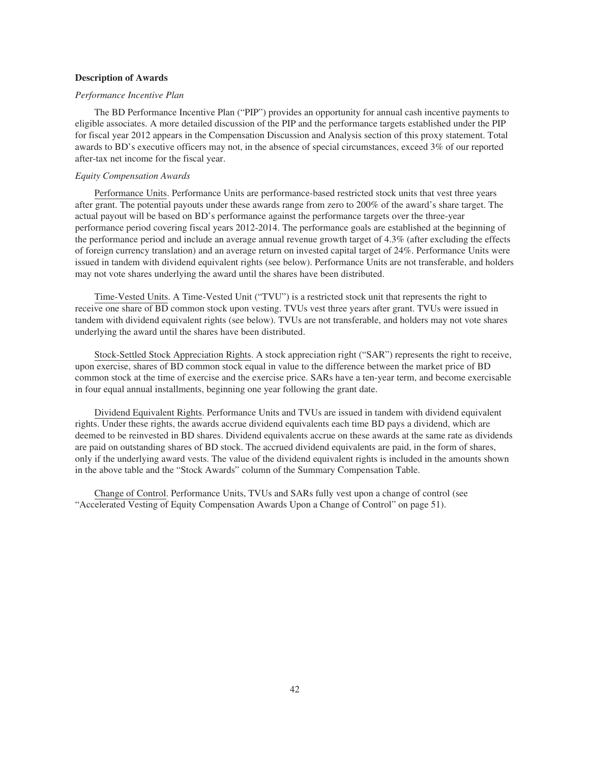## **Description of Awards**

## *Performance Incentive Plan*

The BD Performance Incentive Plan ("PIP") provides an opportunity for annual cash incentive payments to eligible associates. A more detailed discussion of the PIP and the performance targets established under the PIP for fiscal year 2012 appears in the Compensation Discussion and Analysis section of this proxy statement. Total awards to BD's executive officers may not, in the absence of special circumstances, exceed 3% of our reported after-tax net income for the fiscal year.

## *Equity Compensation Awards*

Performance Units. Performance Units are performance-based restricted stock units that vest three years after grant. The potential payouts under these awards range from zero to 200% of the award's share target. The actual payout will be based on BD's performance against the performance targets over the three-year performance period covering fiscal years 2012-2014. The performance goals are established at the beginning of the performance period and include an average annual revenue growth target of 4.3% (after excluding the effects of foreign currency translation) and an average return on invested capital target of 24%. Performance Units were issued in tandem with dividend equivalent rights (see below). Performance Units are not transferable, and holders may not vote shares underlying the award until the shares have been distributed.

Time-Vested Units. A Time-Vested Unit ("TVU") is a restricted stock unit that represents the right to receive one share of BD common stock upon vesting. TVUs vest three years after grant. TVUs were issued in tandem with dividend equivalent rights (see below). TVUs are not transferable, and holders may not vote shares underlying the award until the shares have been distributed.

Stock-Settled Stock Appreciation Rights. A stock appreciation right ("SAR") represents the right to receive, upon exercise, shares of BD common stock equal in value to the difference between the market price of BD common stock at the time of exercise and the exercise price. SARs have a ten-year term, and become exercisable in four equal annual installments, beginning one year following the grant date.

Dividend Equivalent Rights. Performance Units and TVUs are issued in tandem with dividend equivalent rights. Under these rights, the awards accrue dividend equivalents each time BD pays a dividend, which are deemed to be reinvested in BD shares. Dividend equivalents accrue on these awards at the same rate as dividends are paid on outstanding shares of BD stock. The accrued dividend equivalents are paid, in the form of shares, only if the underlying award vests. The value of the dividend equivalent rights is included in the amounts shown in the above table and the "Stock Awards" column of the Summary Compensation Table.

Change of Control. Performance Units, TVUs and SARs fully vest upon a change of control (see "Accelerated Vesting of Equity Compensation Awards Upon a Change of Control" on page 51).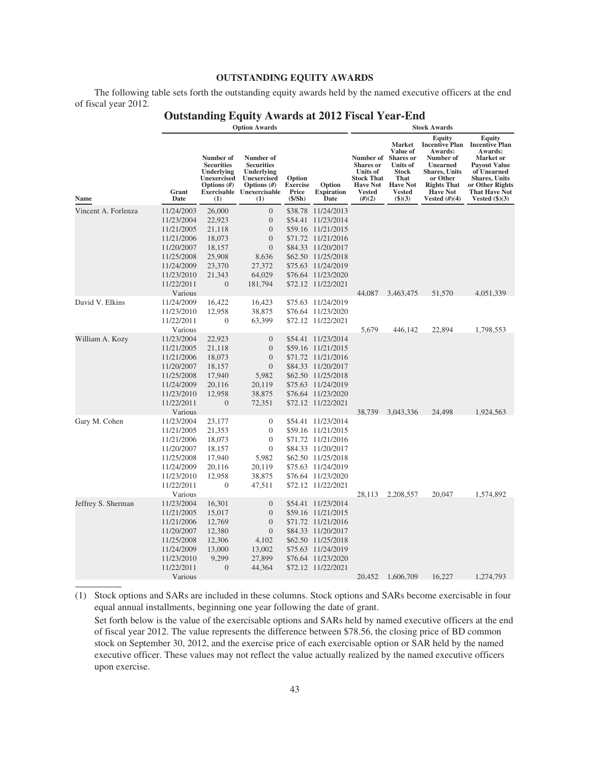# **OUTSTANDING EQUITY AWARDS**

The following table sets forth the outstanding equity awards held by the named executive officers at the end of fiscal year 2012.

|                     |               |                                                                                      | <b>Option Awards</b>                                                                                              |                                              |                                     | <b>Stock Awards</b>                                                                                          |                                                                                                                                               |                                                                                                                                                                                    |                                                                                                                                                                                             |
|---------------------|---------------|--------------------------------------------------------------------------------------|-------------------------------------------------------------------------------------------------------------------|----------------------------------------------|-------------------------------------|--------------------------------------------------------------------------------------------------------------|-----------------------------------------------------------------------------------------------------------------------------------------------|------------------------------------------------------------------------------------------------------------------------------------------------------------------------------------|---------------------------------------------------------------------------------------------------------------------------------------------------------------------------------------------|
| Name                | Grant<br>Date | Number of<br><b>Securities</b><br>Underlying<br>Unexercised<br>Options $(\#)$<br>(1) | Number of<br><b>Securities</b><br>Underlying<br>Unexercised<br>Options $(\#)$<br>Exercisable Unexercisable<br>(1) | Option<br><b>Exercise</b><br>Price<br>(S/Sh) | Option<br><b>Expiration</b><br>Date | Number of<br><b>Shares</b> or<br><b>Units of</b><br><b>Stock That</b><br><b>Have Not</b><br>Vested<br>(H)(2) | <b>Market</b><br>Value of<br><b>Shares</b> or<br><b>Units</b> of<br><b>Stock</b><br><b>That</b><br><b>Have Not</b><br>Vested<br>$($ \$ $)(3)$ | <b>Equity</b><br><b>Incentive Plan</b><br>Awards:<br>Number of<br><b>Unearned</b><br><b>Shares, Units</b><br>or Other<br><b>Rights That</b><br><b>Have Not</b><br>Vested $(\#)(4)$ | <b>Equity</b><br><b>Incentive Plan</b><br>Awards:<br>Market or<br><b>Payout Value</b><br>of Unearned<br><b>Shares, Units</b><br>or Other Rights<br><b>That Have Not</b><br>Vested $(\$)(3)$ |
| Vincent A. Forlenza | 11/24/2003    | 26,000                                                                               | $\boldsymbol{0}$                                                                                                  | \$38.78                                      | 11/24/2013                          |                                                                                                              |                                                                                                                                               |                                                                                                                                                                                    |                                                                                                                                                                                             |
|                     | 11/23/2004    | 22,923                                                                               | $\boldsymbol{0}$                                                                                                  | \$54.41                                      | 11/23/2014                          |                                                                                                              |                                                                                                                                               |                                                                                                                                                                                    |                                                                                                                                                                                             |
|                     | 11/21/2005    | 21,118                                                                               | $\boldsymbol{0}$                                                                                                  |                                              | \$59.16 11/21/2015                  |                                                                                                              |                                                                                                                                               |                                                                                                                                                                                    |                                                                                                                                                                                             |
|                     | 11/21/2006    | 18,073                                                                               | $\mathbf{0}$                                                                                                      |                                              | \$71.72 11/21/2016                  |                                                                                                              |                                                                                                                                               |                                                                                                                                                                                    |                                                                                                                                                                                             |
|                     | 11/20/2007    | 18,157                                                                               | $\mathbf{0}$                                                                                                      |                                              | \$84.33 11/20/2017                  |                                                                                                              |                                                                                                                                               |                                                                                                                                                                                    |                                                                                                                                                                                             |
|                     | 11/25/2008    | 25,908                                                                               | 8,636                                                                                                             |                                              | \$62.50 11/25/2018                  |                                                                                                              |                                                                                                                                               |                                                                                                                                                                                    |                                                                                                                                                                                             |
|                     | 11/24/2009    | 23,370                                                                               | 27,372                                                                                                            |                                              | \$75.63 11/24/2019                  |                                                                                                              |                                                                                                                                               |                                                                                                                                                                                    |                                                                                                                                                                                             |
|                     | 11/23/2010    | 21,343                                                                               | 64,029                                                                                                            |                                              | \$76.64 11/23/2020                  |                                                                                                              |                                                                                                                                               |                                                                                                                                                                                    |                                                                                                                                                                                             |
|                     | 11/22/2011    | $\boldsymbol{0}$                                                                     | 181,794                                                                                                           |                                              | \$72.12 11/22/2021                  |                                                                                                              |                                                                                                                                               |                                                                                                                                                                                    |                                                                                                                                                                                             |
|                     | Various       |                                                                                      |                                                                                                                   |                                              |                                     | 44,087                                                                                                       | 3,463,475                                                                                                                                     | 51,570                                                                                                                                                                             | 4,051,339                                                                                                                                                                                   |
| David V. Elkins     | 11/24/2009    | 16,422                                                                               | 16,423                                                                                                            |                                              | \$75.63 11/24/2019                  |                                                                                                              |                                                                                                                                               |                                                                                                                                                                                    |                                                                                                                                                                                             |
|                     | 11/23/2010    | 12,958                                                                               | 38,875                                                                                                            |                                              | \$76.64 11/23/2020                  |                                                                                                              |                                                                                                                                               |                                                                                                                                                                                    |                                                                                                                                                                                             |
|                     | 11/22/2011    | 0                                                                                    | 63,399                                                                                                            |                                              | \$72.12 11/22/2021                  |                                                                                                              |                                                                                                                                               |                                                                                                                                                                                    |                                                                                                                                                                                             |
|                     | Various       |                                                                                      |                                                                                                                   |                                              |                                     | 5,679                                                                                                        | 446,142                                                                                                                                       | 22,894                                                                                                                                                                             | 1,798,553                                                                                                                                                                                   |
| William A. Kozy     | 11/23/2004    | 22,923                                                                               | $\boldsymbol{0}$                                                                                                  |                                              | \$54.41 11/23/2014                  |                                                                                                              |                                                                                                                                               |                                                                                                                                                                                    |                                                                                                                                                                                             |
|                     | 11/21/2005    | 21,118                                                                               | $\mathbf{0}$                                                                                                      |                                              | \$59.16 11/21/2015                  |                                                                                                              |                                                                                                                                               |                                                                                                                                                                                    |                                                                                                                                                                                             |
|                     | 11/21/2006    | 18,073                                                                               | $\boldsymbol{0}$                                                                                                  |                                              | \$71.72 11/21/2016                  |                                                                                                              |                                                                                                                                               |                                                                                                                                                                                    |                                                                                                                                                                                             |
|                     | 11/20/2007    | 18,157                                                                               | $\mathbf{0}$                                                                                                      |                                              | \$84.33 11/20/2017                  |                                                                                                              |                                                                                                                                               |                                                                                                                                                                                    |                                                                                                                                                                                             |
|                     | 11/25/2008    | 17,940                                                                               | 5,982                                                                                                             |                                              | \$62.50 11/25/2018                  |                                                                                                              |                                                                                                                                               |                                                                                                                                                                                    |                                                                                                                                                                                             |
|                     | 11/24/2009    | 20,116                                                                               | 20,119                                                                                                            |                                              | \$75.63 11/24/2019                  |                                                                                                              |                                                                                                                                               |                                                                                                                                                                                    |                                                                                                                                                                                             |
|                     | 11/23/2010    | 12,958                                                                               | 38,875                                                                                                            |                                              | \$76.64 11/23/2020                  |                                                                                                              |                                                                                                                                               |                                                                                                                                                                                    |                                                                                                                                                                                             |
|                     | 11/22/2011    | $\boldsymbol{0}$                                                                     | 72,351                                                                                                            |                                              | \$72.12 11/22/2021                  |                                                                                                              |                                                                                                                                               |                                                                                                                                                                                    |                                                                                                                                                                                             |
|                     | Various       |                                                                                      |                                                                                                                   |                                              |                                     | 38,739                                                                                                       | 3,043,336                                                                                                                                     | 24,498                                                                                                                                                                             | 1,924,563                                                                                                                                                                                   |
| Gary M. Cohen       | 11/23/2004    | 23,177                                                                               | $\boldsymbol{0}$                                                                                                  |                                              | \$54.41 11/23/2014                  |                                                                                                              |                                                                                                                                               |                                                                                                                                                                                    |                                                                                                                                                                                             |
|                     | 11/21/2005    | 21,353                                                                               | $\boldsymbol{0}$                                                                                                  |                                              | \$59.16 11/21/2015                  |                                                                                                              |                                                                                                                                               |                                                                                                                                                                                    |                                                                                                                                                                                             |
|                     | 11/21/2006    | 18,073                                                                               | $\boldsymbol{0}$                                                                                                  |                                              | \$71.72 11/21/2016                  |                                                                                                              |                                                                                                                                               |                                                                                                                                                                                    |                                                                                                                                                                                             |
|                     | 11/20/2007    | 18,157                                                                               | $\mathbf{0}$                                                                                                      |                                              | \$84.33 11/20/2017                  |                                                                                                              |                                                                                                                                               |                                                                                                                                                                                    |                                                                                                                                                                                             |
|                     | 11/25/2008    | 17,940                                                                               | 5,982                                                                                                             |                                              | \$62.50 11/25/2018                  |                                                                                                              |                                                                                                                                               |                                                                                                                                                                                    |                                                                                                                                                                                             |
|                     | 11/24/2009    | 20,116                                                                               | 20,119                                                                                                            |                                              | \$75.63 11/24/2019                  |                                                                                                              |                                                                                                                                               |                                                                                                                                                                                    |                                                                                                                                                                                             |
|                     | 11/23/2010    | 12,958                                                                               | 38,875                                                                                                            |                                              | \$76.64 11/23/2020                  |                                                                                                              |                                                                                                                                               |                                                                                                                                                                                    |                                                                                                                                                                                             |
|                     | 11/22/2011    | 0                                                                                    | 47,511                                                                                                            |                                              | \$72.12 11/22/2021                  |                                                                                                              |                                                                                                                                               |                                                                                                                                                                                    |                                                                                                                                                                                             |
|                     | Various       |                                                                                      |                                                                                                                   |                                              |                                     | 28,113                                                                                                       | 2,208,557                                                                                                                                     | 20,047                                                                                                                                                                             | 1,574,892                                                                                                                                                                                   |
| Jeffrey S. Sherman  | 11/23/2004    | 16,301                                                                               | $\mathbf{0}$                                                                                                      |                                              | \$54.41 11/23/2014                  |                                                                                                              |                                                                                                                                               |                                                                                                                                                                                    |                                                                                                                                                                                             |
|                     | 11/21/2005    | 15,017                                                                               | $\mathbf{0}$                                                                                                      |                                              | \$59.16 11/21/2015                  |                                                                                                              |                                                                                                                                               |                                                                                                                                                                                    |                                                                                                                                                                                             |
|                     | 11/21/2006    | 12,769                                                                               | $\mathbf{0}$                                                                                                      |                                              | \$71.72 11/21/2016                  |                                                                                                              |                                                                                                                                               |                                                                                                                                                                                    |                                                                                                                                                                                             |
|                     | 11/20/2007    | 12,380                                                                               | $\mathbf{0}$                                                                                                      |                                              | \$84.33 11/20/2017                  |                                                                                                              |                                                                                                                                               |                                                                                                                                                                                    |                                                                                                                                                                                             |
|                     | 11/25/2008    | 12,306                                                                               | 4,102                                                                                                             |                                              | \$62.50 11/25/2018                  |                                                                                                              |                                                                                                                                               |                                                                                                                                                                                    |                                                                                                                                                                                             |
|                     | 11/24/2009    | 13,000                                                                               | 13,002                                                                                                            |                                              | \$75.63 11/24/2019                  |                                                                                                              |                                                                                                                                               |                                                                                                                                                                                    |                                                                                                                                                                                             |
|                     | 11/23/2010    | 9,299                                                                                | 27,899                                                                                                            |                                              | \$76.64 11/23/2020                  |                                                                                                              |                                                                                                                                               |                                                                                                                                                                                    |                                                                                                                                                                                             |
|                     | 11/22/2011    | $\boldsymbol{0}$                                                                     | 44,364                                                                                                            |                                              | \$72.12 11/22/2021                  |                                                                                                              |                                                                                                                                               |                                                                                                                                                                                    |                                                                                                                                                                                             |
|                     | Various       |                                                                                      |                                                                                                                   |                                              |                                     | 20,452                                                                                                       | 1,606,709                                                                                                                                     | 16,227                                                                                                                                                                             | 1,274,793                                                                                                                                                                                   |

# **Outstanding Equity Awards at 2012 Fiscal Year-End**

(1) Stock options and SARs are included in these columns. Stock options and SARs become exercisable in four equal annual installments, beginning one year following the date of grant.

Set forth below is the value of the exercisable options and SARs held by named executive officers at the end of fiscal year 2012. The value represents the difference between \$78.56, the closing price of BD common stock on September 30, 2012, and the exercise price of each exercisable option or SAR held by the named executive officer. These values may not reflect the value actually realized by the named executive officers upon exercise.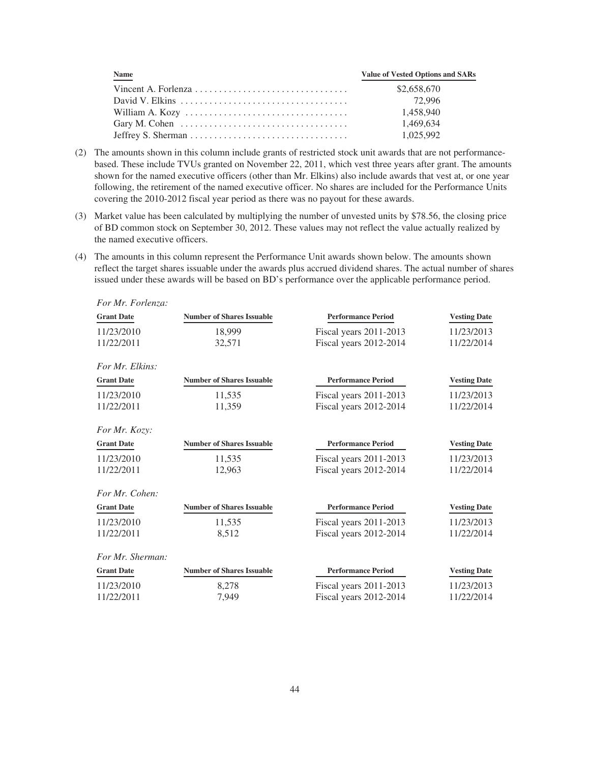| <b>Name</b>                                                                       | <b>Value of Vested Options and SARs</b> |
|-----------------------------------------------------------------------------------|-----------------------------------------|
|                                                                                   | \$2,658,670                             |
|                                                                                   | 72.996                                  |
|                                                                                   | 1.458.940                               |
| Gary M. Cohen $\dots \dots \dots \dots \dots \dots \dots \dots \dots \dots \dots$ | 1.469.634                               |
|                                                                                   | 1.025.992                               |

- (2) The amounts shown in this column include grants of restricted stock unit awards that are not performancebased. These include TVUs granted on November 22, 2011, which vest three years after grant. The amounts shown for the named executive officers (other than Mr. Elkins) also include awards that vest at, or one year following, the retirement of the named executive officer. No shares are included for the Performance Units covering the 2010-2012 fiscal year period as there was no payout for these awards.
- (3) Market value has been calculated by multiplying the number of unvested units by \$78.56, the closing price of BD common stock on September 30, 2012. These values may not reflect the value actually realized by the named executive officers.
- (4) The amounts in this column represent the Performance Unit awards shown below. The amounts shown reflect the target shares issuable under the awards plus accrued dividend shares. The actual number of shares issued under these awards will be based on BD's performance over the applicable performance period.

| For Mr. Forlenza: |                                  |                           |                     |
|-------------------|----------------------------------|---------------------------|---------------------|
| <b>Grant Date</b> | <b>Number of Shares Issuable</b> | <b>Performance Period</b> | <b>Vesting Date</b> |
| 11/23/2010        | 18,999                           | Fiscal years 2011-2013    | 11/23/2013          |
| 11/22/2011        | 32,571                           | Fiscal years 2012-2014    | 11/22/2014          |
| For Mr. Elkins:   |                                  |                           |                     |
| <b>Grant Date</b> | <b>Number of Shares Issuable</b> | <b>Performance Period</b> | <b>Vesting Date</b> |
| 11/23/2010        | 11,535                           | Fiscal years 2011-2013    | 11/23/2013          |
| 11/22/2011        | 11,359                           | Fiscal years 2012-2014    | 11/22/2014          |
| For Mr. Kozy:     |                                  |                           |                     |
| <b>Grant Date</b> | <b>Number of Shares Issuable</b> | <b>Performance Period</b> | <b>Vesting Date</b> |
| 11/23/2010        | 11,535                           | Fiscal years 2011-2013    | 11/23/2013          |
| 11/22/2011        | 12,963                           | Fiscal years 2012-2014    | 11/22/2014          |
| For Mr. Cohen:    |                                  |                           |                     |
| <b>Grant Date</b> | <b>Number of Shares Issuable</b> | <b>Performance Period</b> | <b>Vesting Date</b> |
| 11/23/2010        | 11,535                           | Fiscal years 2011-2013    | 11/23/2013          |
| 11/22/2011        | 8,512                            | Fiscal years 2012-2014    | 11/22/2014          |
| For Mr. Sherman:  |                                  |                           |                     |
| <b>Grant Date</b> | <b>Number of Shares Issuable</b> | <b>Performance Period</b> | <b>Vesting Date</b> |
| 11/23/2010        | 8,278                            | Fiscal years 2011-2013    | 11/23/2013          |
| 11/22/2011        | 7,949                            | Fiscal years 2012-2014    | 11/22/2014          |
|                   |                                  |                           |                     |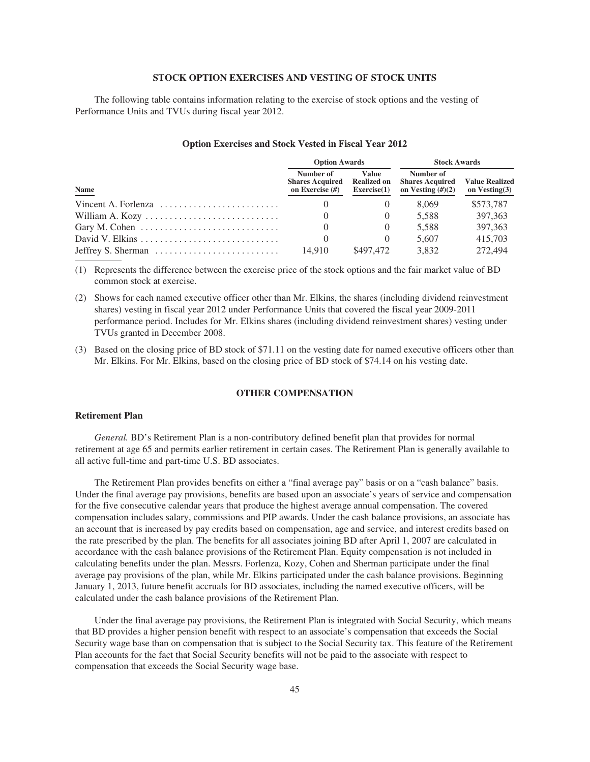## **STOCK OPTION EXERCISES AND VESTING OF STOCK UNITS**

The following table contains information relating to the exercise of stock options and the vesting of Performance Units and TVUs during fiscal year 2012.

|                                                                             | <b>Option Awards</b>                                      |                                            | <b>Stock Awards</b>                                        |                                           |  |
|-----------------------------------------------------------------------------|-----------------------------------------------------------|--------------------------------------------|------------------------------------------------------------|-------------------------------------------|--|
| Name                                                                        | Number of<br><b>Shares Acquired</b><br>on Exercise $(\#)$ | Value<br><b>Realized on</b><br>Exercise(1) | Number of<br><b>Shares Acquired</b><br>on Vesting $(H)(2)$ | <b>Value Realized</b><br>on Vesting $(3)$ |  |
| Vincent A. Forlenza $\ldots \ldots \ldots \ldots \ldots \ldots \ldots$      |                                                           |                                            | 8.069                                                      | \$573,787                                 |  |
| William A. Kozy                                                             |                                                           |                                            | 5.588                                                      | 397.363                                   |  |
| Gary M. Cohen $\dots \dots \dots \dots \dots \dots \dots \dots \dots \dots$ |                                                           |                                            | 5.588                                                      | 397,363                                   |  |
|                                                                             |                                                           |                                            | 5.607                                                      | 415.703                                   |  |
|                                                                             | 14.910                                                    | \$497,472                                  | 3.832                                                      | 272,494                                   |  |

#### **Option Exercises and Stock Vested in Fiscal Year 2012**

(1) Represents the difference between the exercise price of the stock options and the fair market value of BD common stock at exercise.

- (2) Shows for each named executive officer other than Mr. Elkins, the shares (including dividend reinvestment shares) vesting in fiscal year 2012 under Performance Units that covered the fiscal year 2009-2011 performance period. Includes for Mr. Elkins shares (including dividend reinvestment shares) vesting under TVUs granted in December 2008.
- (3) Based on the closing price of BD stock of \$71.11 on the vesting date for named executive officers other than Mr. Elkins. For Mr. Elkins, based on the closing price of BD stock of \$74.14 on his vesting date.

## **OTHER COMPENSATION**

## **Retirement Plan**

*General.* BD's Retirement Plan is a non-contributory defined benefit plan that provides for normal retirement at age 65 and permits earlier retirement in certain cases. The Retirement Plan is generally available to all active full-time and part-time U.S. BD associates.

The Retirement Plan provides benefits on either a "final average pay" basis or on a "cash balance" basis. Under the final average pay provisions, benefits are based upon an associate's years of service and compensation for the five consecutive calendar years that produce the highest average annual compensation. The covered compensation includes salary, commissions and PIP awards. Under the cash balance provisions, an associate has an account that is increased by pay credits based on compensation, age and service, and interest credits based on the rate prescribed by the plan. The benefits for all associates joining BD after April 1, 2007 are calculated in accordance with the cash balance provisions of the Retirement Plan. Equity compensation is not included in calculating benefits under the plan. Messrs. Forlenza, Kozy, Cohen and Sherman participate under the final average pay provisions of the plan, while Mr. Elkins participated under the cash balance provisions. Beginning January 1, 2013, future benefit accruals for BD associates, including the named executive officers, will be calculated under the cash balance provisions of the Retirement Plan.

Under the final average pay provisions, the Retirement Plan is integrated with Social Security, which means that BD provides a higher pension benefit with respect to an associate's compensation that exceeds the Social Security wage base than on compensation that is subject to the Social Security tax. This feature of the Retirement Plan accounts for the fact that Social Security benefits will not be paid to the associate with respect to compensation that exceeds the Social Security wage base.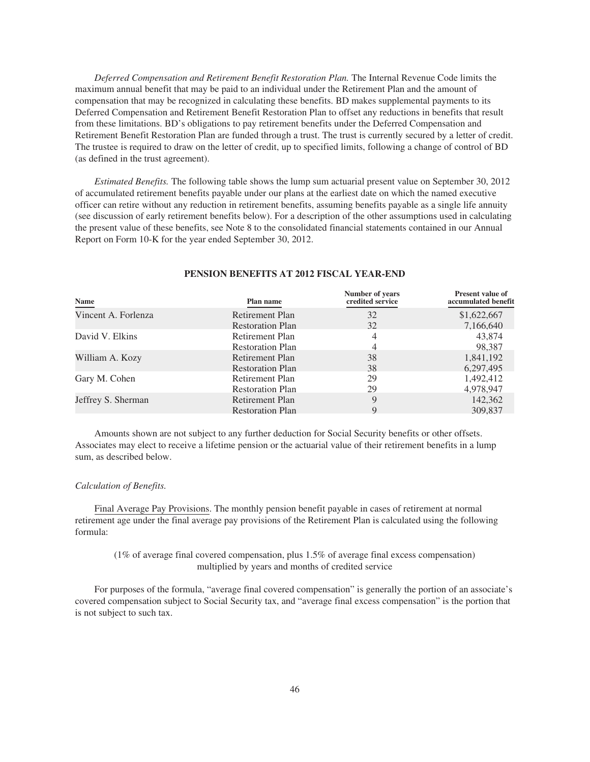*Deferred Compensation and Retirement Benefit Restoration Plan.* The Internal Revenue Code limits the maximum annual benefit that may be paid to an individual under the Retirement Plan and the amount of compensation that may be recognized in calculating these benefits. BD makes supplemental payments to its Deferred Compensation and Retirement Benefit Restoration Plan to offset any reductions in benefits that result from these limitations. BD's obligations to pay retirement benefits under the Deferred Compensation and Retirement Benefit Restoration Plan are funded through a trust. The trust is currently secured by a letter of credit. The trustee is required to draw on the letter of credit, up to specified limits, following a change of control of BD (as defined in the trust agreement).

*Estimated Benefits.* The following table shows the lump sum actuarial present value on September 30, 2012 of accumulated retirement benefits payable under our plans at the earliest date on which the named executive officer can retire without any reduction in retirement benefits, assuming benefits payable as a single life annuity (see discussion of early retirement benefits below). For a description of the other assumptions used in calculating the present value of these benefits, see Note 8 to the consolidated financial statements contained in our Annual Report on Form 10-K for the year ended September 30, 2012.

| Name                | Plan name               | Number of years<br>credited service | <b>Present value of</b><br>accumulated benefit |
|---------------------|-------------------------|-------------------------------------|------------------------------------------------|
| Vincent A. Forlenza | Retirement Plan         | 32                                  | \$1,622,667                                    |
|                     | <b>Restoration Plan</b> | 32                                  | 7,166,640                                      |
| David V. Elkins     | Retirement Plan         | 4                                   | 43,874                                         |
|                     | <b>Restoration Plan</b> |                                     | 98,387                                         |
| William A. Kozy     | Retirement Plan         | 38                                  | 1,841,192                                      |
|                     | <b>Restoration Plan</b> | 38                                  | 6,297,495                                      |
| Gary M. Cohen       | Retirement Plan         | 29                                  | 1,492,412                                      |
|                     | <b>Restoration Plan</b> | 29                                  | 4,978,947                                      |
| Jeffrey S. Sherman  | Retirement Plan         | 9                                   | 142,362                                        |
|                     | <b>Restoration Plan</b> | Q                                   | 309,837                                        |

#### **PENSION BENEFITS AT 2012 FISCAL YEAR-END**

Amounts shown are not subject to any further deduction for Social Security benefits or other offsets. Associates may elect to receive a lifetime pension or the actuarial value of their retirement benefits in a lump sum, as described below.

## *Calculation of Benefits.*

Final Average Pay Provisions. The monthly pension benefit payable in cases of retirement at normal retirement age under the final average pay provisions of the Retirement Plan is calculated using the following formula:

(1% of average final covered compensation, plus 1.5% of average final excess compensation) multiplied by years and months of credited service

For purposes of the formula, "average final covered compensation" is generally the portion of an associate's covered compensation subject to Social Security tax, and "average final excess compensation" is the portion that is not subject to such tax.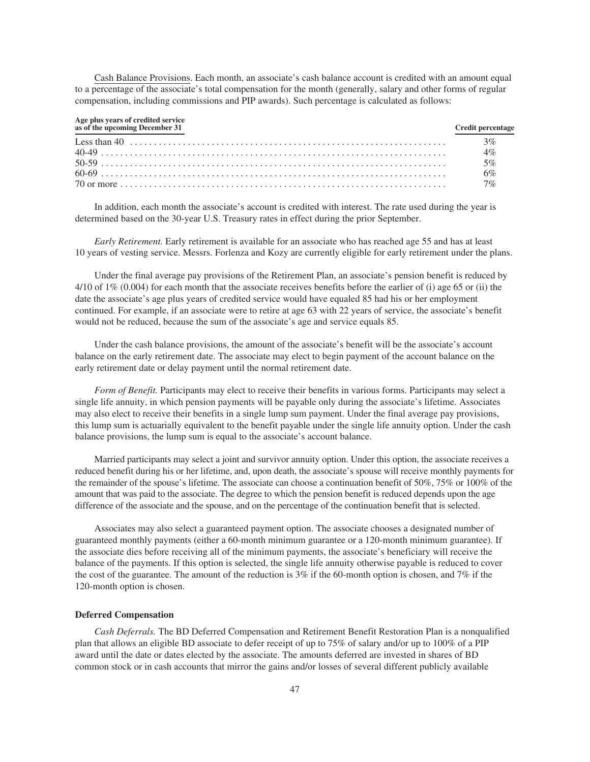Cash Balance Provisions. Each month, an associate's cash balance account is credited with an amount equal to a percentage of the associate's total compensation for the month (generally, salary and other forms of regular compensation, including commissions and PIP awards). Such percentage is calculated as follows:

| Age plus years of credited service<br>as of the upcoming December 31 | <b>Credit percentage</b> |
|----------------------------------------------------------------------|--------------------------|
|                                                                      | $3\%$                    |
|                                                                      | 4%                       |
|                                                                      | 5%                       |
|                                                                      | 6%                       |
|                                                                      | 7%                       |

In addition, each month the associate's account is credited with interest. The rate used during the year is determined based on the 30-year U.S. Treasury rates in effect during the prior September.

*Early Retirement.* Early retirement is available for an associate who has reached age 55 and has at least 10 years of vesting service. Messrs. Forlenza and Kozy are currently eligible for early retirement under the plans.

Under the final average pay provisions of the Retirement Plan, an associate's pension benefit is reduced by 4/10 of 1\% (0.004) for each month that the associate receives benefits before the earlier of (i) age 65 or (ii) the date the associate's age plus years of credited service would have equaled 85 had his or her employment continued. For example, if an associate were to retire at age 63 with 22 years of service, the associate's benefit would not be reduced, because the sum of the associate's age and service equals 85.

Under the cash balance provisions, the amount of the associate's benefit will be the associate's account balance on the early retirement date. The associate may elect to begin payment of the account balance on the early retirement date or delay payment until the normal retirement date.

*Form of Benefit.* Participants may elect to receive their benefits in various forms. Participants may select a single life annuity, in which pension payments will be payable only during the associate's lifetime. Associates may also elect to receive their benefits in a single lump sum payment. Under the final average pay provisions, this lump sum is actuarially equivalent to the benefit payable under the single life annuity option. Under the cash balance provisions, the lump sum is equal to the associate's account balance.

Married participants may select a joint and survivor annuity option. Under this option, the associate receives a reduced benefit during his or her lifetime, and, upon death, the associate's spouse will receive monthly payments for the remainder of the spouse's lifetime. The associate can choose a continuation benefit of 50%, 75% or 100% of the amount that was paid to the associate. The degree to which the pension benefit is reduced depends upon the age difference of the associate and the spouse, and on the percentage of the continuation benefit that is selected.

Associates may also select a guaranteed payment option. The associate chooses a designated number of guaranteed monthly payments (either a 60-month minimum guarantee or a 120-month minimum guarantee). If the associate dies before receiving all of the minimum payments, the associate's beneficiary will receive the balance of the payments. If this option is selected, the single life annuity otherwise payable is reduced to cover the cost of the guarantee. The amount of the reduction is 3% if the 60-month option is chosen, and 7% if the 120-month option is chosen.

## **Deferred Compensation**

*Cash Deferrals.* The BD Deferred Compensation and Retirement Benefit Restoration Plan is a nonqualified plan that allows an eligible BD associate to defer receipt of up to 75% of salary and/or up to 100% of a PIP award until the date or dates elected by the associate. The amounts deferred are invested in shares of BD common stock or in cash accounts that mirror the gains and/or losses of several different publicly available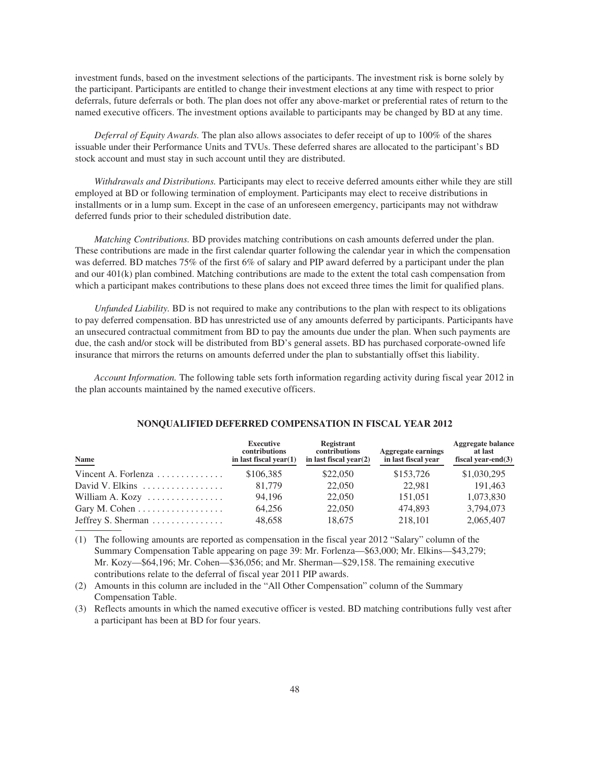investment funds, based on the investment selections of the participants. The investment risk is borne solely by the participant. Participants are entitled to change their investment elections at any time with respect to prior deferrals, future deferrals or both. The plan does not offer any above-market or preferential rates of return to the named executive officers. The investment options available to participants may be changed by BD at any time.

*Deferral of Equity Awards.* The plan also allows associates to defer receipt of up to 100% of the shares issuable under their Performance Units and TVUs. These deferred shares are allocated to the participant's BD stock account and must stay in such account until they are distributed.

*Withdrawals and Distributions.* Participants may elect to receive deferred amounts either while they are still employed at BD or following termination of employment. Participants may elect to receive distributions in installments or in a lump sum. Except in the case of an unforeseen emergency, participants may not withdraw deferred funds prior to their scheduled distribution date.

*Matching Contributions.* BD provides matching contributions on cash amounts deferred under the plan. These contributions are made in the first calendar quarter following the calendar year in which the compensation was deferred. BD matches 75% of the first 6% of salary and PIP award deferred by a participant under the plan and our 401(k) plan combined. Matching contributions are made to the extent the total cash compensation from which a participant makes contributions to these plans does not exceed three times the limit for qualified plans.

*Unfunded Liability.* BD is not required to make any contributions to the plan with respect to its obligations to pay deferred compensation. BD has unrestricted use of any amounts deferred by participants. Participants have an unsecured contractual commitment from BD to pay the amounts due under the plan. When such payments are due, the cash and/or stock will be distributed from BD's general assets. BD has purchased corporate-owned life insurance that mirrors the returns on amounts deferred under the plan to substantially offset this liability.

*Account Information.* The following table sets forth information regarding activity during fiscal year 2012 in the plan accounts maintained by the named executive officers.

| Name                                                 | <b>Executive</b><br>contributions<br>in last fiscal vear $(1)$ | Registrant<br>contributions<br>in last fiscal year $(2)$ | <b>Aggregate earnings</b><br>in last fiscal year | Aggregate balance<br>at last<br>fiscal vear-end $(3)$ |
|------------------------------------------------------|----------------------------------------------------------------|----------------------------------------------------------|--------------------------------------------------|-------------------------------------------------------|
| Vincent A. Forlenza $\dots \dots \dots \dots$        | \$106.385                                                      | \$22,050                                                 | \$153,726                                        | \$1,030,295                                           |
| David V. Elkins $\ldots \ldots \ldots \ldots \ldots$ | 81.779                                                         | 22,050                                                   | 22.981                                           | 191.463                                               |
| William A. Kozy                                      | 94.196                                                         | 22,050                                                   | 151.051                                          | 1,073,830                                             |
| Gary M. Cohen $\dots \dots \dots \dots \dots$        | 64,256                                                         | 22,050                                                   | 474.893                                          | 3,794,073                                             |
| Jeffrey S. Sherman $\dots \dots \dots \dots$         | 48,658                                                         | 18.675                                                   | 218,101                                          | 2,065,407                                             |

### **NONQUALIFIED DEFERRED COMPENSATION IN FISCAL YEAR 2012**

(1) The following amounts are reported as compensation in the fiscal year 2012 "Salary" column of the Summary Compensation Table appearing on page 39: Mr. Forlenza—\$63,000; Mr. Elkins—\$43,279; Mr. Kozy—\$64,196; Mr. Cohen—\$36,056; and Mr. Sherman—\$29,158. The remaining executive contributions relate to the deferral of fiscal year 2011 PIP awards.

(2) Amounts in this column are included in the "All Other Compensation" column of the Summary Compensation Table.

(3) Reflects amounts in which the named executive officer is vested. BD matching contributions fully vest after a participant has been at BD for four years.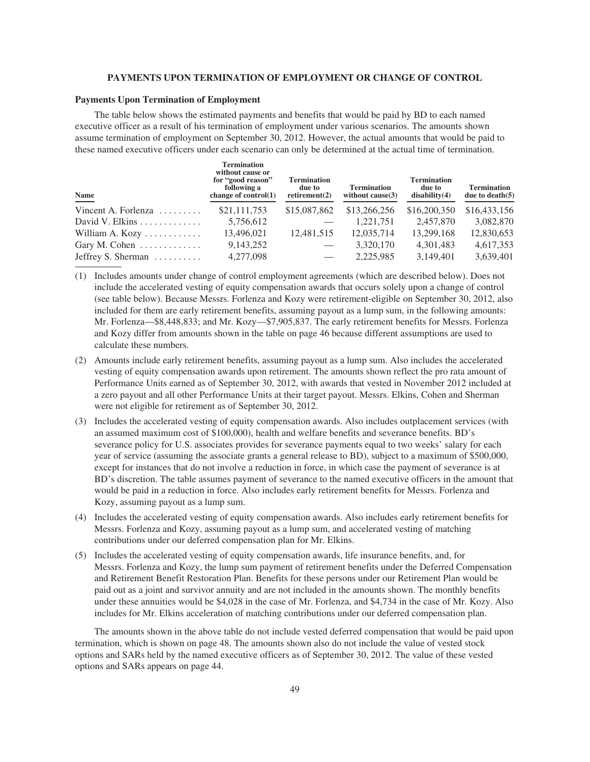## **PAYMENTS UPON TERMINATION OF EMPLOYMENT OR CHANGE OF CONTROL**

## **Payments Upon Termination of Employment**

The table below shows the estimated payments and benefits that would be paid by BD to each named executive officer as a result of his termination of employment under various scenarios. The amounts shown assume termination of employment on September 30, 2012. However, the actual amounts that would be paid to these named executive officers under each scenario can only be determined at the actual time of termination.

| Name                                  | <b>Termination</b><br>without cause or<br>for "good reason"<br>following a<br>change of $control(1)$ | <b>Termination</b><br>due to<br>retirement(2) | <b>Termination</b><br>without $cause(3)$ | <b>Termination</b><br>due to<br>disability(4) | <b>Termination</b><br>due to death $(5)$ |
|---------------------------------------|------------------------------------------------------------------------------------------------------|-----------------------------------------------|------------------------------------------|-----------------------------------------------|------------------------------------------|
| Vincent A. Forlenza $\dots\dots\dots$ | \$21,111,753                                                                                         | \$15,087,862                                  | \$13,266,256                             | \$16,200,350                                  | \$16,433,156                             |
|                                       | 5,756,612                                                                                            |                                               | 1,221,751                                | 2,457,870                                     | 3,082,870                                |
| William A. Kozy $\dots \dots \dots$   | 13,496,021                                                                                           | 12,481,515                                    | 12,035,714                               | 13,299,168                                    | 12,830,653                               |
| Gary M. Cohen $\dots\dots\dots\dots$  | 9,143,252                                                                                            |                                               | 3,320,170                                | 4,301,483                                     | 4,617,353                                |
| Jeffrey S. Sherman                    | 4,277,098                                                                                            |                                               | 2,225,985                                | 3,149,401                                     | 3,639,401                                |

(1) Includes amounts under change of control employment agreements (which are described below). Does not include the accelerated vesting of equity compensation awards that occurs solely upon a change of control (see table below). Because Messrs. Forlenza and Kozy were retirement-eligible on September 30, 2012, also included for them are early retirement benefits, assuming payout as a lump sum, in the following amounts: Mr. Forlenza—\$8,448,833; and Mr. Kozy—\$7,905,837. The early retirement benefits for Messrs. Forlenza and Kozy differ from amounts shown in the table on page 46 because different assumptions are used to calculate these numbers.

- (2) Amounts include early retirement benefits, assuming payout as a lump sum. Also includes the accelerated vesting of equity compensation awards upon retirement. The amounts shown reflect the pro rata amount of Performance Units earned as of September 30, 2012, with awards that vested in November 2012 included at a zero payout and all other Performance Units at their target payout. Messrs. Elkins, Cohen and Sherman were not eligible for retirement as of September 30, 2012.
- (3) Includes the accelerated vesting of equity compensation awards. Also includes outplacement services (with an assumed maximum cost of \$100,000), health and welfare benefits and severance benefits. BD's severance policy for U.S. associates provides for severance payments equal to two weeks' salary for each year of service (assuming the associate grants a general release to BD), subject to a maximum of \$500,000, except for instances that do not involve a reduction in force, in which case the payment of severance is at BD's discretion. The table assumes payment of severance to the named executive officers in the amount that would be paid in a reduction in force. Also includes early retirement benefits for Messrs. Forlenza and Kozy, assuming payout as a lump sum.
- (4) Includes the accelerated vesting of equity compensation awards. Also includes early retirement benefits for Messrs. Forlenza and Kozy, assuming payout as a lump sum, and accelerated vesting of matching contributions under our deferred compensation plan for Mr. Elkins.
- (5) Includes the accelerated vesting of equity compensation awards, life insurance benefits, and, for Messrs. Forlenza and Kozy, the lump sum payment of retirement benefits under the Deferred Compensation and Retirement Benefit Restoration Plan. Benefits for these persons under our Retirement Plan would be paid out as a joint and survivor annuity and are not included in the amounts shown. The monthly benefits under these annuities would be \$4,028 in the case of Mr. Forlenza, and \$4,734 in the case of Mr. Kozy. Also includes for Mr. Elkins acceleration of matching contributions under our deferred compensation plan.

The amounts shown in the above table do not include vested deferred compensation that would be paid upon termination, which is shown on page 48. The amounts shown also do not include the value of vested stock options and SARs held by the named executive officers as of September 30, 2012. The value of these vested options and SARs appears on page 44.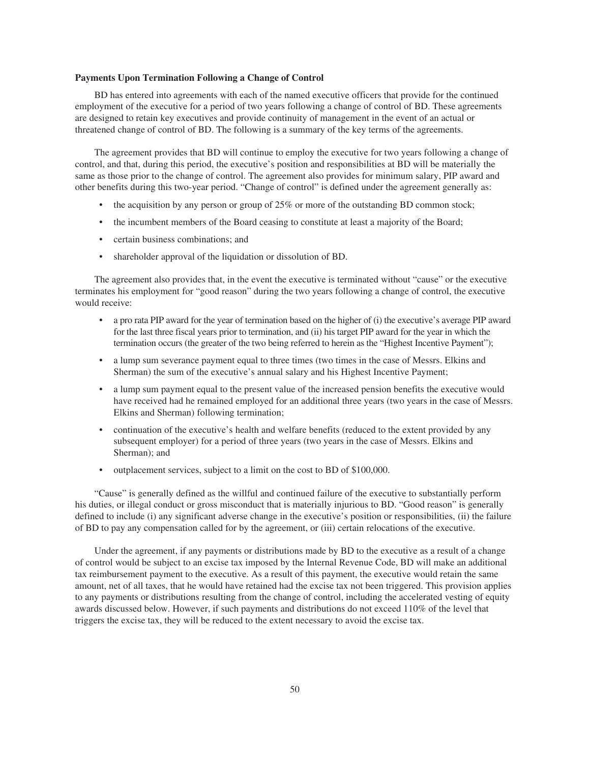### **Payments Upon Termination Following a Change of Control**

BD has entered into agreements with each of the named executive officers that provide for the continued employment of the executive for a period of two years following a change of control of BD. These agreements are designed to retain key executives and provide continuity of management in the event of an actual or threatened change of control of BD. The following is a summary of the key terms of the agreements.

The agreement provides that BD will continue to employ the executive for two years following a change of control, and that, during this period, the executive's position and responsibilities at BD will be materially the same as those prior to the change of control. The agreement also provides for minimum salary, PIP award and other benefits during this two-year period. "Change of control" is defined under the agreement generally as:

- the acquisition by any person or group of 25% or more of the outstanding BD common stock;
- the incumbent members of the Board ceasing to constitute at least a majority of the Board;
- certain business combinations; and
- shareholder approval of the liquidation or dissolution of BD.

The agreement also provides that, in the event the executive is terminated without "cause" or the executive terminates his employment for "good reason" during the two years following a change of control, the executive would receive:

- a pro rata PIP award for the year of termination based on the higher of (i) the executive's average PIP award for the last three fiscal years prior to termination, and (ii) his target PIP award for the year in which the termination occurs (the greater of the two being referred to herein as the "Highest Incentive Payment");
- a lump sum severance payment equal to three times (two times in the case of Messrs. Elkins and Sherman) the sum of the executive's annual salary and his Highest Incentive Payment;
- a lump sum payment equal to the present value of the increased pension benefits the executive would have received had he remained employed for an additional three years (two years in the case of Messrs. Elkins and Sherman) following termination;
- continuation of the executive's health and welfare benefits (reduced to the extent provided by any subsequent employer) for a period of three years (two years in the case of Messrs. Elkins and Sherman); and
- outplacement services, subject to a limit on the cost to BD of \$100,000.

"Cause" is generally defined as the willful and continued failure of the executive to substantially perform his duties, or illegal conduct or gross misconduct that is materially injurious to BD. "Good reason" is generally defined to include (i) any significant adverse change in the executive's position or responsibilities, (ii) the failure of BD to pay any compensation called for by the agreement, or (iii) certain relocations of the executive.

Under the agreement, if any payments or distributions made by BD to the executive as a result of a change of control would be subject to an excise tax imposed by the Internal Revenue Code, BD will make an additional tax reimbursement payment to the executive. As a result of this payment, the executive would retain the same amount, net of all taxes, that he would have retained had the excise tax not been triggered. This provision applies to any payments or distributions resulting from the change of control, including the accelerated vesting of equity awards discussed below. However, if such payments and distributions do not exceed 110% of the level that triggers the excise tax, they will be reduced to the extent necessary to avoid the excise tax.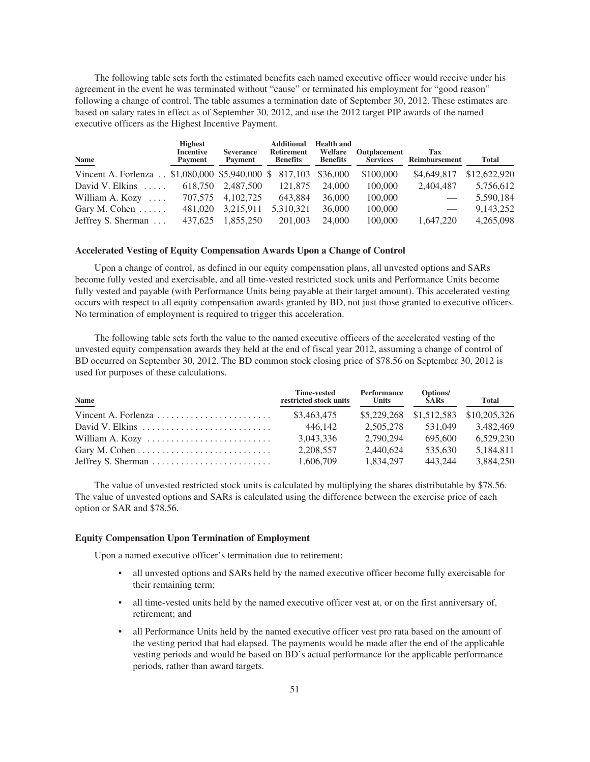The following table sets forth the estimated benefits each named executive officer would receive under his agreement in the event he was terminated without "cause" or terminated his employment for "good reason" following a change of control. The table assumes a termination date of September 30, 2012. These estimates are based on salary rates in effect as of September 30, 2012, and use the 2012 target PIP awards of the named executive officers as the Highest Incentive Payment.

| Name                                                              | <b>Highest</b><br><b>Incentive</b><br>Payment | <b>Severance</b><br>Payment | <b>Additional</b><br><b>Retirement</b><br><b>Benefits</b> | <b>Health and</b><br>Welfare<br><b>Benefits</b> | Outplacement<br><b>Services</b> | Tax<br>Reimbursement            | <b>Total</b> |
|-------------------------------------------------------------------|-----------------------------------------------|-----------------------------|-----------------------------------------------------------|-------------------------------------------------|---------------------------------|---------------------------------|--------------|
| Vincent A. Forlenza . \$1,080,000 \$5,940,000 \$ 817,103 \$36,000 |                                               |                             |                                                           |                                                 | \$100,000                       | \$4,649,817                     | \$12,622,920 |
| David V. Elkins $\ldots$ .                                        | 618.750                                       | 2,487,500                   | 121,875                                                   | 24,000                                          | 100,000                         | 2.404.487                       | 5,756,612    |
| William A. Kozy $\dots$                                           | 707,575                                       | 4, 102, 725                 | 643.884                                                   | 36,000                                          | 100,000                         | $\hspace{0.1mm}-\hspace{0.1mm}$ | 5,590,184    |
| Gary M. Cohen $\dots$ .                                           | 481,020                                       | 3,215,911                   | 5,310,321                                                 | 36,000                                          | 100,000                         |                                 | 9,143,252    |
| Jeffrey S. Sherman                                                | 437,625                                       | 1,855,250                   | 201,003                                                   | 24,000                                          | 100,000                         | 1,647,220                       | 4,265,098    |

## **Accelerated Vesting of Equity Compensation Awards Upon a Change of Control**

Upon a change of control, as defined in our equity compensation plans, all unvested options and SARs become fully vested and exercisable, and all time-vested restricted stock units and Performance Units become fully vested and payable (with Performance Units being payable at their target amount). This accelerated vesting occurs with respect to all equity compensation awards granted by BD, not just those granted to executive officers. No termination of employment is required to trigger this acceleration.

The following table sets forth the value to the named executive officers of the accelerated vesting of the unvested equity compensation awards they held at the end of fiscal year 2012, assuming a change of control of BD occurred on September 30, 2012. The BD common stock closing price of \$78.56 on September 30, 2012 is used for purposes of these calculations.

| Name                                                                   | <b>Time-vested</b><br>restricted stock units | Performance<br>Units | Options/<br><b>SARs</b> | <b>Total</b>                         |
|------------------------------------------------------------------------|----------------------------------------------|----------------------|-------------------------|--------------------------------------|
| Vincent A. Forlenza $\ldots \ldots \ldots \ldots \ldots \ldots \ldots$ | \$3,463,475                                  |                      |                         | \$5,229,268 \$1,512,583 \$10,205,326 |
|                                                                        | 446.142                                      | 2.505.278            | 531.049                 | 3.482,469                            |
|                                                                        | 3,043,336                                    | 2.790.294            | 695.600                 | 6.529.230                            |
| Gary M. Cohen $\dots \dots \dots \dots \dots \dots \dots \dots \dots$  | 2.208.557                                    | 2.440.624            | 535.630                 | 5.184.811                            |
|                                                                        | 1,606,709                                    | 1.834.297            | 443.244                 | 3.884.250                            |

The value of unvested restricted stock units is calculated by multiplying the shares distributable by \$78.56. The value of unvested options and SARs is calculated using the difference between the exercise price of each option or SAR and \$78.56.

### **Equity Compensation Upon Termination of Employment**

Upon a named executive officer's termination due to retirement:

- all unvested options and SARs held by the named executive officer become fully exercisable for their remaining term;
- all time-vested units held by the named executive officer vest at, or on the first anniversary of, retirement; and
- all Performance Units held by the named executive officer vest pro rata based on the amount of the vesting period that had elapsed. The payments would be made after the end of the applicable vesting periods and would be based on BD's actual performance for the applicable performance periods, rather than award targets.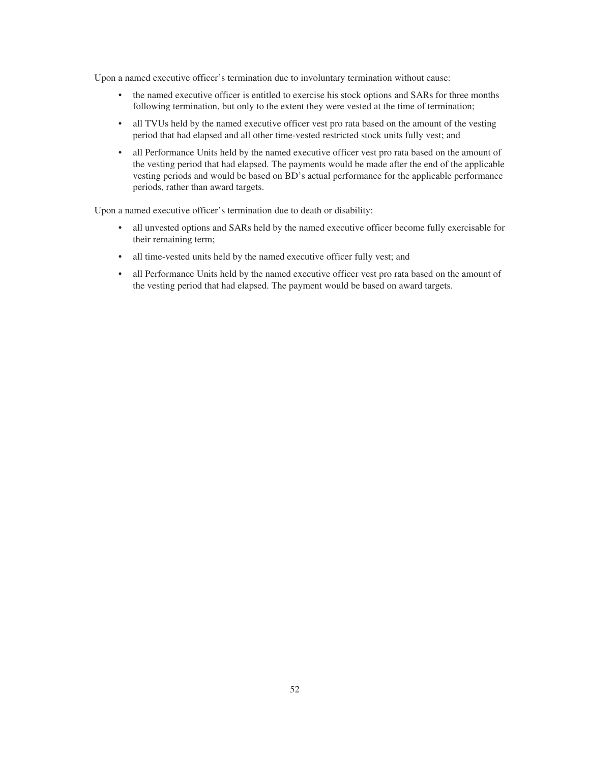Upon a named executive officer's termination due to involuntary termination without cause:

- the named executive officer is entitled to exercise his stock options and SARs for three months following termination, but only to the extent they were vested at the time of termination;
- all TVUs held by the named executive officer vest pro rata based on the amount of the vesting period that had elapsed and all other time-vested restricted stock units fully vest; and
- all Performance Units held by the named executive officer vest pro rata based on the amount of the vesting period that had elapsed. The payments would be made after the end of the applicable vesting periods and would be based on BD's actual performance for the applicable performance periods, rather than award targets.

Upon a named executive officer's termination due to death or disability:

- all unvested options and SARs held by the named executive officer become fully exercisable for their remaining term;
- all time-vested units held by the named executive officer fully vest; and
- all Performance Units held by the named executive officer vest pro rata based on the amount of the vesting period that had elapsed. The payment would be based on award targets.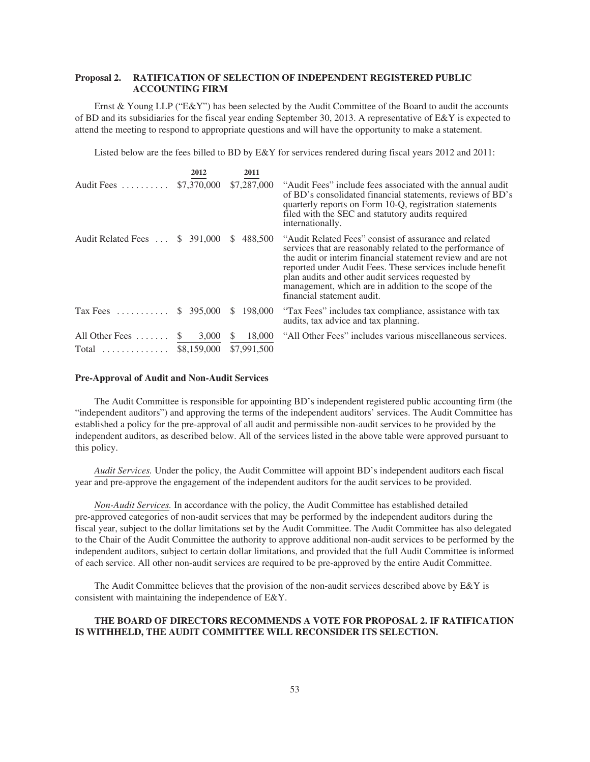# **Proposal 2. RATIFICATION OF SELECTION OF INDEPENDENT REGISTERED PUBLIC ACCOUNTING FIRM**

Ernst & Young LLP ("E&Y") has been selected by the Audit Committee of the Board to audit the accounts of BD and its subsidiaries for the fiscal year ending September 30, 2013. A representative of E&Y is expected to attend the meeting to respond to appropriate questions and will have the opportunity to make a statement.

Listed below are the fees billed to BD by E&Y for services rendered during fiscal years 2012 and 2011:

|                                | 2012                    | 2011          |                                                                                                                                                                                                                                                                                                                                                                                             |
|--------------------------------|-------------------------|---------------|---------------------------------------------------------------------------------------------------------------------------------------------------------------------------------------------------------------------------------------------------------------------------------------------------------------------------------------------------------------------------------------------|
| Audit Fees                     | \$7,370,000             | \$7,287,000   | "Audit Fees" include fees associated with the annual audit<br>of BD's consolidated financial statements, reviews of BD's<br>quarterly reports on Form 10-Q, registration statements<br>filed with the SEC and statutory audits required<br>internationally.                                                                                                                                 |
| Audit Related Fees  \$ 391,000 |                         | 488,500<br>S. | "Audit Related Fees" consist of assurance and related<br>services that are reasonably related to the performance of<br>the audit or interim financial statement review and are not<br>reported under Audit Fees. These services include benefit<br>plan audits and other audit services requested by<br>management, which are in addition to the scope of the<br>financial statement audit. |
| Tax Fees  \$ 395,000           |                         | \$198,000     | "Tax Fees" includes tax compliance, assistance with tax<br>audits, tax advice and tax planning.                                                                                                                                                                                                                                                                                             |
| All Other Fees $\dots\dots$    | 3,000<br><sup>S</sup>   | 18,000<br>S.  | "All Other Fees" includes various miscellaneous services.                                                                                                                                                                                                                                                                                                                                   |
| $Total$                        | \$8,159,000 \$7,991,500 |               |                                                                                                                                                                                                                                                                                                                                                                                             |

### **Pre-Approval of Audit and Non-Audit Services**

The Audit Committee is responsible for appointing BD's independent registered public accounting firm (the "independent auditors") and approving the terms of the independent auditors' services. The Audit Committee has established a policy for the pre-approval of all audit and permissible non-audit services to be provided by the independent auditors, as described below. All of the services listed in the above table were approved pursuant to this policy.

*Audit Services.* Under the policy, the Audit Committee will appoint BD's independent auditors each fiscal year and pre-approve the engagement of the independent auditors for the audit services to be provided.

*Non-Audit Services.* In accordance with the policy, the Audit Committee has established detailed pre-approved categories of non-audit services that may be performed by the independent auditors during the fiscal year, subject to the dollar limitations set by the Audit Committee. The Audit Committee has also delegated to the Chair of the Audit Committee the authority to approve additional non-audit services to be performed by the independent auditors, subject to certain dollar limitations, and provided that the full Audit Committee is informed of each service. All other non-audit services are required to be pre-approved by the entire Audit Committee.

The Audit Committee believes that the provision of the non-audit services described above by E&Y is consistent with maintaining the independence of E&Y.

# **THE BOARD OF DIRECTORS RECOMMENDS A VOTE FOR PROPOSAL 2. IF RATIFICATION IS WITHHELD, THE AUDIT COMMITTEE WILL RECONSIDER ITS SELECTION.**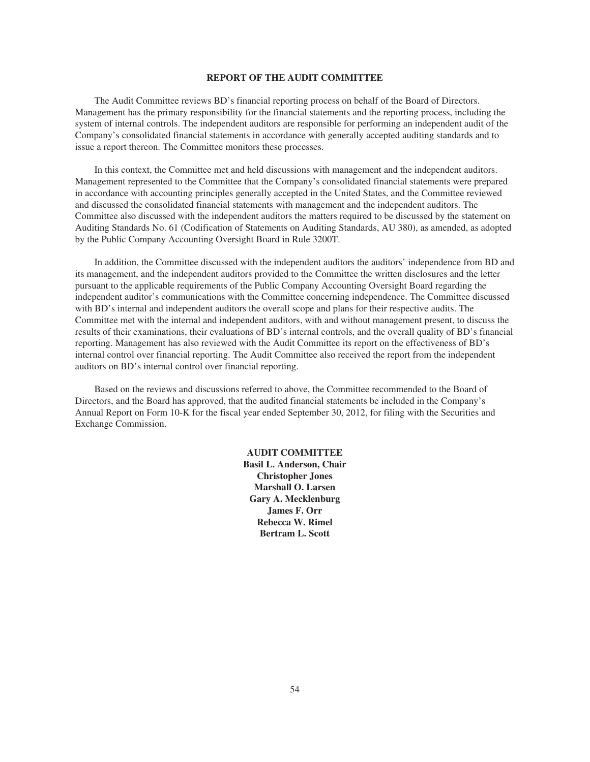## **REPORT OF THE AUDIT COMMITTEE**

The Audit Committee reviews BD's financial reporting process on behalf of the Board of Directors. Management has the primary responsibility for the financial statements and the reporting process, including the system of internal controls. The independent auditors are responsible for performing an independent audit of the Company's consolidated financial statements in accordance with generally accepted auditing standards and to issue a report thereon. The Committee monitors these processes.

In this context, the Committee met and held discussions with management and the independent auditors. Management represented to the Committee that the Company's consolidated financial statements were prepared in accordance with accounting principles generally accepted in the United States, and the Committee reviewed and discussed the consolidated financial statements with management and the independent auditors. The Committee also discussed with the independent auditors the matters required to be discussed by the statement on Auditing Standards No. 61 (Codification of Statements on Auditing Standards, AU 380), as amended, as adopted by the Public Company Accounting Oversight Board in Rule 3200T.

In addition, the Committee discussed with the independent auditors the auditors' independence from BD and its management, and the independent auditors provided to the Committee the written disclosures and the letter pursuant to the applicable requirements of the Public Company Accounting Oversight Board regarding the independent auditor's communications with the Committee concerning independence. The Committee discussed with BD's internal and independent auditors the overall scope and plans for their respective audits. The Committee met with the internal and independent auditors, with and without management present, to discuss the results of their examinations, their evaluations of BD's internal controls, and the overall quality of BD's financial reporting. Management has also reviewed with the Audit Committee its report on the effectiveness of BD's internal control over financial reporting. The Audit Committee also received the report from the independent auditors on BD's internal control over financial reporting.

Based on the reviews and discussions referred to above, the Committee recommended to the Board of Directors, and the Board has approved, that the audited financial statements be included in the Company's Annual Report on Form 10-K for the fiscal year ended September 30, 2012, for filing with the Securities and Exchange Commission.

> **AUDIT COMMITTEE Basil L. Anderson, Chair Christopher Jones Marshall O. Larsen Gary A. Mecklenburg James F. Orr Rebecca W. Rimel Bertram L. Scott**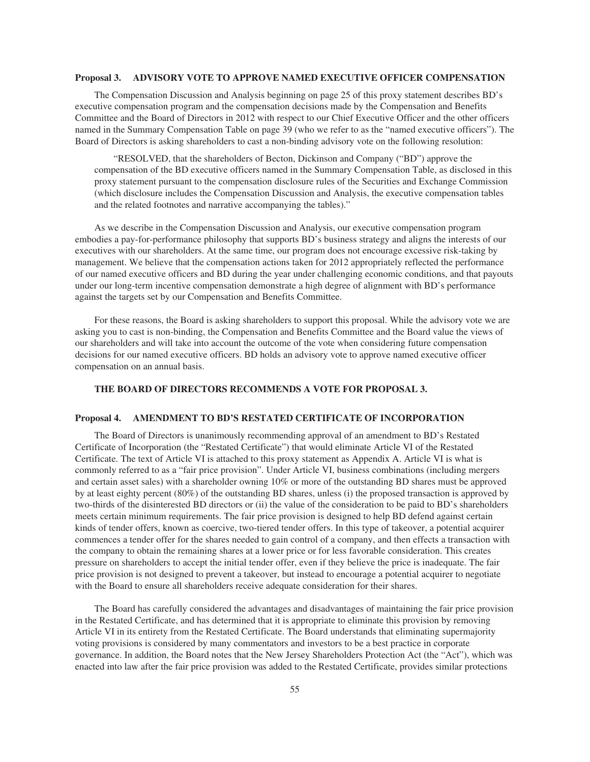### **Proposal 3. ADVISORY VOTE TO APPROVE NAMED EXECUTIVE OFFICER COMPENSATION**

The Compensation Discussion and Analysis beginning on page 25 of this proxy statement describes BD's executive compensation program and the compensation decisions made by the Compensation and Benefits Committee and the Board of Directors in 2012 with respect to our Chief Executive Officer and the other officers named in the Summary Compensation Table on page 39 (who we refer to as the "named executive officers"). The Board of Directors is asking shareholders to cast a non-binding advisory vote on the following resolution:

"RESOLVED, that the shareholders of Becton, Dickinson and Company ("BD") approve the compensation of the BD executive officers named in the Summary Compensation Table, as disclosed in this proxy statement pursuant to the compensation disclosure rules of the Securities and Exchange Commission (which disclosure includes the Compensation Discussion and Analysis, the executive compensation tables and the related footnotes and narrative accompanying the tables)."

As we describe in the Compensation Discussion and Analysis, our executive compensation program embodies a pay-for-performance philosophy that supports BD's business strategy and aligns the interests of our executives with our shareholders. At the same time, our program does not encourage excessive risk-taking by management. We believe that the compensation actions taken for 2012 appropriately reflected the performance of our named executive officers and BD during the year under challenging economic conditions, and that payouts under our long-term incentive compensation demonstrate a high degree of alignment with BD's performance against the targets set by our Compensation and Benefits Committee.

For these reasons, the Board is asking shareholders to support this proposal. While the advisory vote we are asking you to cast is non-binding, the Compensation and Benefits Committee and the Board value the views of our shareholders and will take into account the outcome of the vote when considering future compensation decisions for our named executive officers. BD holds an advisory vote to approve named executive officer compensation on an annual basis.

## **THE BOARD OF DIRECTORS RECOMMENDS A VOTE FOR PROPOSAL 3.**

# **Proposal 4. AMENDMENT TO BD'S RESTATED CERTIFICATE OF INCORPORATION**

The Board of Directors is unanimously recommending approval of an amendment to BD's Restated Certificate of Incorporation (the "Restated Certificate") that would eliminate Article VI of the Restated Certificate. The text of Article VI is attached to this proxy statement as Appendix A. Article VI is what is commonly referred to as a "fair price provision". Under Article VI, business combinations (including mergers and certain asset sales) with a shareholder owning 10% or more of the outstanding BD shares must be approved by at least eighty percent (80%) of the outstanding BD shares, unless (i) the proposed transaction is approved by two-thirds of the disinterested BD directors or (ii) the value of the consideration to be paid to BD's shareholders meets certain minimum requirements. The fair price provision is designed to help BD defend against certain kinds of tender offers, known as coercive, two-tiered tender offers. In this type of takeover, a potential acquirer commences a tender offer for the shares needed to gain control of a company, and then effects a transaction with the company to obtain the remaining shares at a lower price or for less favorable consideration. This creates pressure on shareholders to accept the initial tender offer, even if they believe the price is inadequate. The fair price provision is not designed to prevent a takeover, but instead to encourage a potential acquirer to negotiate with the Board to ensure all shareholders receive adequate consideration for their shares.

The Board has carefully considered the advantages and disadvantages of maintaining the fair price provision in the Restated Certificate, and has determined that it is appropriate to eliminate this provision by removing Article VI in its entirety from the Restated Certificate. The Board understands that eliminating supermajority voting provisions is considered by many commentators and investors to be a best practice in corporate governance. In addition, the Board notes that the New Jersey Shareholders Protection Act (the "Act"), which was enacted into law after the fair price provision was added to the Restated Certificate, provides similar protections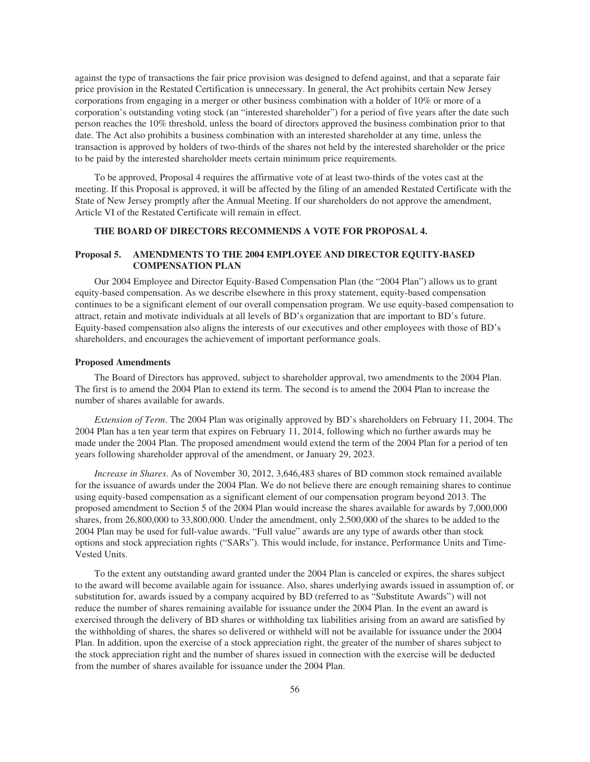against the type of transactions the fair price provision was designed to defend against, and that a separate fair price provision in the Restated Certification is unnecessary. In general, the Act prohibits certain New Jersey corporations from engaging in a merger or other business combination with a holder of 10% or more of a corporation's outstanding voting stock (an "interested shareholder") for a period of five years after the date such person reaches the 10% threshold, unless the board of directors approved the business combination prior to that date. The Act also prohibits a business combination with an interested shareholder at any time, unless the transaction is approved by holders of two-thirds of the shares not held by the interested shareholder or the price to be paid by the interested shareholder meets certain minimum price requirements.

To be approved, Proposal 4 requires the affirmative vote of at least two-thirds of the votes cast at the meeting. If this Proposal is approved, it will be affected by the filing of an amended Restated Certificate with the State of New Jersey promptly after the Annual Meeting. If our shareholders do not approve the amendment, Article VI of the Restated Certificate will remain in effect.

### **THE BOARD OF DIRECTORS RECOMMENDS A VOTE FOR PROPOSAL 4.**

# **Proposal 5. AMENDMENTS TO THE 2004 EMPLOYEE AND DIRECTOR EQUITY-BASED COMPENSATION PLAN**

Our 2004 Employee and Director Equity-Based Compensation Plan (the "2004 Plan") allows us to grant equity-based compensation. As we describe elsewhere in this proxy statement, equity-based compensation continues to be a significant element of our overall compensation program. We use equity-based compensation to attract, retain and motivate individuals at all levels of BD's organization that are important to BD's future. Equity-based compensation also aligns the interests of our executives and other employees with those of BD's shareholders, and encourages the achievement of important performance goals.

#### **Proposed Amendments**

The Board of Directors has approved, subject to shareholder approval, two amendments to the 2004 Plan. The first is to amend the 2004 Plan to extend its term. The second is to amend the 2004 Plan to increase the number of shares available for awards.

*Extension of Term*. The 2004 Plan was originally approved by BD's shareholders on February 11, 2004. The 2004 Plan has a ten year term that expires on February 11, 2014, following which no further awards may be made under the 2004 Plan. The proposed amendment would extend the term of the 2004 Plan for a period of ten years following shareholder approval of the amendment, or January 29, 2023.

*Increase in Shares*. As of November 30, 2012, 3,646,483 shares of BD common stock remained available for the issuance of awards under the 2004 Plan. We do not believe there are enough remaining shares to continue using equity-based compensation as a significant element of our compensation program beyond 2013. The proposed amendment to Section 5 of the 2004 Plan would increase the shares available for awards by 7,000,000 shares, from 26,800,000 to 33,800,000. Under the amendment, only 2,500,000 of the shares to be added to the 2004 Plan may be used for full-value awards. "Full value" awards are any type of awards other than stock options and stock appreciation rights ("SARs"). This would include, for instance, Performance Units and Time-Vested Units.

To the extent any outstanding award granted under the 2004 Plan is canceled or expires, the shares subject to the award will become available again for issuance. Also, shares underlying awards issued in assumption of, or substitution for, awards issued by a company acquired by BD (referred to as "Substitute Awards") will not reduce the number of shares remaining available for issuance under the 2004 Plan. In the event an award is exercised through the delivery of BD shares or withholding tax liabilities arising from an award are satisfied by the withholding of shares, the shares so delivered or withheld will not be available for issuance under the 2004 Plan. In addition, upon the exercise of a stock appreciation right, the greater of the number of shares subject to the stock appreciation right and the number of shares issued in connection with the exercise will be deducted from the number of shares available for issuance under the 2004 Plan.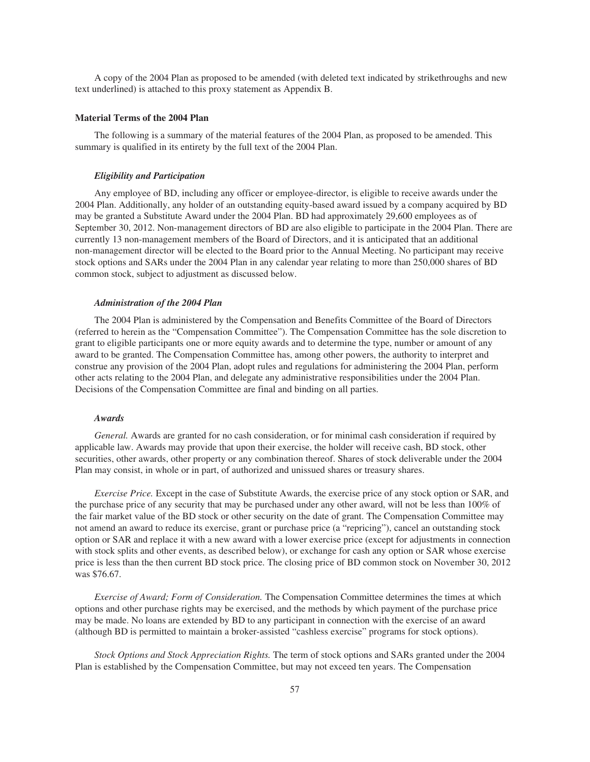A copy of the 2004 Plan as proposed to be amended (with deleted text indicated by strikethroughs and new text underlined) is attached to this proxy statement as Appendix B.

### **Material Terms of the 2004 Plan**

The following is a summary of the material features of the 2004 Plan, as proposed to be amended. This summary is qualified in its entirety by the full text of the 2004 Plan.

### *Eligibility and Participation*

Any employee of BD, including any officer or employee-director, is eligible to receive awards under the 2004 Plan. Additionally, any holder of an outstanding equity-based award issued by a company acquired by BD may be granted a Substitute Award under the 2004 Plan. BD had approximately 29,600 employees as of September 30, 2012. Non-management directors of BD are also eligible to participate in the 2004 Plan. There are currently 13 non-management members of the Board of Directors, and it is anticipated that an additional non-management director will be elected to the Board prior to the Annual Meeting. No participant may receive stock options and SARs under the 2004 Plan in any calendar year relating to more than 250,000 shares of BD common stock, subject to adjustment as discussed below.

### *Administration of the 2004 Plan*

The 2004 Plan is administered by the Compensation and Benefits Committee of the Board of Directors (referred to herein as the "Compensation Committee"). The Compensation Committee has the sole discretion to grant to eligible participants one or more equity awards and to determine the type, number or amount of any award to be granted. The Compensation Committee has, among other powers, the authority to interpret and construe any provision of the 2004 Plan, adopt rules and regulations for administering the 2004 Plan, perform other acts relating to the 2004 Plan, and delegate any administrative responsibilities under the 2004 Plan. Decisions of the Compensation Committee are final and binding on all parties.

#### *Awards*

*General.* Awards are granted for no cash consideration, or for minimal cash consideration if required by applicable law. Awards may provide that upon their exercise, the holder will receive cash, BD stock, other securities, other awards, other property or any combination thereof. Shares of stock deliverable under the 2004 Plan may consist, in whole or in part, of authorized and unissued shares or treasury shares.

*Exercise Price.* Except in the case of Substitute Awards, the exercise price of any stock option or SAR, and the purchase price of any security that may be purchased under any other award, will not be less than 100% of the fair market value of the BD stock or other security on the date of grant. The Compensation Committee may not amend an award to reduce its exercise, grant or purchase price (a "repricing"), cancel an outstanding stock option or SAR and replace it with a new award with a lower exercise price (except for adjustments in connection with stock splits and other events, as described below), or exchange for cash any option or SAR whose exercise price is less than the then current BD stock price. The closing price of BD common stock on November 30, 2012 was \$76.67.

*Exercise of Award; Form of Consideration.* The Compensation Committee determines the times at which options and other purchase rights may be exercised, and the methods by which payment of the purchase price may be made. No loans are extended by BD to any participant in connection with the exercise of an award (although BD is permitted to maintain a broker-assisted "cashless exercise" programs for stock options).

*Stock Options and Stock Appreciation Rights.* The term of stock options and SARs granted under the 2004 Plan is established by the Compensation Committee, but may not exceed ten years. The Compensation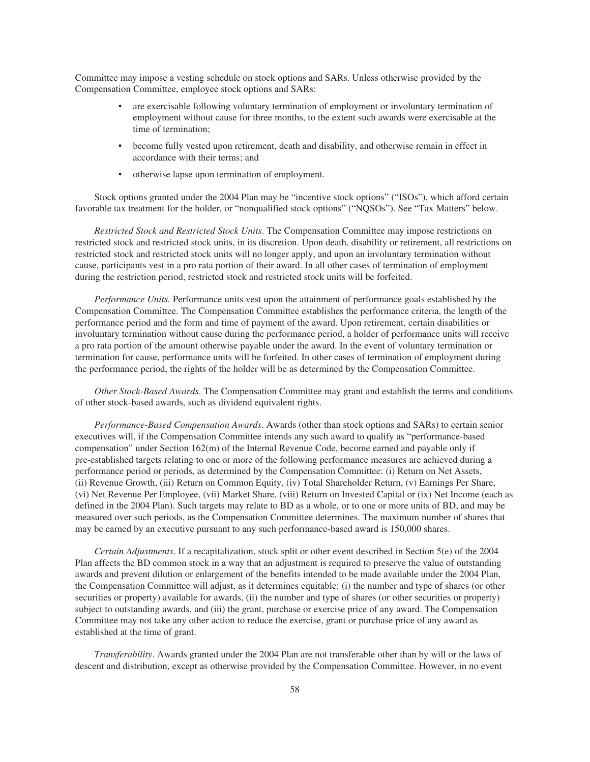Committee may impose a vesting schedule on stock options and SARs. Unless otherwise provided by the Compensation Committee, employee stock options and SARs:

- are exercisable following voluntary termination of employment or involuntary termination of employment without cause for three months, to the extent such awards were exercisable at the time of termination;
- become fully vested upon retirement, death and disability, and otherwise remain in effect in accordance with their terms; and
- otherwise lapse upon termination of employment.

Stock options granted under the 2004 Plan may be "incentive stock options" ("ISOs"), which afford certain favorable tax treatment for the holder, or "nonqualified stock options" ("NQSOs"). See "Tax Matters" below.

*Restricted Stock and Restricted Stock Units*. The Compensation Committee may impose restrictions on restricted stock and restricted stock units, in its discretion. Upon death, disability or retirement, all restrictions on restricted stock and restricted stock units will no longer apply, and upon an involuntary termination without cause, participants vest in a pro rata portion of their award. In all other cases of termination of employment during the restriction period, restricted stock and restricted stock units will be forfeited.

*Performance Units.* Performance units vest upon the attainment of performance goals established by the Compensation Committee. The Compensation Committee establishes the performance criteria, the length of the performance period and the form and time of payment of the award. Upon retirement, certain disabilities or involuntary termination without cause during the performance period, a holder of performance units will receive a pro rata portion of the amount otherwise payable under the award. In the event of voluntary termination or termination for cause, performance units will be forfeited. In other cases of termination of employment during the performance period, the rights of the holder will be as determined by the Compensation Committee.

*Other Stock-Based Awards*. The Compensation Committee may grant and establish the terms and conditions of other stock-based awards, such as dividend equivalent rights.

*Performance-Based Compensation Awards*. Awards (other than stock options and SARs) to certain senior executives will, if the Compensation Committee intends any such award to qualify as "performance-based compensation" under Section 162(m) of the Internal Revenue Code, become earned and payable only if pre-established targets relating to one or more of the following performance measures are achieved during a performance period or periods, as determined by the Compensation Committee: (i) Return on Net Assets, (ii) Revenue Growth, (iii) Return on Common Equity, (iv) Total Shareholder Return, (v) Earnings Per Share, (vi) Net Revenue Per Employee, (vii) Market Share, (viii) Return on Invested Capital or (ix) Net Income (each as defined in the 2004 Plan). Such targets may relate to BD as a whole, or to one or more units of BD, and may be measured over such periods, as the Compensation Committee determines. The maximum number of shares that may be earned by an executive pursuant to any such performance-based award is 150,000 shares.

*Certain Adjustments*. If a recapitalization, stock split or other event described in Section 5(e) of the 2004 Plan affects the BD common stock in a way that an adjustment is required to preserve the value of outstanding awards and prevent dilution or enlargement of the benefits intended to be made available under the 2004 Plan, the Compensation Committee will adjust, as it determines equitable: (i) the number and type of shares (or other securities or property) available for awards, (ii) the number and type of shares (or other securities or property) subject to outstanding awards, and (iii) the grant, purchase or exercise price of any award. The Compensation Committee may not take any other action to reduce the exercise, grant or purchase price of any award as established at the time of grant.

*Transferability*. Awards granted under the 2004 Plan are not transferable other than by will or the laws of descent and distribution, except as otherwise provided by the Compensation Committee. However, in no event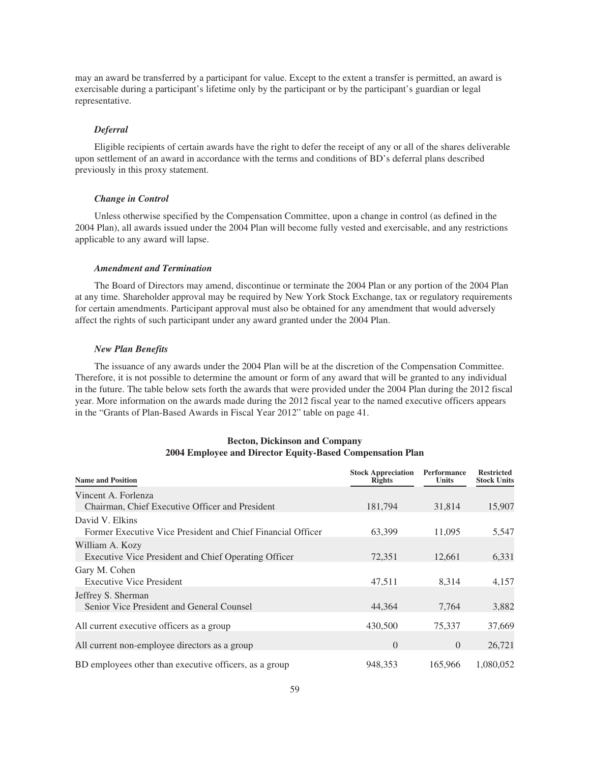may an award be transferred by a participant for value. Except to the extent a transfer is permitted, an award is exercisable during a participant's lifetime only by the participant or by the participant's guardian or legal representative.

#### *Deferral*

Eligible recipients of certain awards have the right to defer the receipt of any or all of the shares deliverable upon settlement of an award in accordance with the terms and conditions of BD's deferral plans described previously in this proxy statement.

## *Change in Control*

Unless otherwise specified by the Compensation Committee, upon a change in control (as defined in the 2004 Plan), all awards issued under the 2004 Plan will become fully vested and exercisable, and any restrictions applicable to any award will lapse.

### *Amendment and Termination*

The Board of Directors may amend, discontinue or terminate the 2004 Plan or any portion of the 2004 Plan at any time. Shareholder approval may be required by New York Stock Exchange, tax or regulatory requirements for certain amendments. Participant approval must also be obtained for any amendment that would adversely affect the rights of such participant under any award granted under the 2004 Plan.

### *New Plan Benefits*

The issuance of any awards under the 2004 Plan will be at the discretion of the Compensation Committee. Therefore, it is not possible to determine the amount or form of any award that will be granted to any individual in the future. The table below sets forth the awards that were provided under the 2004 Plan during the 2012 fiscal year. More information on the awards made during the 2012 fiscal year to the named executive officers appears in the "Grants of Plan-Based Awards in Fiscal Year 2012" table on page 41.

| <b>Becton, Dickinson and Company</b>                      |
|-----------------------------------------------------------|
| 2004 Employee and Director Equity-Based Compensation Plan |

| <b>Name and Position</b>                                    | <b>Stock Appreciation</b><br><b>Rights</b> | <b>Performance</b><br><b>Units</b> | <b>Restricted</b><br><b>Stock Units</b> |
|-------------------------------------------------------------|--------------------------------------------|------------------------------------|-----------------------------------------|
| Vincent A. Forlenza                                         |                                            |                                    |                                         |
| Chairman, Chief Executive Officer and President             | 181,794                                    | 31,814                             | 15,907                                  |
| David V. Elkins                                             |                                            |                                    |                                         |
| Former Executive Vice President and Chief Financial Officer | 63,399                                     | 11,095                             | 5,547                                   |
| William A. Kozy                                             |                                            |                                    |                                         |
| Executive Vice President and Chief Operating Officer        | 72,351                                     | 12,661                             | 6,331                                   |
| Gary M. Cohen                                               |                                            |                                    |                                         |
| <b>Executive Vice President</b>                             | 47,511                                     | 8,314                              | 4,157                                   |
| Jeffrey S. Sherman                                          |                                            |                                    |                                         |
| Senior Vice President and General Counsel                   | 44,364                                     | 7,764                              | 3,882                                   |
| All current executive officers as a group                   | 430,500                                    | 75,337                             | 37,669                                  |
| All current non-employee directors as a group               | $\theta$                                   | $\Omega$                           | 26,721                                  |
| BD employees other than executive officers, as a group      | 948,353                                    | 165,966                            | 1,080,052                               |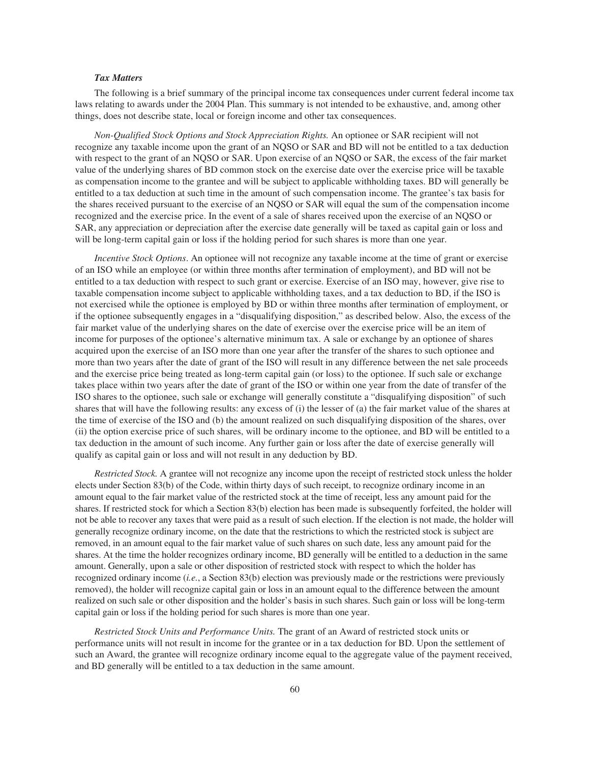## *Tax Matters*

The following is a brief summary of the principal income tax consequences under current federal income tax laws relating to awards under the 2004 Plan. This summary is not intended to be exhaustive, and, among other things, does not describe state, local or foreign income and other tax consequences.

*Non-Qualified Stock Options and Stock Appreciation Rights.* An optionee or SAR recipient will not recognize any taxable income upon the grant of an NQSO or SAR and BD will not be entitled to a tax deduction with respect to the grant of an NQSO or SAR. Upon exercise of an NQSO or SAR, the excess of the fair market value of the underlying shares of BD common stock on the exercise date over the exercise price will be taxable as compensation income to the grantee and will be subject to applicable withholding taxes. BD will generally be entitled to a tax deduction at such time in the amount of such compensation income. The grantee's tax basis for the shares received pursuant to the exercise of an NQSO or SAR will equal the sum of the compensation income recognized and the exercise price. In the event of a sale of shares received upon the exercise of an NQSO or SAR, any appreciation or depreciation after the exercise date generally will be taxed as capital gain or loss and will be long-term capital gain or loss if the holding period for such shares is more than one year.

*Incentive Stock Options*. An optionee will not recognize any taxable income at the time of grant or exercise of an ISO while an employee (or within three months after termination of employment), and BD will not be entitled to a tax deduction with respect to such grant or exercise. Exercise of an ISO may, however, give rise to taxable compensation income subject to applicable withholding taxes, and a tax deduction to BD, if the ISO is not exercised while the optionee is employed by BD or within three months after termination of employment, or if the optionee subsequently engages in a "disqualifying disposition," as described below. Also, the excess of the fair market value of the underlying shares on the date of exercise over the exercise price will be an item of income for purposes of the optionee's alternative minimum tax. A sale or exchange by an optionee of shares acquired upon the exercise of an ISO more than one year after the transfer of the shares to such optionee and more than two years after the date of grant of the ISO will result in any difference between the net sale proceeds and the exercise price being treated as long-term capital gain (or loss) to the optionee. If such sale or exchange takes place within two years after the date of grant of the ISO or within one year from the date of transfer of the ISO shares to the optionee, such sale or exchange will generally constitute a "disqualifying disposition" of such shares that will have the following results: any excess of (i) the lesser of (a) the fair market value of the shares at the time of exercise of the ISO and (b) the amount realized on such disqualifying disposition of the shares, over (ii) the option exercise price of such shares, will be ordinary income to the optionee, and BD will be entitled to a tax deduction in the amount of such income. Any further gain or loss after the date of exercise generally will qualify as capital gain or loss and will not result in any deduction by BD.

*Restricted Stock.* A grantee will not recognize any income upon the receipt of restricted stock unless the holder elects under Section 83(b) of the Code, within thirty days of such receipt, to recognize ordinary income in an amount equal to the fair market value of the restricted stock at the time of receipt, less any amount paid for the shares. If restricted stock for which a Section 83(b) election has been made is subsequently forfeited, the holder will not be able to recover any taxes that were paid as a result of such election. If the election is not made, the holder will generally recognize ordinary income, on the date that the restrictions to which the restricted stock is subject are removed, in an amount equal to the fair market value of such shares on such date, less any amount paid for the shares. At the time the holder recognizes ordinary income, BD generally will be entitled to a deduction in the same amount. Generally, upon a sale or other disposition of restricted stock with respect to which the holder has recognized ordinary income (*i.e.*, a Section 83(b) election was previously made or the restrictions were previously removed), the holder will recognize capital gain or loss in an amount equal to the difference between the amount realized on such sale or other disposition and the holder's basis in such shares. Such gain or loss will be long-term capital gain or loss if the holding period for such shares is more than one year.

*Restricted Stock Units and Performance Units.* The grant of an Award of restricted stock units or performance units will not result in income for the grantee or in a tax deduction for BD. Upon the settlement of such an Award, the grantee will recognize ordinary income equal to the aggregate value of the payment received, and BD generally will be entitled to a tax deduction in the same amount.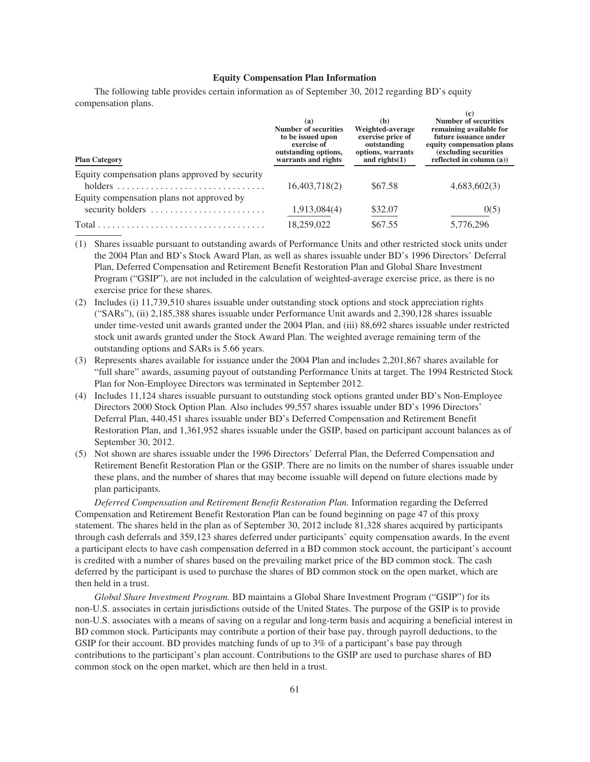## **Equity Compensation Plan Information**

The following table provides certain information as of September 30, 2012 regarding BD's equity compensation plans.  $(a)$ 

| <b>Plan Category</b>                                                            | (a)<br>Number of securities<br>to be issued upon<br>exercise of<br>outstanding options,<br>warrants and rights | (h)<br>Weighted-average<br>exercise price of<br>outstanding<br>options, warrants<br>and rights $(1)$ | <b>Number of securities</b><br>remaining available for<br>future issuance under<br>equity compensation plans<br>(excluding securities)<br>reflected in column $(a)$ ) |
|---------------------------------------------------------------------------------|----------------------------------------------------------------------------------------------------------------|------------------------------------------------------------------------------------------------------|-----------------------------------------------------------------------------------------------------------------------------------------------------------------------|
| Equity compensation plans approved by security                                  |                                                                                                                |                                                                                                      |                                                                                                                                                                       |
|                                                                                 | 16,403,718(2)                                                                                                  | \$67.58                                                                                              | 4,683,602(3)                                                                                                                                                          |
| Equity compensation plans not approved by                                       |                                                                                                                |                                                                                                      |                                                                                                                                                                       |
| security holders $\dots \dots \dots \dots \dots \dots \dots$                    | 1,913,084(4)                                                                                                   | \$32.07                                                                                              | 0(5)                                                                                                                                                                  |
| $Total \dots \dots \dots \dots \dots \dots \dots \dots \dots \dots \dots \dots$ | 18,259,022                                                                                                     | \$67.55                                                                                              | 5,776,296                                                                                                                                                             |

(1) Shares issuable pursuant to outstanding awards of Performance Units and other restricted stock units under the 2004 Plan and BD's Stock Award Plan, as well as shares issuable under BD's 1996 Directors' Deferral Plan, Deferred Compensation and Retirement Benefit Restoration Plan and Global Share Investment Program ("GSIP"), are not included in the calculation of weighted-average exercise price, as there is no exercise price for these shares.

- (2) Includes (i) 11,739,510 shares issuable under outstanding stock options and stock appreciation rights ("SARs"), (ii) 2,185,388 shares issuable under Performance Unit awards and 2,390,128 shares issuable under time-vested unit awards granted under the 2004 Plan, and (iii) 88,692 shares issuable under restricted stock unit awards granted under the Stock Award Plan. The weighted average remaining term of the outstanding options and SARs is 5.66 years.
- (3) Represents shares available for issuance under the 2004 Plan and includes 2,201,867 shares available for "full share" awards, assuming payout of outstanding Performance Units at target. The 1994 Restricted Stock Plan for Non-Employee Directors was terminated in September 2012.
- (4) Includes 11,124 shares issuable pursuant to outstanding stock options granted under BD's Non-Employee Directors 2000 Stock Option Plan. Also includes 99,557 shares issuable under BD's 1996 Directors' Deferral Plan, 440,451 shares issuable under BD's Deferred Compensation and Retirement Benefit Restoration Plan, and 1,361,952 shares issuable under the GSIP, based on participant account balances as of September 30, 2012.
- (5) Not shown are shares issuable under the 1996 Directors' Deferral Plan, the Deferred Compensation and Retirement Benefit Restoration Plan or the GSIP. There are no limits on the number of shares issuable under these plans, and the number of shares that may become issuable will depend on future elections made by plan participants.

*Deferred Compensation and Retirement Benefit Restoration Plan.* Information regarding the Deferred Compensation and Retirement Benefit Restoration Plan can be found beginning on page 47 of this proxy statement. The shares held in the plan as of September 30, 2012 include 81,328 shares acquired by participants through cash deferrals and 359,123 shares deferred under participants' equity compensation awards. In the event a participant elects to have cash compensation deferred in a BD common stock account, the participant's account is credited with a number of shares based on the prevailing market price of the BD common stock. The cash deferred by the participant is used to purchase the shares of BD common stock on the open market, which are then held in a trust.

*Global Share Investment Program.* BD maintains a Global Share Investment Program ("GSIP") for its non-U.S. associates in certain jurisdictions outside of the United States. The purpose of the GSIP is to provide non-U.S. associates with a means of saving on a regular and long-term basis and acquiring a beneficial interest in BD common stock. Participants may contribute a portion of their base pay, through payroll deductions, to the GSIP for their account. BD provides matching funds of up to 3% of a participant's base pay through contributions to the participant's plan account. Contributions to the GSIP are used to purchase shares of BD common stock on the open market, which are then held in a trust.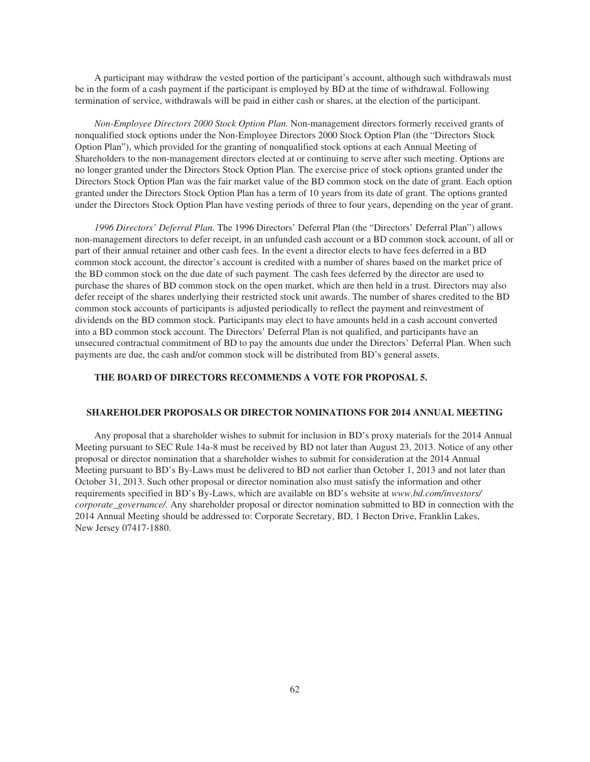A participant may withdraw the vested portion of the participant's account, although such withdrawals must be in the form of a cash payment if the participant is employed by BD at the time of withdrawal. Following termination of service, withdrawals will be paid in either cash or shares, at the election of the participant.

*Non-Employee Directors 2000 Stock Option Plan.* Non-management directors formerly received grants of nonqualified stock options under the Non-Employee Directors 2000 Stock Option Plan (the "Directors Stock Option Plan"), which provided for the granting of nonqualified stock options at each Annual Meeting of Shareholders to the non-management directors elected at or continuing to serve after such meeting. Options are no longer granted under the Directors Stock Option Plan. The exercise price of stock options granted under the Directors Stock Option Plan was the fair market value of the BD common stock on the date of grant. Each option granted under the Directors Stock Option Plan has a term of 10 years from its date of grant. The options granted under the Directors Stock Option Plan have vesting periods of three to four years, depending on the year of grant.

*1996 Directors' Deferral Plan.* The 1996 Directors' Deferral Plan (the "Directors' Deferral Plan") allows non-management directors to defer receipt, in an unfunded cash account or a BD common stock account, of all or part of their annual retainer and other cash fees. In the event a director elects to have fees deferred in a BD common stock account, the director's account is credited with a number of shares based on the market price of the BD common stock on the due date of such payment. The cash fees deferred by the director are used to purchase the shares of BD common stock on the open market, which are then held in a trust. Directors may also defer receipt of the shares underlying their restricted stock unit awards. The number of shares credited to the BD common stock accounts of participants is adjusted periodically to reflect the payment and reinvestment of dividends on the BD common stock. Participants may elect to have amounts held in a cash account converted into a BD common stock account. The Directors' Deferral Plan is not qualified, and participants have an unsecured contractual commitment of BD to pay the amounts due under the Directors' Deferral Plan. When such payments are due, the cash and/or common stock will be distributed from BD's general assets.

## **THE BOARD OF DIRECTORS RECOMMENDS A VOTE FOR PROPOSAL 5.**

# **SHAREHOLDER PROPOSALS OR DIRECTOR NOMINATIONS FOR 2014 ANNUAL MEETING**

Any proposal that a shareholder wishes to submit for inclusion in BD's proxy materials for the 2014 Annual Meeting pursuant to SEC Rule 14a-8 must be received by BD not later than August 23, 2013. Notice of any other proposal or director nomination that a shareholder wishes to submit for consideration at the 2014 Annual Meeting pursuant to BD's By-Laws must be delivered to BD not earlier than October 1, 2013 and not later than October 31, 2013. Such other proposal or director nomination also must satisfy the information and other requirements specified in BD's By-Laws, which are available on BD's website at *www.bd.com/investors/ corporate\_governance/.* Any shareholder proposal or director nomination submitted to BD in connection with the 2014 Annual Meeting should be addressed to: Corporate Secretary, BD, 1 Becton Drive, Franklin Lakes, New Jersey 07417-1880.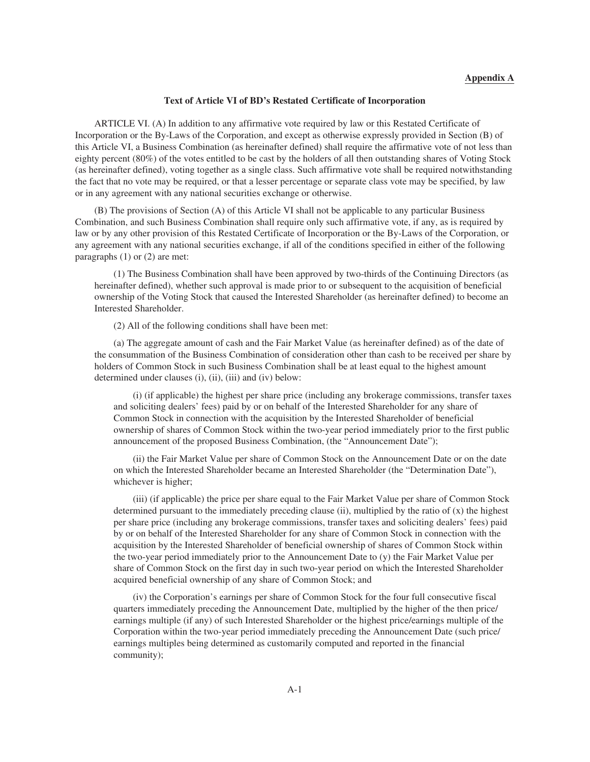## **Text of Article VI of BD's Restated Certificate of Incorporation**

ARTICLE VI. (A) In addition to any affirmative vote required by law or this Restated Certificate of Incorporation or the By-Laws of the Corporation, and except as otherwise expressly provided in Section (B) of this Article VI, a Business Combination (as hereinafter defined) shall require the affirmative vote of not less than eighty percent (80%) of the votes entitled to be cast by the holders of all then outstanding shares of Voting Stock (as hereinafter defined), voting together as a single class. Such affirmative vote shall be required notwithstanding the fact that no vote may be required, or that a lesser percentage or separate class vote may be specified, by law or in any agreement with any national securities exchange or otherwise.

(B) The provisions of Section (A) of this Article VI shall not be applicable to any particular Business Combination, and such Business Combination shall require only such affirmative vote, if any, as is required by law or by any other provision of this Restated Certificate of Incorporation or the By-Laws of the Corporation, or any agreement with any national securities exchange, if all of the conditions specified in either of the following paragraphs (1) or (2) are met:

(1) The Business Combination shall have been approved by two-thirds of the Continuing Directors (as hereinafter defined), whether such approval is made prior to or subsequent to the acquisition of beneficial ownership of the Voting Stock that caused the Interested Shareholder (as hereinafter defined) to become an Interested Shareholder.

(2) All of the following conditions shall have been met:

(a) The aggregate amount of cash and the Fair Market Value (as hereinafter defined) as of the date of the consummation of the Business Combination of consideration other than cash to be received per share by holders of Common Stock in such Business Combination shall be at least equal to the highest amount determined under clauses (i), (ii), (iii) and (iv) below:

(i) (if applicable) the highest per share price (including any brokerage commissions, transfer taxes and soliciting dealers' fees) paid by or on behalf of the Interested Shareholder for any share of Common Stock in connection with the acquisition by the Interested Shareholder of beneficial ownership of shares of Common Stock within the two-year period immediately prior to the first public announcement of the proposed Business Combination, (the "Announcement Date");

(ii) the Fair Market Value per share of Common Stock on the Announcement Date or on the date on which the Interested Shareholder became an Interested Shareholder (the "Determination Date"), whichever is higher;

(iii) (if applicable) the price per share equal to the Fair Market Value per share of Common Stock determined pursuant to the immediately preceding clause (ii), multiplied by the ratio of (x) the highest per share price (including any brokerage commissions, transfer taxes and soliciting dealers' fees) paid by or on behalf of the Interested Shareholder for any share of Common Stock in connection with the acquisition by the Interested Shareholder of beneficial ownership of shares of Common Stock within the two-year period immediately prior to the Announcement Date to (y) the Fair Market Value per share of Common Stock on the first day in such two-year period on which the Interested Shareholder acquired beneficial ownership of any share of Common Stock; and

(iv) the Corporation's earnings per share of Common Stock for the four full consecutive fiscal quarters immediately preceding the Announcement Date, multiplied by the higher of the then price/ earnings multiple (if any) of such Interested Shareholder or the highest price/earnings multiple of the Corporation within the two-year period immediately preceding the Announcement Date (such price/ earnings multiples being determined as customarily computed and reported in the financial community);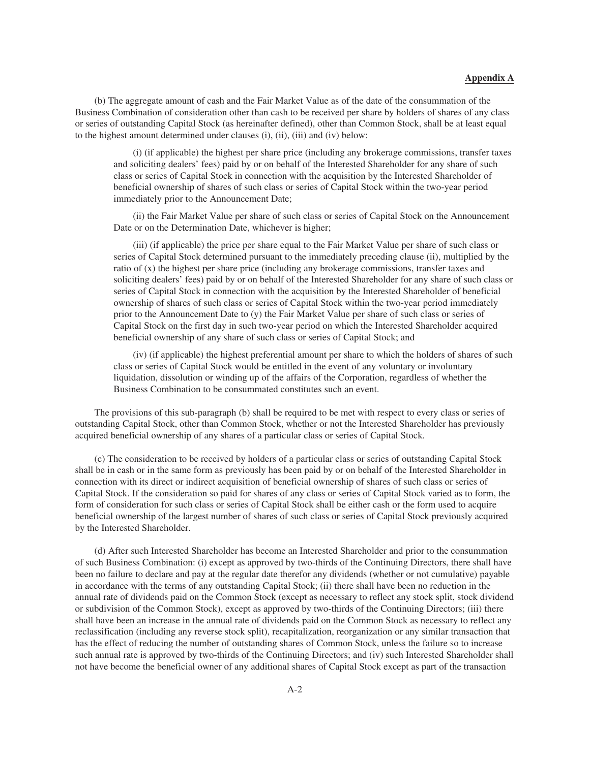## **Appendix A**

(b) The aggregate amount of cash and the Fair Market Value as of the date of the consummation of the Business Combination of consideration other than cash to be received per share by holders of shares of any class or series of outstanding Capital Stock (as hereinafter defined), other than Common Stock, shall be at least equal to the highest amount determined under clauses (i), (ii), (iii) and (iv) below:

(i) (if applicable) the highest per share price (including any brokerage commissions, transfer taxes and soliciting dealers' fees) paid by or on behalf of the Interested Shareholder for any share of such class or series of Capital Stock in connection with the acquisition by the Interested Shareholder of beneficial ownership of shares of such class or series of Capital Stock within the two-year period immediately prior to the Announcement Date;

(ii) the Fair Market Value per share of such class or series of Capital Stock on the Announcement Date or on the Determination Date, whichever is higher;

(iii) (if applicable) the price per share equal to the Fair Market Value per share of such class or series of Capital Stock determined pursuant to the immediately preceding clause (ii), multiplied by the ratio of (x) the highest per share price (including any brokerage commissions, transfer taxes and soliciting dealers' fees) paid by or on behalf of the Interested Shareholder for any share of such class or series of Capital Stock in connection with the acquisition by the Interested Shareholder of beneficial ownership of shares of such class or series of Capital Stock within the two-year period immediately prior to the Announcement Date to (y) the Fair Market Value per share of such class or series of Capital Stock on the first day in such two-year period on which the Interested Shareholder acquired beneficial ownership of any share of such class or series of Capital Stock; and

(iv) (if applicable) the highest preferential amount per share to which the holders of shares of such class or series of Capital Stock would be entitled in the event of any voluntary or involuntary liquidation, dissolution or winding up of the affairs of the Corporation, regardless of whether the Business Combination to be consummated constitutes such an event.

The provisions of this sub-paragraph (b) shall be required to be met with respect to every class or series of outstanding Capital Stock, other than Common Stock, whether or not the Interested Shareholder has previously acquired beneficial ownership of any shares of a particular class or series of Capital Stock.

(c) The consideration to be received by holders of a particular class or series of outstanding Capital Stock shall be in cash or in the same form as previously has been paid by or on behalf of the Interested Shareholder in connection with its direct or indirect acquisition of beneficial ownership of shares of such class or series of Capital Stock. If the consideration so paid for shares of any class or series of Capital Stock varied as to form, the form of consideration for such class or series of Capital Stock shall be either cash or the form used to acquire beneficial ownership of the largest number of shares of such class or series of Capital Stock previously acquired by the Interested Shareholder.

(d) After such Interested Shareholder has become an Interested Shareholder and prior to the consummation of such Business Combination: (i) except as approved by two-thirds of the Continuing Directors, there shall have been no failure to declare and pay at the regular date therefor any dividends (whether or not cumulative) payable in accordance with the terms of any outstanding Capital Stock; (ii) there shall have been no reduction in the annual rate of dividends paid on the Common Stock (except as necessary to reflect any stock split, stock dividend or subdivision of the Common Stock), except as approved by two-thirds of the Continuing Directors; (iii) there shall have been an increase in the annual rate of dividends paid on the Common Stock as necessary to reflect any reclassification (including any reverse stock split), recapitalization, reorganization or any similar transaction that has the effect of reducing the number of outstanding shares of Common Stock, unless the failure so to increase such annual rate is approved by two-thirds of the Continuing Directors; and (iv) such Interested Shareholder shall not have become the beneficial owner of any additional shares of Capital Stock except as part of the transaction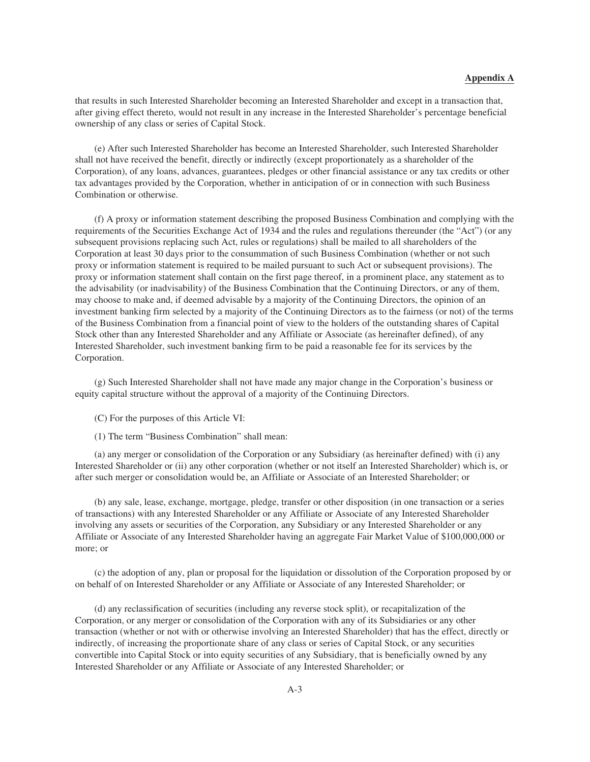# **Appendix A**

that results in such Interested Shareholder becoming an Interested Shareholder and except in a transaction that, after giving effect thereto, would not result in any increase in the Interested Shareholder's percentage beneficial ownership of any class or series of Capital Stock.

(e) After such Interested Shareholder has become an Interested Shareholder, such Interested Shareholder shall not have received the benefit, directly or indirectly (except proportionately as a shareholder of the Corporation), of any loans, advances, guarantees, pledges or other financial assistance or any tax credits or other tax advantages provided by the Corporation, whether in anticipation of or in connection with such Business Combination or otherwise.

(f) A proxy or information statement describing the proposed Business Combination and complying with the requirements of the Securities Exchange Act of 1934 and the rules and regulations thereunder (the "Act") (or any subsequent provisions replacing such Act, rules or regulations) shall be mailed to all shareholders of the Corporation at least 30 days prior to the consummation of such Business Combination (whether or not such proxy or information statement is required to be mailed pursuant to such Act or subsequent provisions). The proxy or information statement shall contain on the first page thereof, in a prominent place, any statement as to the advisability (or inadvisability) of the Business Combination that the Continuing Directors, or any of them, may choose to make and, if deemed advisable by a majority of the Continuing Directors, the opinion of an investment banking firm selected by a majority of the Continuing Directors as to the fairness (or not) of the terms of the Business Combination from a financial point of view to the holders of the outstanding shares of Capital Stock other than any Interested Shareholder and any Affiliate or Associate (as hereinafter defined), of any Interested Shareholder, such investment banking firm to be paid a reasonable fee for its services by the Corporation.

(g) Such Interested Shareholder shall not have made any major change in the Corporation's business or equity capital structure without the approval of a majority of the Continuing Directors.

- (C) For the purposes of this Article VI:
- (1) The term "Business Combination" shall mean:

(a) any merger or consolidation of the Corporation or any Subsidiary (as hereinafter defined) with (i) any Interested Shareholder or (ii) any other corporation (whether or not itself an Interested Shareholder) which is, or after such merger or consolidation would be, an Affiliate or Associate of an Interested Shareholder; or

(b) any sale, lease, exchange, mortgage, pledge, transfer or other disposition (in one transaction or a series of transactions) with any Interested Shareholder or any Affiliate or Associate of any Interested Shareholder involving any assets or securities of the Corporation, any Subsidiary or any Interested Shareholder or any Affiliate or Associate of any Interested Shareholder having an aggregate Fair Market Value of \$100,000,000 or more; or

(c) the adoption of any, plan or proposal for the liquidation or dissolution of the Corporation proposed by or on behalf of on Interested Shareholder or any Affiliate or Associate of any Interested Shareholder; or

(d) any reclassification of securities (including any reverse stock split), or recapitalization of the Corporation, or any merger or consolidation of the Corporation with any of its Subsidiaries or any other transaction (whether or not with or otherwise involving an Interested Shareholder) that has the effect, directly or indirectly, of increasing the proportionate share of any class or series of Capital Stock, or any securities convertible into Capital Stock or into equity securities of any Subsidiary, that is beneficially owned by any Interested Shareholder or any Affiliate or Associate of any Interested Shareholder; or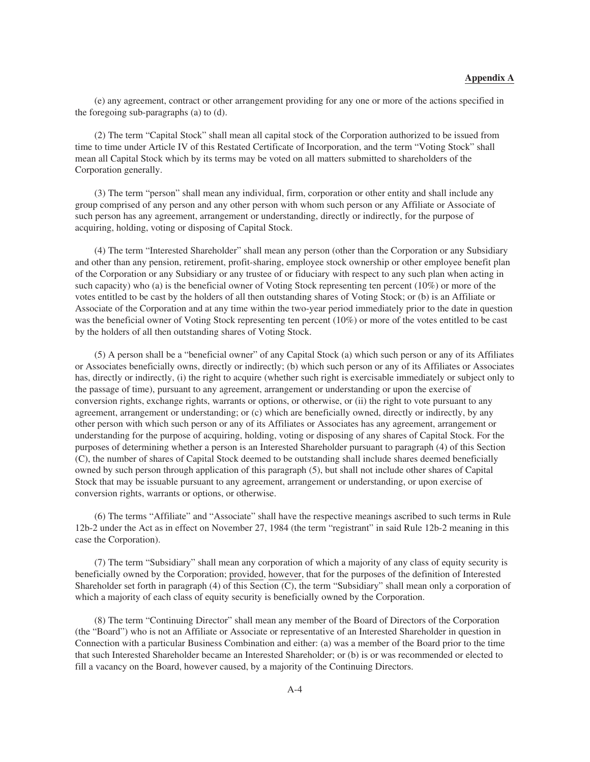(e) any agreement, contract or other arrangement providing for any one or more of the actions specified in the foregoing sub-paragraphs (a) to (d).

(2) The term "Capital Stock" shall mean all capital stock of the Corporation authorized to be issued from time to time under Article IV of this Restated Certificate of Incorporation, and the term "Voting Stock" shall mean all Capital Stock which by its terms may be voted on all matters submitted to shareholders of the Corporation generally.

(3) The term "person" shall mean any individual, firm, corporation or other entity and shall include any group comprised of any person and any other person with whom such person or any Affiliate or Associate of such person has any agreement, arrangement or understanding, directly or indirectly, for the purpose of acquiring, holding, voting or disposing of Capital Stock.

(4) The term "Interested Shareholder" shall mean any person (other than the Corporation or any Subsidiary and other than any pension, retirement, profit-sharing, employee stock ownership or other employee benefit plan of the Corporation or any Subsidiary or any trustee of or fiduciary with respect to any such plan when acting in such capacity) who (a) is the beneficial owner of Voting Stock representing ten percent (10%) or more of the votes entitled to be cast by the holders of all then outstanding shares of Voting Stock; or (b) is an Affiliate or Associate of the Corporation and at any time within the two-year period immediately prior to the date in question was the beneficial owner of Voting Stock representing ten percent (10%) or more of the votes entitled to be cast by the holders of all then outstanding shares of Voting Stock.

(5) A person shall be a "beneficial owner" of any Capital Stock (a) which such person or any of its Affiliates or Associates beneficially owns, directly or indirectly; (b) which such person or any of its Affiliates or Associates has, directly or indirectly, (i) the right to acquire (whether such right is exercisable immediately or subject only to the passage of time), pursuant to any agreement, arrangement or understanding or upon the exercise of conversion rights, exchange rights, warrants or options, or otherwise, or (ii) the right to vote pursuant to any agreement, arrangement or understanding; or (c) which are beneficially owned, directly or indirectly, by any other person with which such person or any of its Affiliates or Associates has any agreement, arrangement or understanding for the purpose of acquiring, holding, voting or disposing of any shares of Capital Stock. For the purposes of determining whether a person is an Interested Shareholder pursuant to paragraph (4) of this Section (C), the number of shares of Capital Stock deemed to be outstanding shall include shares deemed beneficially owned by such person through application of this paragraph (5), but shall not include other shares of Capital Stock that may be issuable pursuant to any agreement, arrangement or understanding, or upon exercise of conversion rights, warrants or options, or otherwise.

(6) The terms "Affiliate" and "Associate" shall have the respective meanings ascribed to such terms in Rule 12b-2 under the Act as in effect on November 27, 1984 (the term "registrant" in said Rule 12b-2 meaning in this case the Corporation).

(7) The term "Subsidiary" shall mean any corporation of which a majority of any class of equity security is beneficially owned by the Corporation; provided, however, that for the purposes of the definition of Interested Shareholder set forth in paragraph (4) of this Section (C), the term "Subsidiary" shall mean only a corporation of which a majority of each class of equity security is beneficially owned by the Corporation.

(8) The term "Continuing Director" shall mean any member of the Board of Directors of the Corporation (the "Board") who is not an Affiliate or Associate or representative of an Interested Shareholder in question in Connection with a particular Business Combination and either: (a) was a member of the Board prior to the time that such Interested Shareholder became an Interested Shareholder; or (b) is or was recommended or elected to fill a vacancy on the Board, however caused, by a majority of the Continuing Directors.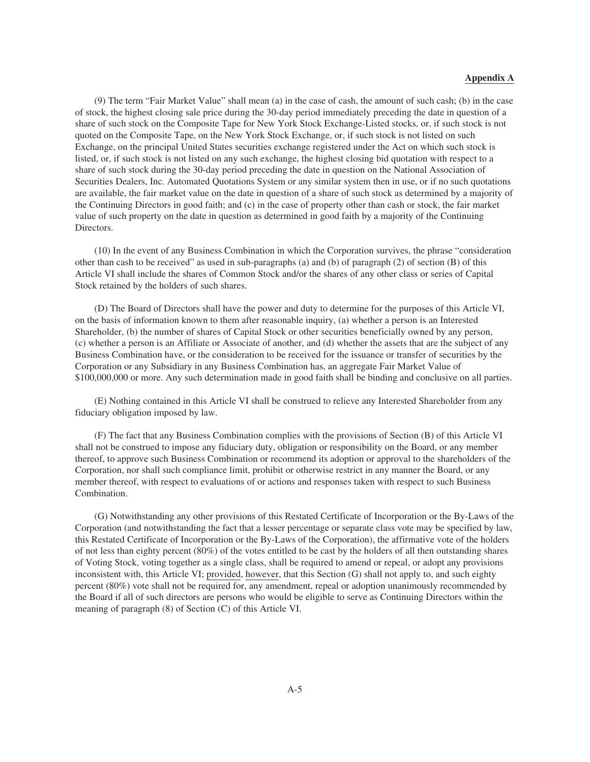(9) The term "Fair Market Value" shall mean (a) in the case of cash, the amount of such cash; (b) in the case of stock, the highest closing sale price during the 30-day period immediately preceding the date in question of a share of such stock on the Composite Tape for New York Stock Exchange-Listed stocks, or, if such stock is not quoted on the Composite Tape, on the New York Stock Exchange, or, if such stock is not listed on such Exchange, on the principal United States securities exchange registered under the Act on which such stock is listed, or, if such stock is not listed on any such exchange, the highest closing bid quotation with respect to a share of such stock during the 30-day period preceding the date in question on the National Association of Securities Dealers, Inc. Automated Quotations System or any similar system then in use, or if no such quotations are available, the fair market value on the date in question of a share of such stock as determined by a majority of the Continuing Directors in good faith; and (c) in the case of property other than cash or stock, the fair market value of such property on the date in question as determined in good faith by a majority of the Continuing Directors.

(10) In the event of any Business Combination in which the Corporation survives, the phrase "consideration other than cash to be received" as used in sub-paragraphs (a) and (b) of paragraph (2) of section (B) of this Article VI shall include the shares of Common Stock and/or the shares of any other class or series of Capital Stock retained by the holders of such shares.

(D) The Board of Directors shall have the power and duty to determine for the purposes of this Article VI, on the basis of information known to them after reasonable inquiry, (a) whether a person is an Interested Shareholder, (b) the number of shares of Capital Stock or other securities beneficially owned by any person, (c) whether a person is an Affiliate or Associate of another, and (d) whether the assets that are the subject of any Business Combination have, or the consideration to be received for the issuance or transfer of securities by the Corporation or any Subsidiary in any Business Combination has, an aggregate Fair Market Value of \$100,000,000 or more. Any such determination made in good faith shall be binding and conclusive on all parties.

(E) Nothing contained in this Article VI shall be construed to relieve any Interested Shareholder from any fiduciary obligation imposed by law.

(F) The fact that any Business Combination complies with the provisions of Section (B) of this Article VI shall not be construed to impose any fiduciary duty, obligation or responsibility on the Board, or any member thereof, to approve such Business Combination or recommend its adoption or approval to the shareholders of the Corporation, nor shall such compliance limit, prohibit or otherwise restrict in any manner the Board, or any member thereof, with respect to evaluations of or actions and responses taken with respect to such Business Combination.

(G) Notwithstanding any other provisions of this Restated Certificate of Incorporation or the By-Laws of the Corporation (and notwithstanding the fact that a lesser percentage or separate class vote may be specified by law, this Restated Certificate of Incorporation or the By-Laws of the Corporation), the affirmative vote of the holders of not less than eighty percent (80%) of the votes entitled to be cast by the holders of all then outstanding shares of Voting Stock, voting together as a single class, shall be required to amend or repeal, or adopt any provisions inconsistent with, this Article VI; provided, however, that this Section (G) shall not apply to, and such eighty percent (80%) vote shall not be required for, any amendment, repeal or adoption unanimously recommended by the Board if all of such directors are persons who would be eligible to serve as Continuing Directors within the meaning of paragraph (8) of Section (C) of this Article VI.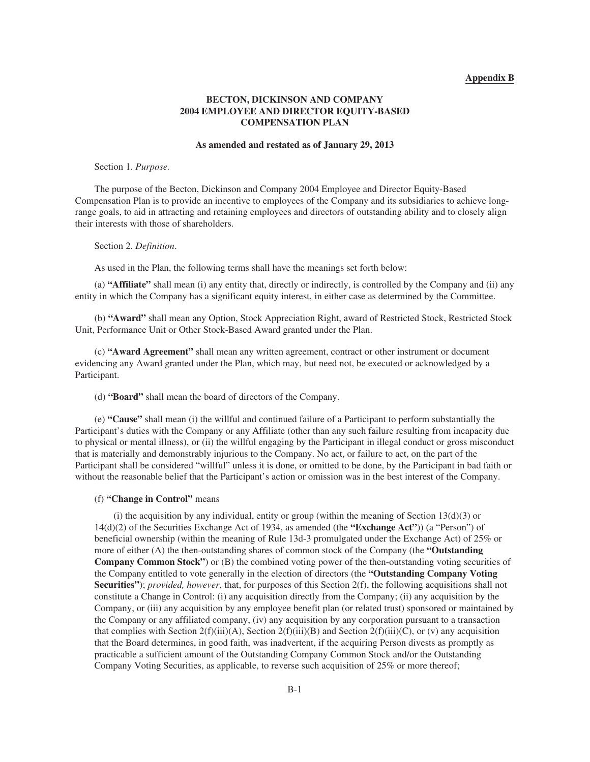## **Appendix B**

# **BECTON, DICKINSON AND COMPANY 2004 EMPLOYEE AND DIRECTOR EQUITY-BASED COMPENSATION PLAN**

### **As amended and restated as of January 29, 2013**

### Section 1. *Purpose.*

The purpose of the Becton, Dickinson and Company 2004 Employee and Director Equity-Based Compensation Plan is to provide an incentive to employees of the Company and its subsidiaries to achieve longrange goals, to aid in attracting and retaining employees and directors of outstanding ability and to closely align their interests with those of shareholders.

#### Section 2. *Definition*.

As used in the Plan, the following terms shall have the meanings set forth below:

(a) **"Affiliate"** shall mean (i) any entity that, directly or indirectly, is controlled by the Company and (ii) any entity in which the Company has a significant equity interest, in either case as determined by the Committee.

(b) **"Award"** shall mean any Option, Stock Appreciation Right, award of Restricted Stock, Restricted Stock Unit, Performance Unit or Other Stock-Based Award granted under the Plan.

(c) **"Award Agreement"** shall mean any written agreement, contract or other instrument or document evidencing any Award granted under the Plan, which may, but need not, be executed or acknowledged by a Participant.

## (d) **"Board"** shall mean the board of directors of the Company.

(e) **"Cause"** shall mean (i) the willful and continued failure of a Participant to perform substantially the Participant's duties with the Company or any Affiliate (other than any such failure resulting from incapacity due to physical or mental illness), or (ii) the willful engaging by the Participant in illegal conduct or gross misconduct that is materially and demonstrably injurious to the Company. No act, or failure to act, on the part of the Participant shall be considered "willful" unless it is done, or omitted to be done, by the Participant in bad faith or without the reasonable belief that the Participant's action or omission was in the best interest of the Company.

### (f) **"Change in Control"** means

(i) the acquisition by any individual, entity or group (within the meaning of Section  $13(d)(3)$  or 14(d)(2) of the Securities Exchange Act of 1934, as amended (the **"Exchange Act"**)) (a "Person") of beneficial ownership (within the meaning of Rule 13d-3 promulgated under the Exchange Act) of 25% or more of either (A) the then-outstanding shares of common stock of the Company (the **"Outstanding Company Common Stock"**) or (B) the combined voting power of the then-outstanding voting securities of the Company entitled to vote generally in the election of directors (the **"Outstanding Company Voting Securities"**); *provided, however,* that, for purposes of this Section 2(f), the following acquisitions shall not constitute a Change in Control: (i) any acquisition directly from the Company; (ii) any acquisition by the Company, or (iii) any acquisition by any employee benefit plan (or related trust) sponsored or maintained by the Company or any affiliated company, (iv) any acquisition by any corporation pursuant to a transaction that complies with Section  $2(f)(iii)(A)$ , Section  $2(f)(iii)(B)$  and Section  $2(f)(iii)(C)$ , or (v) any acquisition that the Board determines, in good faith, was inadvertent, if the acquiring Person divests as promptly as practicable a sufficient amount of the Outstanding Company Common Stock and/or the Outstanding Company Voting Securities, as applicable, to reverse such acquisition of 25% or more thereof;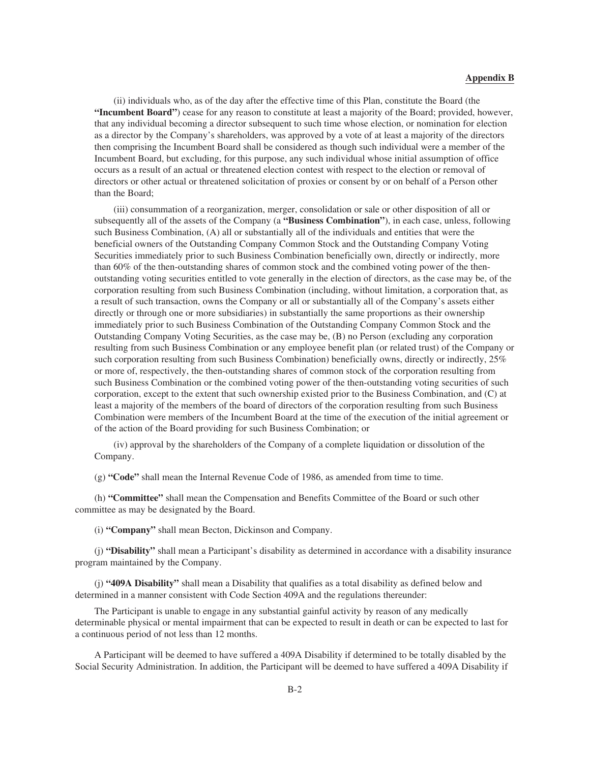(ii) individuals who, as of the day after the effective time of this Plan, constitute the Board (the **"Incumbent Board"**) cease for any reason to constitute at least a majority of the Board; provided, however, that any individual becoming a director subsequent to such time whose election, or nomination for election as a director by the Company's shareholders, was approved by a vote of at least a majority of the directors then comprising the Incumbent Board shall be considered as though such individual were a member of the Incumbent Board, but excluding, for this purpose, any such individual whose initial assumption of office occurs as a result of an actual or threatened election contest with respect to the election or removal of directors or other actual or threatened solicitation of proxies or consent by or on behalf of a Person other than the Board;

(iii) consummation of a reorganization, merger, consolidation or sale or other disposition of all or subsequently all of the assets of the Company (a **"Business Combination"**), in each case, unless, following such Business Combination, (A) all or substantially all of the individuals and entities that were the beneficial owners of the Outstanding Company Common Stock and the Outstanding Company Voting Securities immediately prior to such Business Combination beneficially own, directly or indirectly, more than 60% of the then-outstanding shares of common stock and the combined voting power of the thenoutstanding voting securities entitled to vote generally in the election of directors, as the case may be, of the corporation resulting from such Business Combination (including, without limitation, a corporation that, as a result of such transaction, owns the Company or all or substantially all of the Company's assets either directly or through one or more subsidiaries) in substantially the same proportions as their ownership immediately prior to such Business Combination of the Outstanding Company Common Stock and the Outstanding Company Voting Securities, as the case may be, (B) no Person (excluding any corporation resulting from such Business Combination or any employee benefit plan (or related trust) of the Company or such corporation resulting from such Business Combination) beneficially owns, directly or indirectly, 25% or more of, respectively, the then-outstanding shares of common stock of the corporation resulting from such Business Combination or the combined voting power of the then-outstanding voting securities of such corporation, except to the extent that such ownership existed prior to the Business Combination, and (C) at least a majority of the members of the board of directors of the corporation resulting from such Business Combination were members of the Incumbent Board at the time of the execution of the initial agreement or of the action of the Board providing for such Business Combination; or

(iv) approval by the shareholders of the Company of a complete liquidation or dissolution of the Company.

(g) **"Code"** shall mean the Internal Revenue Code of 1986, as amended from time to time.

(h) **"Committee"** shall mean the Compensation and Benefits Committee of the Board or such other committee as may be designated by the Board.

(i) **"Company"** shall mean Becton, Dickinson and Company.

(j) **"Disability"** shall mean a Participant's disability as determined in accordance with a disability insurance program maintained by the Company.

(j) **"409A Disability"** shall mean a Disability that qualifies as a total disability as defined below and determined in a manner consistent with Code Section 409A and the regulations thereunder:

The Participant is unable to engage in any substantial gainful activity by reason of any medically determinable physical or mental impairment that can be expected to result in death or can be expected to last for a continuous period of not less than 12 months.

A Participant will be deemed to have suffered a 409A Disability if determined to be totally disabled by the Social Security Administration. In addition, the Participant will be deemed to have suffered a 409A Disability if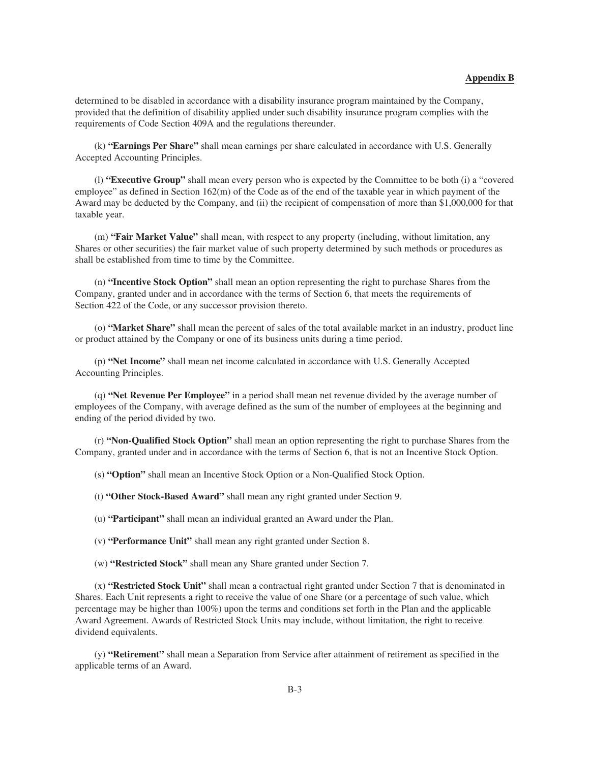determined to be disabled in accordance with a disability insurance program maintained by the Company, provided that the definition of disability applied under such disability insurance program complies with the requirements of Code Section 409A and the regulations thereunder.

(k) **"Earnings Per Share"** shall mean earnings per share calculated in accordance with U.S. Generally Accepted Accounting Principles.

(l) **"Executive Group"** shall mean every person who is expected by the Committee to be both (i) a "covered employee" as defined in Section 162(m) of the Code as of the end of the taxable year in which payment of the Award may be deducted by the Company, and (ii) the recipient of compensation of more than \$1,000,000 for that taxable year.

(m) **"Fair Market Value"** shall mean, with respect to any property (including, without limitation, any Shares or other securities) the fair market value of such property determined by such methods or procedures as shall be established from time to time by the Committee.

(n) **"Incentive Stock Option"** shall mean an option representing the right to purchase Shares from the Company, granted under and in accordance with the terms of Section 6, that meets the requirements of Section 422 of the Code, or any successor provision thereto.

(o) **"Market Share"** shall mean the percent of sales of the total available market in an industry, product line or product attained by the Company or one of its business units during a time period.

(p) **"Net Income"** shall mean net income calculated in accordance with U.S. Generally Accepted Accounting Principles.

(q) **"Net Revenue Per Employee"** in a period shall mean net revenue divided by the average number of employees of the Company, with average defined as the sum of the number of employees at the beginning and ending of the period divided by two.

(r) **"Non-Qualified Stock Option"** shall mean an option representing the right to purchase Shares from the Company, granted under and in accordance with the terms of Section 6, that is not an Incentive Stock Option.

(s) **"Option"** shall mean an Incentive Stock Option or a Non-Qualified Stock Option.

(t) **"Other Stock-Based Award"** shall mean any right granted under Section 9.

(u) **"Participant"** shall mean an individual granted an Award under the Plan.

(v) **"Performance Unit"** shall mean any right granted under Section 8.

(w) **"Restricted Stock"** shall mean any Share granted under Section 7.

(x) **"Restricted Stock Unit"** shall mean a contractual right granted under Section 7 that is denominated in Shares. Each Unit represents a right to receive the value of one Share (or a percentage of such value, which percentage may be higher than 100%) upon the terms and conditions set forth in the Plan and the applicable Award Agreement. Awards of Restricted Stock Units may include, without limitation, the right to receive dividend equivalents.

(y) **"Retirement"** shall mean a Separation from Service after attainment of retirement as specified in the applicable terms of an Award.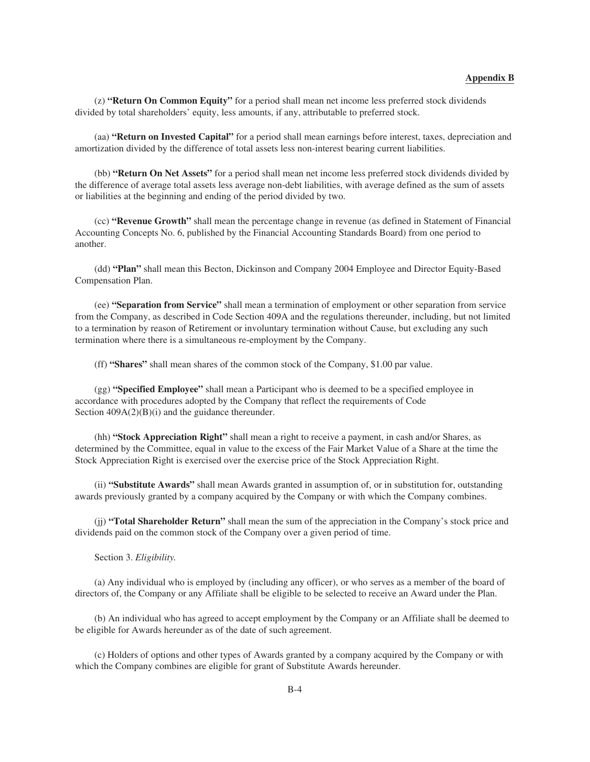(z) **"Return On Common Equity"** for a period shall mean net income less preferred stock dividends divided by total shareholders' equity, less amounts, if any, attributable to preferred stock.

(aa) **"Return on Invested Capital"** for a period shall mean earnings before interest, taxes, depreciation and amortization divided by the difference of total assets less non-interest bearing current liabilities.

(bb) **"Return On Net Assets"** for a period shall mean net income less preferred stock dividends divided by the difference of average total assets less average non-debt liabilities, with average defined as the sum of assets or liabilities at the beginning and ending of the period divided by two.

(cc) **"Revenue Growth"** shall mean the percentage change in revenue (as defined in Statement of Financial Accounting Concepts No. 6, published by the Financial Accounting Standards Board) from one period to another.

(dd) **"Plan"** shall mean this Becton, Dickinson and Company 2004 Employee and Director Equity-Based Compensation Plan.

(ee) **"Separation from Service"** shall mean a termination of employment or other separation from service from the Company, as described in Code Section 409A and the regulations thereunder, including, but not limited to a termination by reason of Retirement or involuntary termination without Cause, but excluding any such termination where there is a simultaneous re-employment by the Company.

(ff) **"Shares"** shall mean shares of the common stock of the Company, \$1.00 par value.

(gg) **"Specified Employee"** shall mean a Participant who is deemed to be a specified employee in accordance with procedures adopted by the Company that reflect the requirements of Code Section  $409A(2)(B)(i)$  and the guidance thereunder.

(hh) **"Stock Appreciation Right"** shall mean a right to receive a payment, in cash and/or Shares, as determined by the Committee, equal in value to the excess of the Fair Market Value of a Share at the time the Stock Appreciation Right is exercised over the exercise price of the Stock Appreciation Right.

(ii) **"Substitute Awards"** shall mean Awards granted in assumption of, or in substitution for, outstanding awards previously granted by a company acquired by the Company or with which the Company combines.

(jj) **"Total Shareholder Return"** shall mean the sum of the appreciation in the Company's stock price and dividends paid on the common stock of the Company over a given period of time.

Section 3. *Eligibility.*

(a) Any individual who is employed by (including any officer), or who serves as a member of the board of directors of, the Company or any Affiliate shall be eligible to be selected to receive an Award under the Plan.

(b) An individual who has agreed to accept employment by the Company or an Affiliate shall be deemed to be eligible for Awards hereunder as of the date of such agreement.

(c) Holders of options and other types of Awards granted by a company acquired by the Company or with which the Company combines are eligible for grant of Substitute Awards hereunder.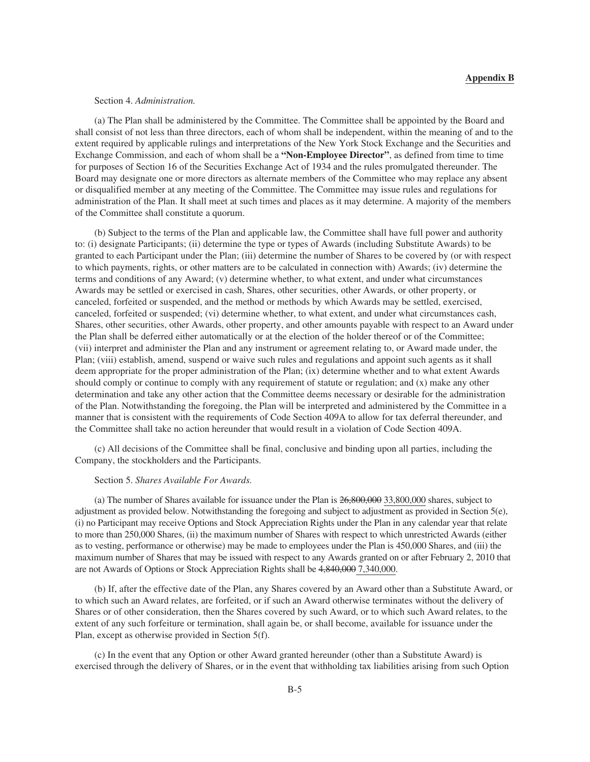### Section 4. *Administration.*

(a) The Plan shall be administered by the Committee. The Committee shall be appointed by the Board and shall consist of not less than three directors, each of whom shall be independent, within the meaning of and to the extent required by applicable rulings and interpretations of the New York Stock Exchange and the Securities and Exchange Commission, and each of whom shall be a **"Non-Employee Director"**, as defined from time to time for purposes of Section 16 of the Securities Exchange Act of 1934 and the rules promulgated thereunder. The Board may designate one or more directors as alternate members of the Committee who may replace any absent or disqualified member at any meeting of the Committee. The Committee may issue rules and regulations for administration of the Plan. It shall meet at such times and places as it may determine. A majority of the members of the Committee shall constitute a quorum.

(b) Subject to the terms of the Plan and applicable law, the Committee shall have full power and authority to: (i) designate Participants; (ii) determine the type or types of Awards (including Substitute Awards) to be granted to each Participant under the Plan; (iii) determine the number of Shares to be covered by (or with respect to which payments, rights, or other matters are to be calculated in connection with) Awards; (iv) determine the terms and conditions of any Award; (v) determine whether, to what extent, and under what circumstances Awards may be settled or exercised in cash, Shares, other securities, other Awards, or other property, or canceled, forfeited or suspended, and the method or methods by which Awards may be settled, exercised, canceled, forfeited or suspended; (vi) determine whether, to what extent, and under what circumstances cash, Shares, other securities, other Awards, other property, and other amounts payable with respect to an Award under the Plan shall be deferred either automatically or at the election of the holder thereof or of the Committee; (vii) interpret and administer the Plan and any instrument or agreement relating to, or Award made under, the Plan; (viii) establish, amend, suspend or waive such rules and regulations and appoint such agents as it shall deem appropriate for the proper administration of the Plan; (ix) determine whether and to what extent Awards should comply or continue to comply with any requirement of statute or regulation; and (x) make any other determination and take any other action that the Committee deems necessary or desirable for the administration of the Plan. Notwithstanding the foregoing, the Plan will be interpreted and administered by the Committee in a manner that is consistent with the requirements of Code Section 409A to allow for tax deferral thereunder, and the Committee shall take no action hereunder that would result in a violation of Code Section 409A.

(c) All decisions of the Committee shall be final, conclusive and binding upon all parties, including the Company, the stockholders and the Participants.

## Section 5. *Shares Available For Awards.*

(a) The number of Shares available for issuance under the Plan is 26,800,000 33,800,000 shares, subject to adjustment as provided below. Notwithstanding the foregoing and subject to adjustment as provided in Section 5(e), (i) no Participant may receive Options and Stock Appreciation Rights under the Plan in any calendar year that relate to more than 250,000 Shares, (ii) the maximum number of Shares with respect to which unrestricted Awards (either as to vesting, performance or otherwise) may be made to employees under the Plan is 450,000 Shares, and (iii) the maximum number of Shares that may be issued with respect to any Awards granted on or after February 2, 2010 that are not Awards of Options or Stock Appreciation Rights shall be 4,840,000 7,340,000.

(b) If, after the effective date of the Plan, any Shares covered by an Award other than a Substitute Award, or to which such an Award relates, are forfeited, or if such an Award otherwise terminates without the delivery of Shares or of other consideration, then the Shares covered by such Award, or to which such Award relates, to the extent of any such forfeiture or termination, shall again be, or shall become, available for issuance under the Plan, except as otherwise provided in Section 5(f).

(c) In the event that any Option or other Award granted hereunder (other than a Substitute Award) is exercised through the delivery of Shares, or in the event that withholding tax liabilities arising from such Option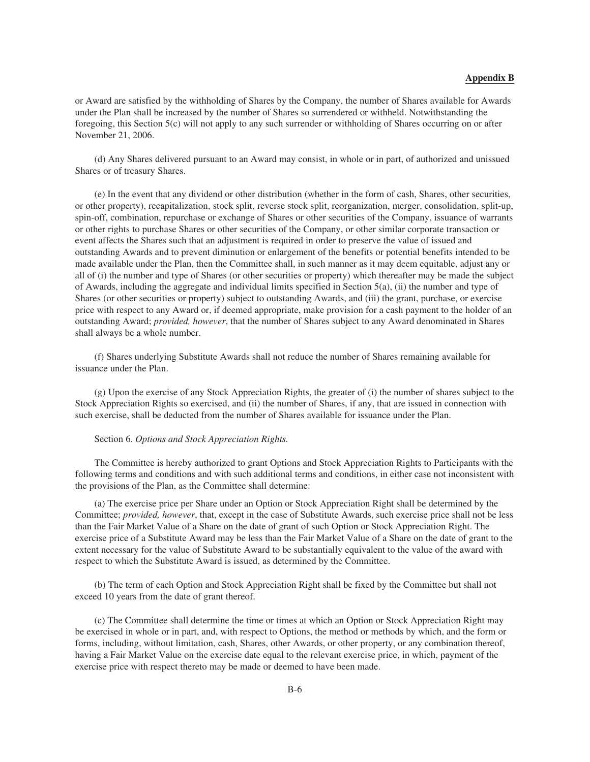or Award are satisfied by the withholding of Shares by the Company, the number of Shares available for Awards under the Plan shall be increased by the number of Shares so surrendered or withheld. Notwithstanding the foregoing, this Section 5(c) will not apply to any such surrender or withholding of Shares occurring on or after November 21, 2006.

(d) Any Shares delivered pursuant to an Award may consist, in whole or in part, of authorized and unissued Shares or of treasury Shares.

(e) In the event that any dividend or other distribution (whether in the form of cash, Shares, other securities, or other property), recapitalization, stock split, reverse stock split, reorganization, merger, consolidation, split-up, spin-off, combination, repurchase or exchange of Shares or other securities of the Company, issuance of warrants or other rights to purchase Shares or other securities of the Company, or other similar corporate transaction or event affects the Shares such that an adjustment is required in order to preserve the value of issued and outstanding Awards and to prevent diminution or enlargement of the benefits or potential benefits intended to be made available under the Plan, then the Committee shall, in such manner as it may deem equitable, adjust any or all of (i) the number and type of Shares (or other securities or property) which thereafter may be made the subject of Awards, including the aggregate and individual limits specified in Section 5(a), (ii) the number and type of Shares (or other securities or property) subject to outstanding Awards, and (iii) the grant, purchase, or exercise price with respect to any Award or, if deemed appropriate, make provision for a cash payment to the holder of an outstanding Award; *provided, however*, that the number of Shares subject to any Award denominated in Shares shall always be a whole number.

(f) Shares underlying Substitute Awards shall not reduce the number of Shares remaining available for issuance under the Plan.

(g) Upon the exercise of any Stock Appreciation Rights, the greater of (i) the number of shares subject to the Stock Appreciation Rights so exercised, and (ii) the number of Shares, if any, that are issued in connection with such exercise, shall be deducted from the number of Shares available for issuance under the Plan.

### Section 6. *Options and Stock Appreciation Rights.*

The Committee is hereby authorized to grant Options and Stock Appreciation Rights to Participants with the following terms and conditions and with such additional terms and conditions, in either case not inconsistent with the provisions of the Plan, as the Committee shall determine:

(a) The exercise price per Share under an Option or Stock Appreciation Right shall be determined by the Committee; *provided, however*, that, except in the case of Substitute Awards, such exercise price shall not be less than the Fair Market Value of a Share on the date of grant of such Option or Stock Appreciation Right. The exercise price of a Substitute Award may be less than the Fair Market Value of a Share on the date of grant to the extent necessary for the value of Substitute Award to be substantially equivalent to the value of the award with respect to which the Substitute Award is issued, as determined by the Committee.

(b) The term of each Option and Stock Appreciation Right shall be fixed by the Committee but shall not exceed 10 years from the date of grant thereof.

(c) The Committee shall determine the time or times at which an Option or Stock Appreciation Right may be exercised in whole or in part, and, with respect to Options, the method or methods by which, and the form or forms, including, without limitation, cash, Shares, other Awards, or other property, or any combination thereof, having a Fair Market Value on the exercise date equal to the relevant exercise price, in which, payment of the exercise price with respect thereto may be made or deemed to have been made.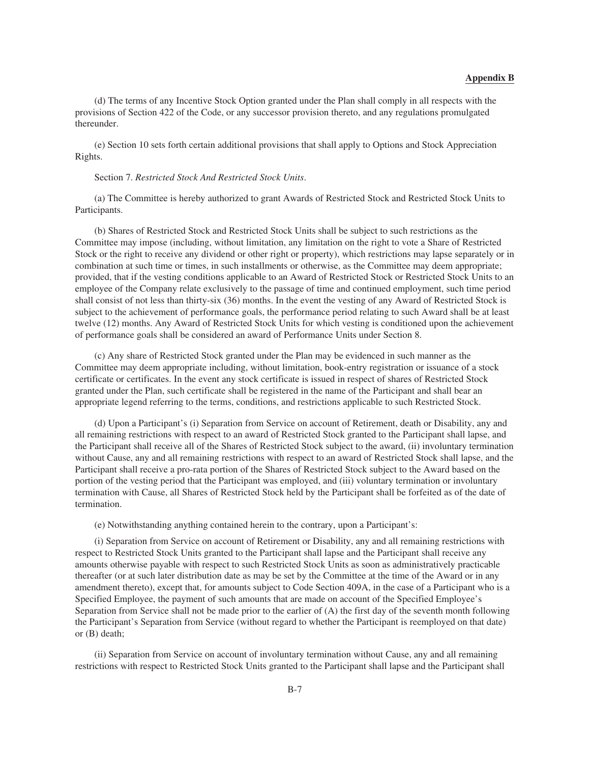(d) The terms of any Incentive Stock Option granted under the Plan shall comply in all respects with the provisions of Section 422 of the Code, or any successor provision thereto, and any regulations promulgated thereunder.

(e) Section 10 sets forth certain additional provisions that shall apply to Options and Stock Appreciation Rights.

### Section 7. *Restricted Stock And Restricted Stock Units*.

(a) The Committee is hereby authorized to grant Awards of Restricted Stock and Restricted Stock Units to Participants.

(b) Shares of Restricted Stock and Restricted Stock Units shall be subject to such restrictions as the Committee may impose (including, without limitation, any limitation on the right to vote a Share of Restricted Stock or the right to receive any dividend or other right or property), which restrictions may lapse separately or in combination at such time or times, in such installments or otherwise, as the Committee may deem appropriate; provided, that if the vesting conditions applicable to an Award of Restricted Stock or Restricted Stock Units to an employee of the Company relate exclusively to the passage of time and continued employment, such time period shall consist of not less than thirty-six (36) months. In the event the vesting of any Award of Restricted Stock is subject to the achievement of performance goals, the performance period relating to such Award shall be at least twelve (12) months. Any Award of Restricted Stock Units for which vesting is conditioned upon the achievement of performance goals shall be considered an award of Performance Units under Section 8.

(c) Any share of Restricted Stock granted under the Plan may be evidenced in such manner as the Committee may deem appropriate including, without limitation, book-entry registration or issuance of a stock certificate or certificates. In the event any stock certificate is issued in respect of shares of Restricted Stock granted under the Plan, such certificate shall be registered in the name of the Participant and shall bear an appropriate legend referring to the terms, conditions, and restrictions applicable to such Restricted Stock.

(d) Upon a Participant's (i) Separation from Service on account of Retirement, death or Disability, any and all remaining restrictions with respect to an award of Restricted Stock granted to the Participant shall lapse, and the Participant shall receive all of the Shares of Restricted Stock subject to the award, (ii) involuntary termination without Cause, any and all remaining restrictions with respect to an award of Restricted Stock shall lapse, and the Participant shall receive a pro-rata portion of the Shares of Restricted Stock subject to the Award based on the portion of the vesting period that the Participant was employed, and (iii) voluntary termination or involuntary termination with Cause, all Shares of Restricted Stock held by the Participant shall be forfeited as of the date of termination.

(e) Notwithstanding anything contained herein to the contrary, upon a Participant's:

(i) Separation from Service on account of Retirement or Disability, any and all remaining restrictions with respect to Restricted Stock Units granted to the Participant shall lapse and the Participant shall receive any amounts otherwise payable with respect to such Restricted Stock Units as soon as administratively practicable thereafter (or at such later distribution date as may be set by the Committee at the time of the Award or in any amendment thereto), except that, for amounts subject to Code Section 409A, in the case of a Participant who is a Specified Employee, the payment of such amounts that are made on account of the Specified Employee's Separation from Service shall not be made prior to the earlier of (A) the first day of the seventh month following the Participant's Separation from Service (without regard to whether the Participant is reemployed on that date) or (B) death;

(ii) Separation from Service on account of involuntary termination without Cause, any and all remaining restrictions with respect to Restricted Stock Units granted to the Participant shall lapse and the Participant shall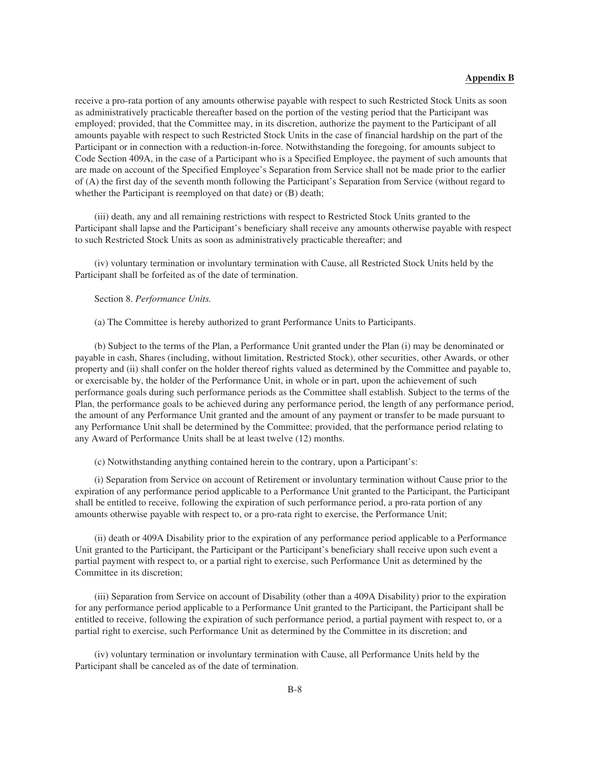receive a pro-rata portion of any amounts otherwise payable with respect to such Restricted Stock Units as soon as administratively practicable thereafter based on the portion of the vesting period that the Participant was employed; provided, that the Committee may, in its discretion, authorize the payment to the Participant of all amounts payable with respect to such Restricted Stock Units in the case of financial hardship on the part of the Participant or in connection with a reduction-in-force. Notwithstanding the foregoing, for amounts subject to Code Section 409A, in the case of a Participant who is a Specified Employee, the payment of such amounts that are made on account of the Specified Employee's Separation from Service shall not be made prior to the earlier of (A) the first day of the seventh month following the Participant's Separation from Service (without regard to whether the Participant is reemployed on that date) or (B) death;

(iii) death, any and all remaining restrictions with respect to Restricted Stock Units granted to the Participant shall lapse and the Participant's beneficiary shall receive any amounts otherwise payable with respect to such Restricted Stock Units as soon as administratively practicable thereafter; and

(iv) voluntary termination or involuntary termination with Cause, all Restricted Stock Units held by the Participant shall be forfeited as of the date of termination.

#### Section 8. *Performance Units.*

(a) The Committee is hereby authorized to grant Performance Units to Participants.

(b) Subject to the terms of the Plan, a Performance Unit granted under the Plan (i) may be denominated or payable in cash, Shares (including, without limitation, Restricted Stock), other securities, other Awards, or other property and (ii) shall confer on the holder thereof rights valued as determined by the Committee and payable to, or exercisable by, the holder of the Performance Unit, in whole or in part, upon the achievement of such performance goals during such performance periods as the Committee shall establish. Subject to the terms of the Plan, the performance goals to be achieved during any performance period, the length of any performance period, the amount of any Performance Unit granted and the amount of any payment or transfer to be made pursuant to any Performance Unit shall be determined by the Committee; provided, that the performance period relating to any Award of Performance Units shall be at least twelve (12) months.

(c) Notwithstanding anything contained herein to the contrary, upon a Participant's:

(i) Separation from Service on account of Retirement or involuntary termination without Cause prior to the expiration of any performance period applicable to a Performance Unit granted to the Participant, the Participant shall be entitled to receive, following the expiration of such performance period, a pro-rata portion of any amounts otherwise payable with respect to, or a pro-rata right to exercise, the Performance Unit;

(ii) death or 409A Disability prior to the expiration of any performance period applicable to a Performance Unit granted to the Participant, the Participant or the Participant's beneficiary shall receive upon such event a partial payment with respect to, or a partial right to exercise, such Performance Unit as determined by the Committee in its discretion;

(iii) Separation from Service on account of Disability (other than a 409A Disability) prior to the expiration for any performance period applicable to a Performance Unit granted to the Participant, the Participant shall be entitled to receive, following the expiration of such performance period, a partial payment with respect to, or a partial right to exercise, such Performance Unit as determined by the Committee in its discretion; and

(iv) voluntary termination or involuntary termination with Cause, all Performance Units held by the Participant shall be canceled as of the date of termination.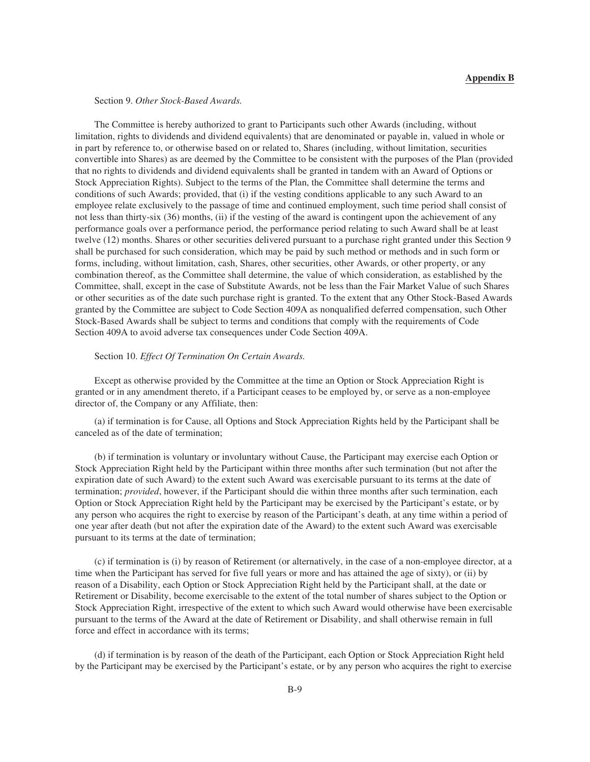### Section 9. *Other Stock-Based Awards.*

The Committee is hereby authorized to grant to Participants such other Awards (including, without limitation, rights to dividends and dividend equivalents) that are denominated or payable in, valued in whole or in part by reference to, or otherwise based on or related to, Shares (including, without limitation, securities convertible into Shares) as are deemed by the Committee to be consistent with the purposes of the Plan (provided that no rights to dividends and dividend equivalents shall be granted in tandem with an Award of Options or Stock Appreciation Rights). Subject to the terms of the Plan, the Committee shall determine the terms and conditions of such Awards; provided, that (i) if the vesting conditions applicable to any such Award to an employee relate exclusively to the passage of time and continued employment, such time period shall consist of not less than thirty-six (36) months, (ii) if the vesting of the award is contingent upon the achievement of any performance goals over a performance period, the performance period relating to such Award shall be at least twelve (12) months. Shares or other securities delivered pursuant to a purchase right granted under this Section 9 shall be purchased for such consideration, which may be paid by such method or methods and in such form or forms, including, without limitation, cash, Shares, other securities, other Awards, or other property, or any combination thereof, as the Committee shall determine, the value of which consideration, as established by the Committee, shall, except in the case of Substitute Awards, not be less than the Fair Market Value of such Shares or other securities as of the date such purchase right is granted. To the extent that any Other Stock-Based Awards granted by the Committee are subject to Code Section 409A as nonqualified deferred compensation, such Other Stock-Based Awards shall be subject to terms and conditions that comply with the requirements of Code Section 409A to avoid adverse tax consequences under Code Section 409A.

### Section 10. *Effect Of Termination On Certain Awards.*

Except as otherwise provided by the Committee at the time an Option or Stock Appreciation Right is granted or in any amendment thereto, if a Participant ceases to be employed by, or serve as a non-employee director of, the Company or any Affiliate, then:

(a) if termination is for Cause, all Options and Stock Appreciation Rights held by the Participant shall be canceled as of the date of termination;

(b) if termination is voluntary or involuntary without Cause, the Participant may exercise each Option or Stock Appreciation Right held by the Participant within three months after such termination (but not after the expiration date of such Award) to the extent such Award was exercisable pursuant to its terms at the date of termination; *provided*, however, if the Participant should die within three months after such termination, each Option or Stock Appreciation Right held by the Participant may be exercised by the Participant's estate, or by any person who acquires the right to exercise by reason of the Participant's death, at any time within a period of one year after death (but not after the expiration date of the Award) to the extent such Award was exercisable pursuant to its terms at the date of termination;

(c) if termination is (i) by reason of Retirement (or alternatively, in the case of a non-employee director, at a time when the Participant has served for five full years or more and has attained the age of sixty), or (ii) by reason of a Disability, each Option or Stock Appreciation Right held by the Participant shall, at the date or Retirement or Disability, become exercisable to the extent of the total number of shares subject to the Option or Stock Appreciation Right, irrespective of the extent to which such Award would otherwise have been exercisable pursuant to the terms of the Award at the date of Retirement or Disability, and shall otherwise remain in full force and effect in accordance with its terms;

(d) if termination is by reason of the death of the Participant, each Option or Stock Appreciation Right held by the Participant may be exercised by the Participant's estate, or by any person who acquires the right to exercise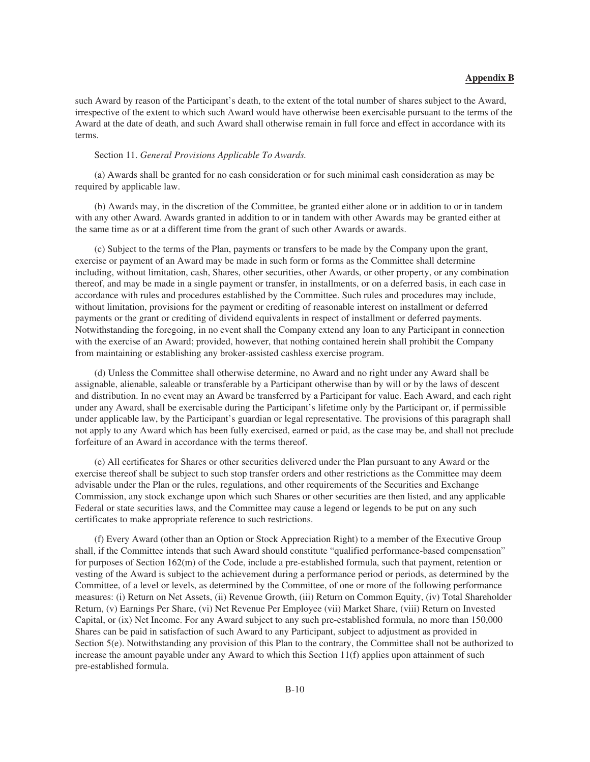such Award by reason of the Participant's death, to the extent of the total number of shares subject to the Award, irrespective of the extent to which such Award would have otherwise been exercisable pursuant to the terms of the Award at the date of death, and such Award shall otherwise remain in full force and effect in accordance with its terms.

#### Section 11. *General Provisions Applicable To Awards.*

(a) Awards shall be granted for no cash consideration or for such minimal cash consideration as may be required by applicable law.

(b) Awards may, in the discretion of the Committee, be granted either alone or in addition to or in tandem with any other Award. Awards granted in addition to or in tandem with other Awards may be granted either at the same time as or at a different time from the grant of such other Awards or awards.

(c) Subject to the terms of the Plan, payments or transfers to be made by the Company upon the grant, exercise or payment of an Award may be made in such form or forms as the Committee shall determine including, without limitation, cash, Shares, other securities, other Awards, or other property, or any combination thereof, and may be made in a single payment or transfer, in installments, or on a deferred basis, in each case in accordance with rules and procedures established by the Committee. Such rules and procedures may include, without limitation, provisions for the payment or crediting of reasonable interest on installment or deferred payments or the grant or crediting of dividend equivalents in respect of installment or deferred payments. Notwithstanding the foregoing, in no event shall the Company extend any loan to any Participant in connection with the exercise of an Award; provided, however, that nothing contained herein shall prohibit the Company from maintaining or establishing any broker-assisted cashless exercise program.

(d) Unless the Committee shall otherwise determine, no Award and no right under any Award shall be assignable, alienable, saleable or transferable by a Participant otherwise than by will or by the laws of descent and distribution. In no event may an Award be transferred by a Participant for value. Each Award, and each right under any Award, shall be exercisable during the Participant's lifetime only by the Participant or, if permissible under applicable law, by the Participant's guardian or legal representative. The provisions of this paragraph shall not apply to any Award which has been fully exercised, earned or paid, as the case may be, and shall not preclude forfeiture of an Award in accordance with the terms thereof.

(e) All certificates for Shares or other securities delivered under the Plan pursuant to any Award or the exercise thereof shall be subject to such stop transfer orders and other restrictions as the Committee may deem advisable under the Plan or the rules, regulations, and other requirements of the Securities and Exchange Commission, any stock exchange upon which such Shares or other securities are then listed, and any applicable Federal or state securities laws, and the Committee may cause a legend or legends to be put on any such certificates to make appropriate reference to such restrictions.

(f) Every Award (other than an Option or Stock Appreciation Right) to a member of the Executive Group shall, if the Committee intends that such Award should constitute "qualified performance-based compensation" for purposes of Section 162(m) of the Code, include a pre-established formula, such that payment, retention or vesting of the Award is subject to the achievement during a performance period or periods, as determined by the Committee, of a level or levels, as determined by the Committee, of one or more of the following performance measures: (i) Return on Net Assets, (ii) Revenue Growth, (iii) Return on Common Equity, (iv) Total Shareholder Return, (v) Earnings Per Share, (vi) Net Revenue Per Employee (vii) Market Share, (viii) Return on Invested Capital, or (ix) Net Income. For any Award subject to any such pre-established formula, no more than 150,000 Shares can be paid in satisfaction of such Award to any Participant, subject to adjustment as provided in Section 5(e). Notwithstanding any provision of this Plan to the contrary, the Committee shall not be authorized to increase the amount payable under any Award to which this Section 11(f) applies upon attainment of such pre-established formula.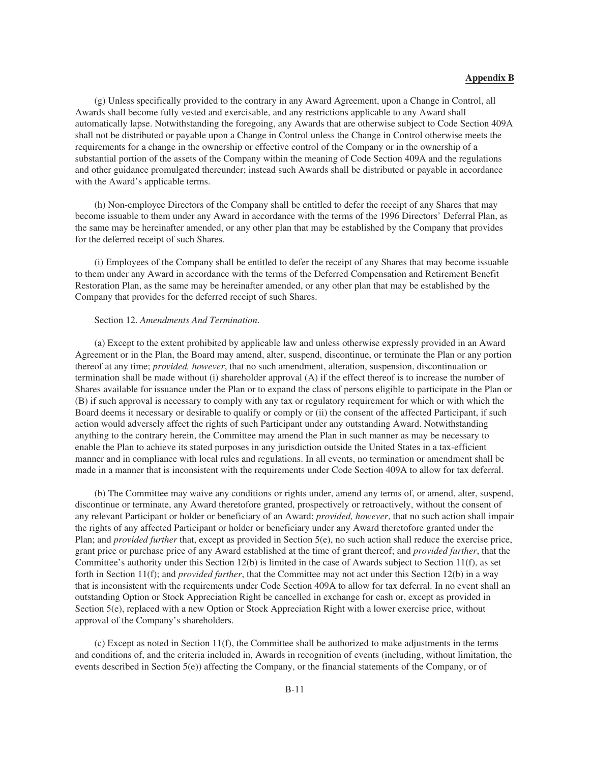(g) Unless specifically provided to the contrary in any Award Agreement, upon a Change in Control, all Awards shall become fully vested and exercisable, and any restrictions applicable to any Award shall automatically lapse. Notwithstanding the foregoing, any Awards that are otherwise subject to Code Section 409A shall not be distributed or payable upon a Change in Control unless the Change in Control otherwise meets the requirements for a change in the ownership or effective control of the Company or in the ownership of a substantial portion of the assets of the Company within the meaning of Code Section 409A and the regulations and other guidance promulgated thereunder; instead such Awards shall be distributed or payable in accordance with the Award's applicable terms.

(h) Non-employee Directors of the Company shall be entitled to defer the receipt of any Shares that may become issuable to them under any Award in accordance with the terms of the 1996 Directors' Deferral Plan, as the same may be hereinafter amended, or any other plan that may be established by the Company that provides for the deferred receipt of such Shares.

(i) Employees of the Company shall be entitled to defer the receipt of any Shares that may become issuable to them under any Award in accordance with the terms of the Deferred Compensation and Retirement Benefit Restoration Plan, as the same may be hereinafter amended, or any other plan that may be established by the Company that provides for the deferred receipt of such Shares.

#### Section 12. *Amendments And Termination*.

(a) Except to the extent prohibited by applicable law and unless otherwise expressly provided in an Award Agreement or in the Plan, the Board may amend, alter, suspend, discontinue, or terminate the Plan or any portion thereof at any time; *provided, however*, that no such amendment, alteration, suspension, discontinuation or termination shall be made without (i) shareholder approval (A) if the effect thereof is to increase the number of Shares available for issuance under the Plan or to expand the class of persons eligible to participate in the Plan or (B) if such approval is necessary to comply with any tax or regulatory requirement for which or with which the Board deems it necessary or desirable to qualify or comply or (ii) the consent of the affected Participant, if such action would adversely affect the rights of such Participant under any outstanding Award. Notwithstanding anything to the contrary herein, the Committee may amend the Plan in such manner as may be necessary to enable the Plan to achieve its stated purposes in any jurisdiction outside the United States in a tax-efficient manner and in compliance with local rules and regulations. In all events, no termination or amendment shall be made in a manner that is inconsistent with the requirements under Code Section 409A to allow for tax deferral.

(b) The Committee may waive any conditions or rights under, amend any terms of, or amend, alter, suspend, discontinue or terminate, any Award theretofore granted, prospectively or retroactively, without the consent of any relevant Participant or holder or beneficiary of an Award; *provided, however*, that no such action shall impair the rights of any affected Participant or holder or beneficiary under any Award theretofore granted under the Plan; and *provided further* that, except as provided in Section 5(e), no such action shall reduce the exercise price, grant price or purchase price of any Award established at the time of grant thereof; and *provided further*, that the Committee's authority under this Section  $12(b)$  is limited in the case of Awards subject to Section  $11(f)$ , as set forth in Section 11(f); and *provided further*, that the Committee may not act under this Section 12(b) in a way that is inconsistent with the requirements under Code Section 409A to allow for tax deferral. In no event shall an outstanding Option or Stock Appreciation Right be cancelled in exchange for cash or, except as provided in Section 5(e), replaced with a new Option or Stock Appreciation Right with a lower exercise price, without approval of the Company's shareholders.

(c) Except as noted in Section 11(f), the Committee shall be authorized to make adjustments in the terms and conditions of, and the criteria included in, Awards in recognition of events (including, without limitation, the events described in Section 5(e)) affecting the Company, or the financial statements of the Company, or of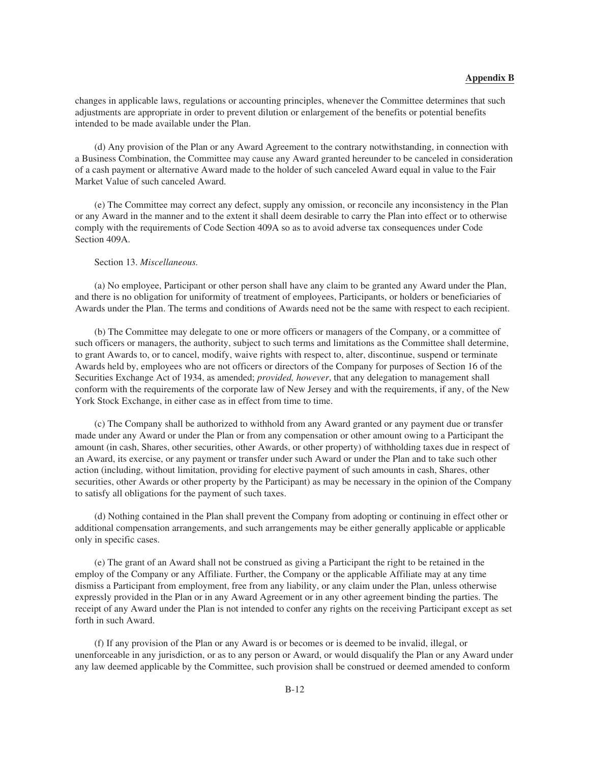changes in applicable laws, regulations or accounting principles, whenever the Committee determines that such adjustments are appropriate in order to prevent dilution or enlargement of the benefits or potential benefits intended to be made available under the Plan.

(d) Any provision of the Plan or any Award Agreement to the contrary notwithstanding, in connection with a Business Combination, the Committee may cause any Award granted hereunder to be canceled in consideration of a cash payment or alternative Award made to the holder of such canceled Award equal in value to the Fair Market Value of such canceled Award.

(e) The Committee may correct any defect, supply any omission, or reconcile any inconsistency in the Plan or any Award in the manner and to the extent it shall deem desirable to carry the Plan into effect or to otherwise comply with the requirements of Code Section 409A so as to avoid adverse tax consequences under Code Section 409A.

### Section 13. *Miscellaneous.*

(a) No employee, Participant or other person shall have any claim to be granted any Award under the Plan, and there is no obligation for uniformity of treatment of employees, Participants, or holders or beneficiaries of Awards under the Plan. The terms and conditions of Awards need not be the same with respect to each recipient.

(b) The Committee may delegate to one or more officers or managers of the Company, or a committee of such officers or managers, the authority, subject to such terms and limitations as the Committee shall determine, to grant Awards to, or to cancel, modify, waive rights with respect to, alter, discontinue, suspend or terminate Awards held by, employees who are not officers or directors of the Company for purposes of Section 16 of the Securities Exchange Act of 1934, as amended; *provided, however*, that any delegation to management shall conform with the requirements of the corporate law of New Jersey and with the requirements, if any, of the New York Stock Exchange, in either case as in effect from time to time.

(c) The Company shall be authorized to withhold from any Award granted or any payment due or transfer made under any Award or under the Plan or from any compensation or other amount owing to a Participant the amount (in cash, Shares, other securities, other Awards, or other property) of withholding taxes due in respect of an Award, its exercise, or any payment or transfer under such Award or under the Plan and to take such other action (including, without limitation, providing for elective payment of such amounts in cash, Shares, other securities, other Awards or other property by the Participant) as may be necessary in the opinion of the Company to satisfy all obligations for the payment of such taxes.

(d) Nothing contained in the Plan shall prevent the Company from adopting or continuing in effect other or additional compensation arrangements, and such arrangements may be either generally applicable or applicable only in specific cases.

(e) The grant of an Award shall not be construed as giving a Participant the right to be retained in the employ of the Company or any Affiliate. Further, the Company or the applicable Affiliate may at any time dismiss a Participant from employment, free from any liability, or any claim under the Plan, unless otherwise expressly provided in the Plan or in any Award Agreement or in any other agreement binding the parties. The receipt of any Award under the Plan is not intended to confer any rights on the receiving Participant except as set forth in such Award.

(f) If any provision of the Plan or any Award is or becomes or is deemed to be invalid, illegal, or unenforceable in any jurisdiction, or as to any person or Award, or would disqualify the Plan or any Award under any law deemed applicable by the Committee, such provision shall be construed or deemed amended to conform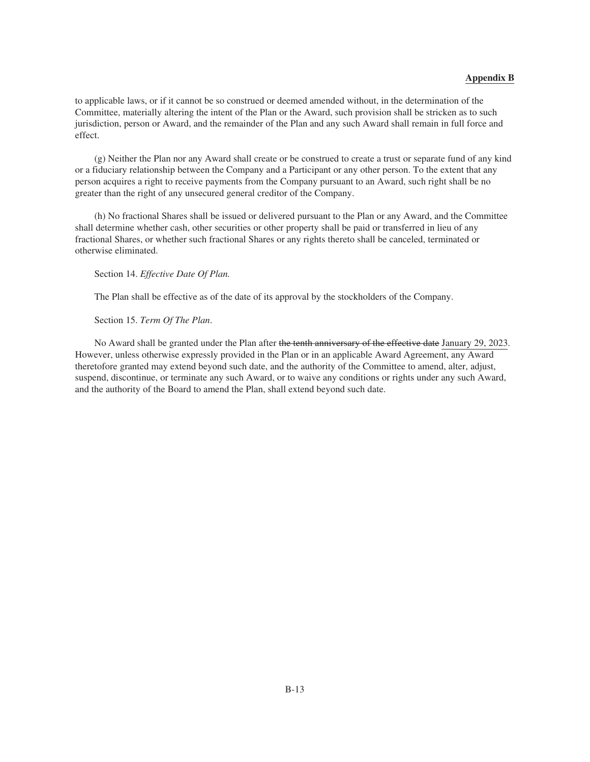to applicable laws, or if it cannot be so construed or deemed amended without, in the determination of the Committee, materially altering the intent of the Plan or the Award, such provision shall be stricken as to such jurisdiction, person or Award, and the remainder of the Plan and any such Award shall remain in full force and effect.

(g) Neither the Plan nor any Award shall create or be construed to create a trust or separate fund of any kind or a fiduciary relationship between the Company and a Participant or any other person. To the extent that any person acquires a right to receive payments from the Company pursuant to an Award, such right shall be no greater than the right of any unsecured general creditor of the Company.

(h) No fractional Shares shall be issued or delivered pursuant to the Plan or any Award, and the Committee shall determine whether cash, other securities or other property shall be paid or transferred in lieu of any fractional Shares, or whether such fractional Shares or any rights thereto shall be canceled, terminated or otherwise eliminated.

Section 14. *Effective Date Of Plan.*

The Plan shall be effective as of the date of its approval by the stockholders of the Company.

Section 15. *Term Of The Plan*.

No Award shall be granted under the Plan after the tenth anniversary of the effective date January 29, 2023. However, unless otherwise expressly provided in the Plan or in an applicable Award Agreement, any Award theretofore granted may extend beyond such date, and the authority of the Committee to amend, alter, adjust, suspend, discontinue, or terminate any such Award, or to waive any conditions or rights under any such Award, and the authority of the Board to amend the Plan, shall extend beyond such date.